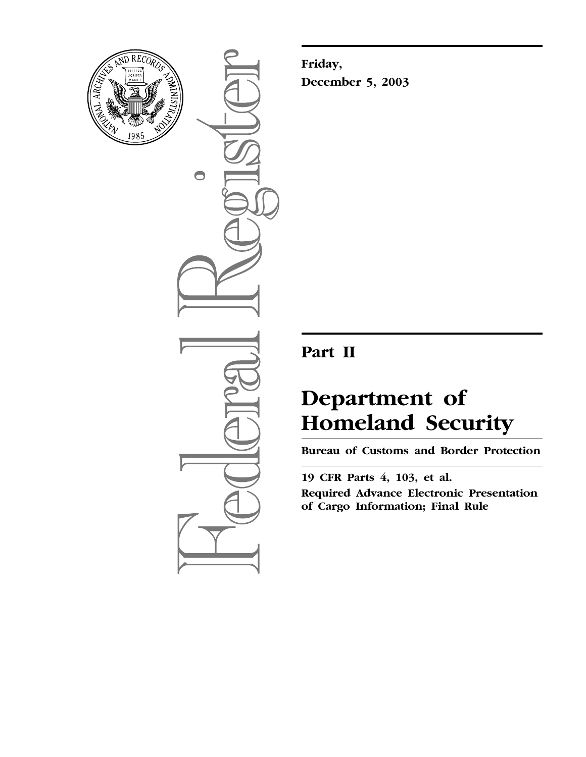

 $\bigcirc$ 

**Friday, December 5, 2003**

## **Part II**

# **Department of Homeland Security**

**Bureau of Customs and Border Protection** 

**19 CFR Parts 4, 103, et al. Required Advance Electronic Presentation of Cargo Information; Final Rule**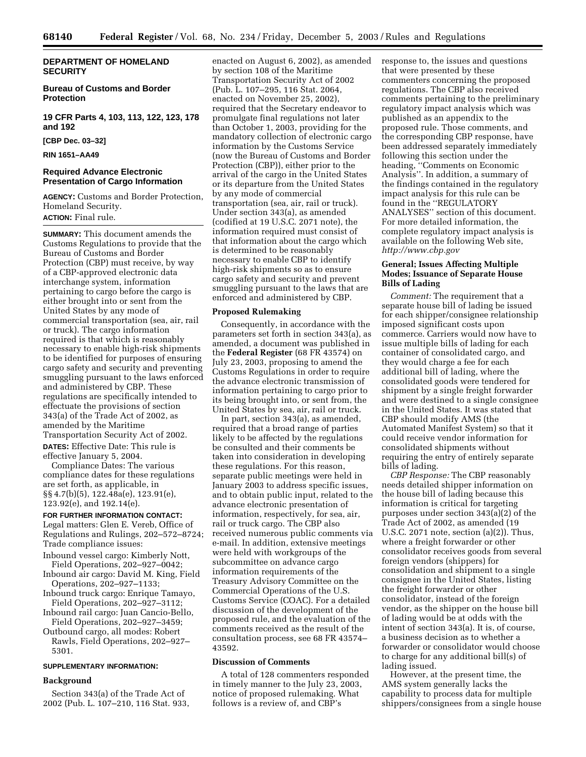## **DEPARTMENT OF HOMELAND SECURITY**

## **Bureau of Customs and Border Protection**

**19 CFR Parts 4, 103, 113, 122, 123, 178 and 192** 

**[CBP Dec. 03–32]** 

**RIN 1651–AA49** 

## **Required Advance Electronic Presentation of Cargo Information**

**AGENCY:** Customs and Border Protection, Homeland Security. **ACTION:** Final rule.

**SUMMARY:** This document amends the Customs Regulations to provide that the Bureau of Customs and Border Protection (CBP) must receive, by way of a CBP-approved electronic data interchange system, information pertaining to cargo before the cargo is either brought into or sent from the United States by any mode of commercial transportation (sea, air, rail or truck). The cargo information required is that which is reasonably necessary to enable high-risk shipments to be identified for purposes of ensuring cargo safety and security and preventing smuggling pursuant to the laws enforced and administered by CBP. These regulations are specifically intended to effectuate the provisions of section 343(a) of the Trade Act of 2002, as amended by the Maritime

Transportation Security Act of 2002. **DATES:** Effective Date: This rule is

effective January 5, 2004. Compliance Dates: The various compliance dates for these regulations

are set forth, as applicable, in §§ 4.7(b)(5), 122.48a(e), 123.91(e), 123.92(e), and 192.14(e).

## **FOR FURTHER INFORMATION CONTACT:**

Legal matters: Glen E. Vereb, Office of Regulations and Rulings, 202–572–8724; Trade compliance issues:

- Inbound vessel cargo: Kimberly Nott, Field Operations, 202–927–0042;
- Inbound air cargo: David M. King, Field Operations, 202–927–1133;
- Inbound truck cargo: Enrique Tamayo, Field Operations, 202–927–3112;
- Inbound rail cargo: Juan Cancio-Bello, Field Operations, 202–927–3459;
- Outbound cargo, all modes: Robert Rawls, Field Operations, 202–927– 5301.

#### **SUPPLEMENTARY INFORMATION:**

#### **Background**

Section 343(a) of the Trade Act of 2002 (Pub. L. 107–210, 116 Stat. 933, enacted on August 6, 2002), as amended by section 108 of the Maritime Transportation Security Act of 2002 (Pub. L. 107–295, 116 Stat. 2064, enacted on November 25, 2002), required that the Secretary endeavor to promulgate final regulations not later than October 1, 2003, providing for the mandatory collection of electronic cargo information by the Customs Service (now the Bureau of Customs and Border Protection (CBP)), either prior to the arrival of the cargo in the United States or its departure from the United States by any mode of commercial transportation (sea, air, rail or truck). Under section 343(a), as amended (codified at 19 U.S.C. 2071 note), the information required must consist of that information about the cargo which is determined to be reasonably necessary to enable CBP to identify high-risk shipments so as to ensure cargo safety and security and prevent smuggling pursuant to the laws that are enforced and administered by CBP.

#### **Proposed Rulemaking**

Consequently, in accordance with the parameters set forth in section 343(a), as amended, a document was published in the **Federal Register** (68 FR 43574) on July 23, 2003, proposing to amend the Customs Regulations in order to require the advance electronic transmission of information pertaining to cargo prior to its being brought into, or sent from, the United States by sea, air, rail or truck.

In part, section 343(a), as amended, required that a broad range of parties likely to be affected by the regulations be consulted and their comments be taken into consideration in developing these regulations. For this reason, separate public meetings were held in January 2003 to address specific issues, and to obtain public input, related to the advance electronic presentation of information, respectively, for sea, air, rail or truck cargo. The CBP also received numerous public comments via e-mail. In addition, extensive meetings were held with workgroups of the subcommittee on advance cargo information requirements of the Treasury Advisory Committee on the Commercial Operations of the U.S. Customs Service (COAC). For a detailed discussion of the development of the proposed rule, and the evaluation of the comments received as the result of the consultation process, see 68 FR 43574– 43592.

#### **Discussion of Comments**

A total of 128 commenters responded in timely manner to the July 23, 2003, notice of proposed rulemaking. What follows is a review of, and CBP's

response to, the issues and questions that were presented by these commenters concerning the proposed regulations. The CBP also received comments pertaining to the preliminary regulatory impact analysis which was published as an appendix to the proposed rule. Those comments, and the corresponding CBP response, have been addressed separately immediately following this section under the heading, ''Comments on Economic Analysis''. In addition, a summary of the findings contained in the regulatory impact analysis for this rule can be found in the ''REGULATORY ANALYSES'' section of this document. For more detailed information, the complete regulatory impact analysis is available on the following Web site, *<http://www.cbp.gov>*

## **General; Issues Affecting Multiple Modes; Issuance of Separate House Bills of Lading**

*Comment:* The requirement that a separate house bill of lading be issued for each shipper/consignee relationship imposed significant costs upon commerce. Carriers would now have to issue multiple bills of lading for each container of consolidated cargo, and they would charge a fee for each additional bill of lading, where the consolidated goods were tendered for shipment by a single freight forwarder and were destined to a single consignee in the United States. It was stated that CBP should modify AMS (the Automated Manifest System) so that it could receive vendor information for consolidated shipments without requiring the entry of entirely separate bills of lading.

*CBP Response:* The CBP reasonably needs detailed shipper information on the house bill of lading because this information is critical for targeting purposes under section 343(a)(2) of the Trade Act of 2002, as amended (19 U.S.C. 2071 note, section (a)(2)). Thus, where a freight forwarder or other consolidator receives goods from several foreign vendors (shippers) for consolidation and shipment to a single consignee in the United States, listing the freight forwarder or other consolidator, instead of the foreign vendor, as the shipper on the house bill of lading would be at odds with the intent of section 343(a). It is, of course, a business decision as to whether a forwarder or consolidator would choose to charge for any additional bill(s) of lading issued.

However, at the present time, the AMS system generally lacks the capability to process data for multiple shippers/consignees from a single house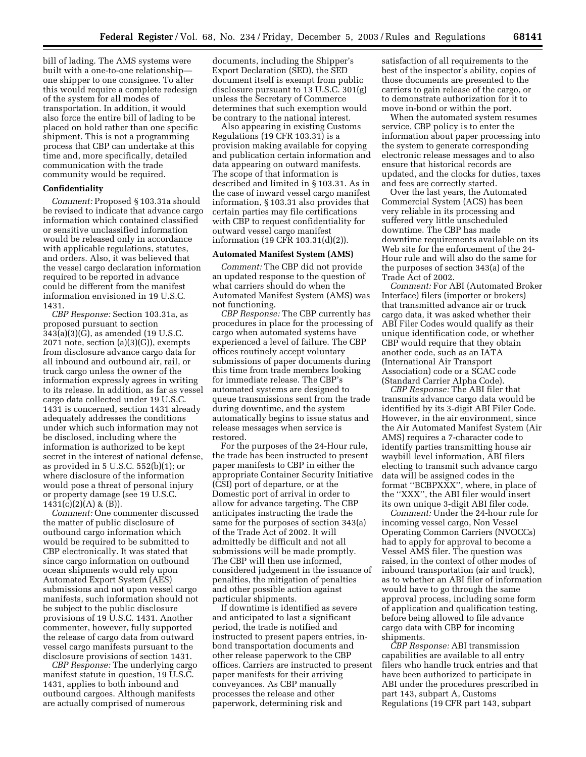bill of lading. The AMS systems were built with a one-to-one relationship one shipper to one consignee. To alter this would require a complete redesign of the system for all modes of transportation. In addition, it would also force the entire bill of lading to be placed on hold rather than one specific shipment. This is not a programming process that CBP can undertake at this time and, more specifically, detailed communication with the trade community would be required.

#### **Confidentiality**

*Comment:* Proposed § 103.31a should be revised to indicate that advance cargo information which contained classified or sensitive unclassified information would be released only in accordance with applicable regulations, statutes, and orders. Also, it was believed that the vessel cargo declaration information required to be reported in advance could be different from the manifest information envisioned in 19 U.S.C. 1431.

*CBP Response:* Section 103.31a, as proposed pursuant to section  $343(a)(3)(\tilde{G})$ , as amended (19 U.S.C.  $2071$  note, section  $(a)(3)(G)$ , exempts from disclosure advance cargo data for all inbound and outbound air, rail, or truck cargo unless the owner of the information expressly agrees in writing to its release. In addition, as far as vessel cargo data collected under 19 U.S.C. 1431 is concerned, section 1431 already adequately addresses the conditions under which such information may not be disclosed, including where the information is authorized to be kept secret in the interest of national defense, as provided in 5 U.S.C. 552(b)(1); or where disclosure of the information would pose a threat of personal injury or property damage (see 19 U.S.C.  $1431(c)(2)(A) & (B)$ ).

*Comment:* One commenter discussed the matter of public disclosure of outbound cargo information which would be required to be submitted to CBP electronically. It was stated that since cargo information on outbound ocean shipments would rely upon Automated Export System (AES) submissions and not upon vessel cargo manifests, such information should not be subject to the public disclosure provisions of 19 U.S.C. 1431. Another commenter, however, fully supported the release of cargo data from outward vessel cargo manifests pursuant to the disclosure provisions of section 1431.

*CBP Response:* The underlying cargo manifest statute in question, 19 U.S.C. 1431, applies to both inbound and outbound cargoes. Although manifests are actually comprised of numerous

documents, including the Shipper's Export Declaration (SED), the SED document itself is exempt from public disclosure pursuant to 13 U.S.C. 301(g) unless the Secretary of Commerce determines that such exemption would be contrary to the national interest.

Also appearing in existing Customs Regulations (19 CFR 103.31) is a provision making available for copying and publication certain information and data appearing on outward manifests. The scope of that information is described and limited in § 103.31. As in the case of inward vessel cargo manifest information, § 103.31 also provides that certain parties may file certifications with CBP to request confidentiality for outward vessel cargo manifest information (19 CFR 103.31(d)(2)).

## **Automated Manifest System (AMS)**

*Comment:* The CBP did not provide an updated response to the question of what carriers should do when the Automated Manifest System (AMS) was not functioning.

*CBP Response:* The CBP currently has procedures in place for the processing of cargo when automated systems have experienced a level of failure. The CBP offices routinely accept voluntary submissions of paper documents during this time from trade members looking for immediate release. The CBP's automated systems are designed to queue transmissions sent from the trade during downtime, and the system automatically begins to issue status and release messages when service is restored.

For the purposes of the 24-Hour rule, the trade has been instructed to present paper manifests to CBP in either the appropriate Container Security Initiative (CSI) port of departure, or at the Domestic port of arrival in order to allow for advance targeting. The CBP anticipates instructing the trade the same for the purposes of section 343(a) of the Trade Act of 2002. It will admittedly be difficult and not all submissions will be made promptly. The CBP will then use informed, considered judgement in the issuance of penalties, the mitigation of penalties and other possible action against particular shipments.

If downtime is identified as severe and anticipated to last a significant period, the trade is notified and instructed to present papers entries, inbond transportation documents and other release paperwork to the CBP offices. Carriers are instructed to present paper manifests for their arriving conveyances. As CBP manually processes the release and other paperwork, determining risk and

satisfaction of all requirements to the best of the inspector's ability, copies of those documents are presented to the carriers to gain release of the cargo, or to demonstrate authorization for it to move in-bond or within the port.

When the automated system resumes service, CBP policy is to enter the information about paper processing into the system to generate corresponding electronic release messages and to also ensure that historical records are updated, and the clocks for duties, taxes and fees are correctly started.

Over the last years, the Automated Commercial System (ACS) has been very reliable in its processing and suffered very little unscheduled downtime. The CBP has made downtime requirements available on its Web site for the enforcement of the 24- Hour rule and will also do the same for the purposes of section 343(a) of the Trade Act of 2002.

*Comment:* For ABI (Automated Broker Interface) filers (importer or brokers) that transmitted advance air or truck cargo data, it was asked whether their ABI Filer Codes would qualify as their unique identification code, or whether CBP would require that they obtain another code, such as an IATA (International Air Transport Association) code or a SCAC code (Standard Carrier Alpha Code).

*CBP Response:* The ABI filer that transmits advance cargo data would be identified by its 3-digit ABI Filer Code. However, in the air environment, since the Air Automated Manifest System (Air AMS) requires a 7-character code to identify parties transmitting house air waybill level information, ABI filers electing to transmit such advance cargo data will be assigned codes in the format ''BCBPXXX'', where, in place of the ''XXX'', the ABI filer would insert its own unique 3-digit ABI filer code.

*Comment:* Under the 24-hour rule for incoming vessel cargo, Non Vessel Operating Common Carriers (NVOCCs) had to apply for approval to become a Vessel AMS filer. The question was raised, in the context of other modes of inbound transportation (air and truck), as to whether an ABI filer of information would have to go through the same approval process, including some form of application and qualification testing, before being allowed to file advance cargo data with CBP for incoming shipments.

*CBP Response:* ABI transmission capabilities are available to all entry filers who handle truck entries and that have been authorized to participate in ABI under the procedures prescribed in part 143, subpart A, Customs Regulations (19 CFR part 143, subpart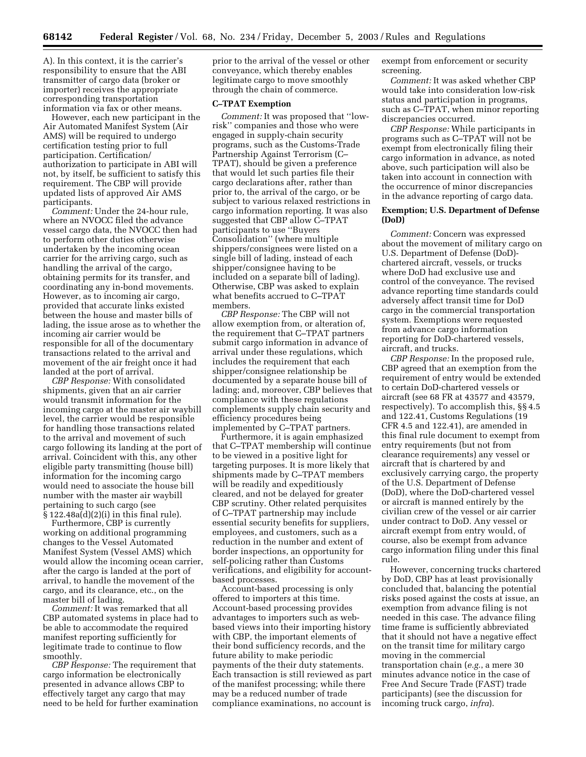A). In this context, it is the carrier's responsibility to ensure that the ABI transmitter of cargo data (broker or importer) receives the appropriate corresponding transportation information via fax or other means.

However, each new participant in the Air Automated Manifest System (Air AMS) will be required to undergo certification testing prior to full participation. Certification/ authorization to participate in ABI will not, by itself, be sufficient to satisfy this requirement. The CBP will provide updated lists of approved Air AMS participants.

*Comment:* Under the 24-hour rule, where an NVOCC filed the advance vessel cargo data, the NVOCC then had to perform other duties otherwise undertaken by the incoming ocean carrier for the arriving cargo, such as handling the arrival of the cargo, obtaining permits for its transfer, and coordinating any in-bond movements. However, as to incoming air cargo, provided that accurate links existed between the house and master bills of lading, the issue arose as to whether the incoming air carrier would be responsible for all of the documentary transactions related to the arrival and movement of the air freight once it had landed at the port of arrival.

*CBP Response:* With consolidated shipments, given that an air carrier would transmit information for the incoming cargo at the master air waybill level, the carrier would be responsible for handling those transactions related to the arrival and movement of such cargo following its landing at the port of arrival. Coincident with this, any other eligible party transmitting (house bill) information for the incoming cargo would need to associate the house bill number with the master air waybill pertaining to such cargo (see § 122.48a(d)(2)(i) in this final rule).

Furthermore, CBP is currently working on additional programming changes to the Vessel Automated Manifest System (Vessel AMS) which would allow the incoming ocean carrier, after the cargo is landed at the port of arrival, to handle the movement of the cargo, and its clearance, etc., on the master bill of lading.

*Comment:* It was remarked that all CBP automated systems in place had to be able to accommodate the required manifest reporting sufficiently for legitimate trade to continue to flow smoothly.

*CBP Response:* The requirement that cargo information be electronically presented in advance allows CBP to effectively target any cargo that may need to be held for further examination prior to the arrival of the vessel or other conveyance, which thereby enables legitimate cargo to move smoothly through the chain of commerce.

#### **C–TPAT Exemption**

*Comment:* It was proposed that ''lowrisk'' companies and those who were engaged in supply-chain security programs, such as the Customs-Trade Partnership Against Terrorism (C– TPAT), should be given a preference that would let such parties file their cargo declarations after, rather than prior to, the arrival of the cargo, or be subject to various relaxed restrictions in cargo information reporting. It was also suggested that CBP allow C–TPAT participants to use ''Buyers Consolidation'' (where multiple shippers/consignees were listed on a single bill of lading, instead of each shipper/consignee having to be included on a separate bill of lading). Otherwise, CBP was asked to explain what benefits accrued to C–TPAT members.

*CBP Response:* The CBP will not allow exemption from, or alteration of, the requirement that C–TPAT partners submit cargo information in advance of arrival under these regulations, which includes the requirement that each shipper/consignee relationship be documented by a separate house bill of lading; and, moreover, CBP believes that compliance with these regulations complements supply chain security and efficiency procedures being implemented by C–TPAT partners.

Furthermore, it is again emphasized that C–TPAT membership will continue to be viewed in a positive light for targeting purposes. It is more likely that shipments made by C–TPAT members will be readily and expeditiously cleared, and not be delayed for greater CBP scrutiny. Other related perquisites of C–TPAT partnership may include essential security benefits for suppliers, employees, and customers, such as a reduction in the number and extent of border inspections, an opportunity for self-policing rather than Customs verifications, and eligibility for accountbased processes.

Account-based processing is only offered to importers at this time. Account-based processing provides advantages to importers such as webbased views into their importing history with CBP, the important elements of their bond sufficiency records, and the future ability to make periodic payments of the their duty statements. Each transaction is still reviewed as part of the manifest processing; while there may be a reduced number of trade compliance examinations, no account is

exempt from enforcement or security screening.

*Comment:* It was asked whether CBP would take into consideration low-risk status and participation in programs, such as C–TPAT, when minor reporting discrepancies occurred.

*CBP Response:* While participants in programs such as C–TPAT will not be exempt from electronically filing their cargo information in advance, as noted above, such participation will also be taken into account in connection with the occurrence of minor discrepancies in the advance reporting of cargo data.

## **Exemption; U.S. Department of Defense (DoD)**

*Comment:* Concern was expressed about the movement of military cargo on U.S. Department of Defense (DoD) chartered aircraft, vessels, or trucks where DoD had exclusive use and control of the conveyance. The revised advance reporting time standards could adversely affect transit time for DoD cargo in the commercial transportation system. Exemptions were requested from advance cargo information reporting for DoD-chartered vessels, aircraft, and trucks.

*CBP Response:* In the proposed rule, CBP agreed that an exemption from the requirement of entry would be extended to certain DoD-chartered vessels or aircraft (see 68 FR at 43577 and 43579, respectively). To accomplish this, §§ 4.5 and 122.41, Customs Regulations (19 CFR 4.5 and 122.41), are amended in this final rule document to exempt from entry requirements (but not from clearance requirements) any vessel or aircraft that is chartered by and exclusively carrying cargo, the property of the U.S. Department of Defense (DoD), where the DoD-chartered vessel or aircraft is manned entirely by the civilian crew of the vessel or air carrier under contract to DoD. Any vessel or aircraft exempt from entry would, of course, also be exempt from advance cargo information filing under this final rule.

However, concerning trucks chartered by DoD, CBP has at least provisionally concluded that, balancing the potential risks posed against the costs at issue, an exemption from advance filing is not needed in this case. The advance filing time frame is sufficiently abbreviated that it should not have a negative effect on the transit time for military cargo moving in the commercial transportation chain (*e.g.*, a mere 30 minutes advance notice in the case of Free And Secure Trade (FAST) trade participants) (see the discussion for incoming truck cargo, *infra*).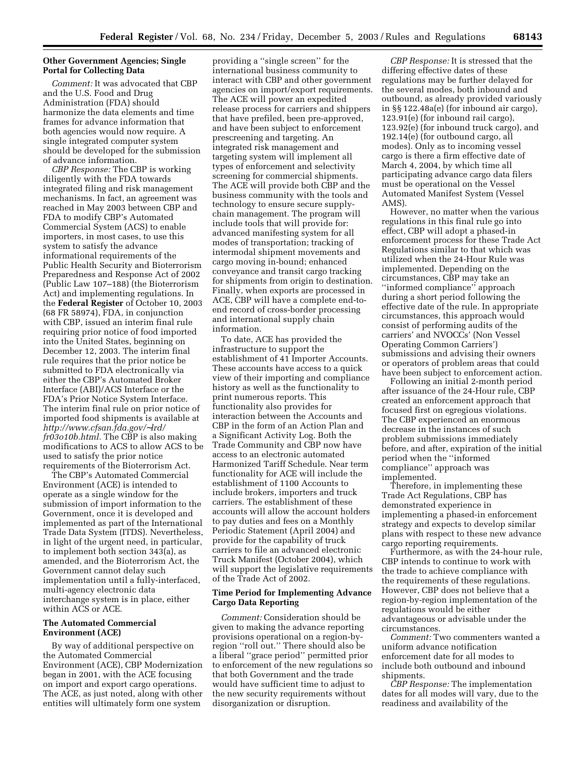## **Other Government Agencies; Single Portal for Collecting Data**

*Comment:* It was advocated that CBP and the U.S. Food and Drug Administration (FDA) should harmonize the data elements and time frames for advance information that both agencies would now require. A single integrated computer system should be developed for the submission of advance information.

*CBP Response:* The CBP is working diligently with the FDA towards integrated filing and risk management mechanisms. In fact, an agreement was reached in May 2003 between CBP and FDA to modify CBP's Automated Commercial System (ACS) to enable importers, in most cases, to use this system to satisfy the advance informational requirements of the Public Health Security and Bioterrorism Preparedness and Response Act of 2002 (Public Law 107–188) (the Bioterrorism Act) and implementing regulations. In the **Federal Register** of October 10, 2003 (68 FR 58974), FDA, in conjunction with CBP, issued an interim final rule requiring prior notice of food imported into the United States, beginning on December 12, 2003. The interim final rule requires that the prior notice be submitted to FDA electronically via either the CBP's Automated Broker Interface (ABI)/ACS Interface or the FDA's Prior Notice System Interface. The interim final rule on prior notice of imported food shipments is available at *[http://www.cfsan.fda.gov/](http://www.cfsan.fda.gov/%E2%88%BClrd/)*∼*lrd/ fr03o10b.html.* The CBP is also making modifications to ACS to allow ACS to be used to satisfy the prior notice requirements of the Bioterrorism Act.

The CBP's Automated Commercial Environment (ACE) is intended to operate as a single window for the submission of import information to the Government, once it is developed and implemented as part of the International Trade Data System (ITDS). Nevertheless, in light of the urgent need, in particular, to implement both section 343(a), as amended, and the Bioterrorism Act, the Government cannot delay such implementation until a fully-interfaced, multi-agency electronic data interchange system is in place, either within ACS or ACE.

## **The Automated Commercial Environment (ACE)**

By way of additional perspective on the Automated Commercial Environment (ACE), CBP Modernization began in 2001, with the ACE focusing on import and export cargo operations. The ACE, as just noted, along with other entities will ultimately form one system

providing a ''single screen'' for the international business community to interact with CBP and other government agencies on import/export requirements. The ACE will power an expedited release process for carriers and shippers that have prefiled, been pre-approved, and have been subject to enforcement prescreening and targeting. An integrated risk management and targeting system will implement all types of enforcement and selectivity screening for commercial shipments. The ACE will provide both CBP and the business community with the tools and technology to ensure secure supplychain management. The program will include tools that will provide for: advanced manifesting system for all modes of transportation; tracking of intermodal shipment movements and cargo moving in-bound; enhanced conveyance and transit cargo tracking for shipments from origin to destination. Finally, when exports are processed in ACE, CBP will have a complete end-toend record of cross-border processing and international supply chain information.

To date, ACE has provided the infrastructure to support the establishment of 41 Importer Accounts. These accounts have access to a quick view of their importing and compliance history as well as the functionality to print numerous reports. This functionality also provides for interaction between the Accounts and CBP in the form of an Action Plan and a Significant Activity Log. Both the Trade Community and CBP now have access to an electronic automated Harmonized Tariff Schedule. Near term functionality for ACE will include the establishment of 1100 Accounts to include brokers, importers and truck carriers. The establishment of these accounts will allow the account holders to pay duties and fees on a Monthly Periodic Statement (April 2004) and provide for the capability of truck carriers to file an advanced electronic Truck Manifest (October 2004), which will support the legislative requirements of the Trade Act of 2002.

## **Time Period for Implementing Advance Cargo Data Reporting**

*Comment:* Consideration should be given to making the advance reporting provisions operational on a region-byregion ''roll out.'' There should also be a liberal ''grace period'' permitted prior to enforcement of the new regulations so that both Government and the trade would have sufficient time to adjust to the new security requirements without disorganization or disruption.

*CBP Response:* It is stressed that the differing effective dates of these regulations may be further delayed for the several modes, both inbound and outbound, as already provided variously in §§ 122.48a(e) (for inbound air cargo), 123.91(e) (for inbound rail cargo), 123.92(e) (for inbound truck cargo), and 192.14(e) (for outbound cargo, all modes). Only as to incoming vessel cargo is there a firm effective date of March 4, 2004, by which time all participating advance cargo data filers must be operational on the Vessel Automated Manifest System (Vessel AMS).

However, no matter when the various regulations in this final rule go into effect, CBP will adopt a phased-in enforcement process for these Trade Act Regulations similar to that which was utilized when the 24-Hour Rule was implemented. Depending on the circumstances, CBP may take an ''informed compliance'' approach during a short period following the effective date of the rule. In appropriate circumstances, this approach would consist of performing audits of the carriers' and NVOCCs' (Non Vessel Operating Common Carriers') submissions and advising their owners or operators of problem areas that could have been subject to enforcement action.

Following an initial 2-month period after issuance of the 24-Hour rule, CBP created an enforcement approach that focused first on egregious violations. The CBP experienced an enormous decrease in the instances of such problem submissions immediately before, and after, expiration of the initial period when the ''informed compliance'' approach was implemented.

Therefore, in implementing these Trade Act Regulations, CBP has demonstrated experience in implementing a phased-in enforcement strategy and expects to develop similar plans with respect to these new advance cargo reporting requirements.

Furthermore, as with the 24-hour rule, CBP intends to continue to work with the trade to achieve compliance with the requirements of these regulations. However, CBP does not believe that a region-by-region implementation of the regulations would be either advantageous or advisable under the circumstances.

*Comment:* Two commenters wanted a uniform advance notification enforcement date for all modes to include both outbound and inbound shipments.

*CBP Response:* The implementation dates for all modes will vary, due to the readiness and availability of the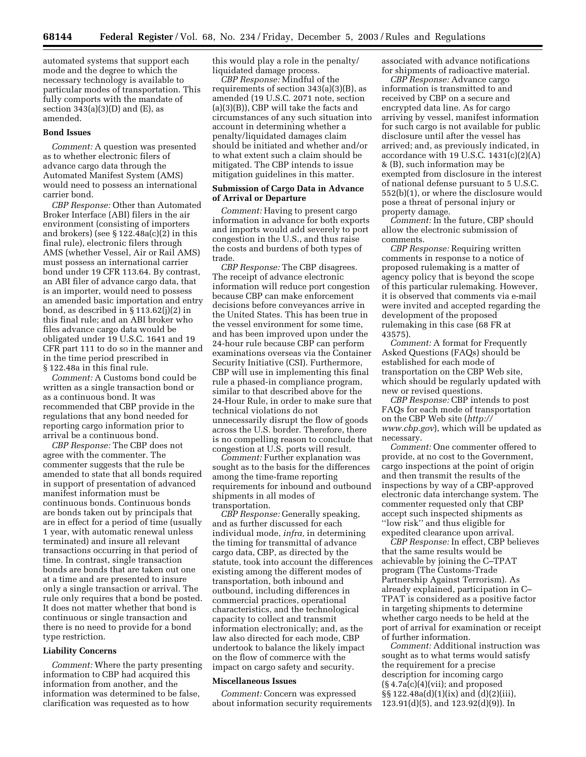automated systems that support each mode and the degree to which the necessary technology is available to particular modes of transportation. This fully comports with the mandate of section  $343(a)(3)(D)$  and  $(E)$ , as amended.

#### **Bond Issues**

*Comment:* A question was presented as to whether electronic filers of advance cargo data through the Automated Manifest System (AMS) would need to possess an international carrier bond.

*CBP Response:* Other than Automated Broker Interface (ABI) filers in the air environment (consisting of importers and brokers) (see § 122.48a(c)(2) in this final rule), electronic filers through AMS (whether Vessel, Air or Rail AMS) must possess an international carrier bond under 19 CFR 113.64. By contrast, an ABI filer of advance cargo data, that is an importer, would need to possess an amended basic importation and entry bond, as described in § 113.62(j)(2) in this final rule; and an ABI broker who files advance cargo data would be obligated under 19 U.S.C. 1641 and 19 CFR part 111 to do so in the manner and in the time period prescribed in § 122.48a in this final rule.

*Comment:* A Customs bond could be written as a single transaction bond or as a continuous bond. It was recommended that CBP provide in the regulations that any bond needed for reporting cargo information prior to arrival be a continuous bond.

*CBP Response:* The CBP does not agree with the commenter. The commenter suggests that the rule be amended to state that all bonds required in support of presentation of advanced manifest information must be continuous bonds. Continuous bonds are bonds taken out by principals that are in effect for a period of time (usually 1 year, with automatic renewal unless terminated) and insure all relevant transactions occurring in that period of time. In contrast, single transaction bonds are bonds that are taken out one at a time and are presented to insure only a single transaction or arrival. The rule only requires that a bond be posted. It does not matter whether that bond is continuous or single transaction and there is no need to provide for a bond type restriction.

## **Liability Concerns**

*Comment:* Where the party presenting information to CBP had acquired this information from another, and the information was determined to be false, clarification was requested as to how

this would play a role in the penalty/ liquidated damage process.

*CBP Response:* Mindful of the requirements of section 343(a)(3)(B), as amended (19 U.S.C. 2071 note, section (a)(3)(B)), CBP will take the facts and circumstances of any such situation into account in determining whether a penalty/liquidated damages claim should be initiated and whether and/or to what extent such a claim should be mitigated. The CBP intends to issue mitigation guidelines in this matter.

## **Submission of Cargo Data in Advance of Arrival or Departure**

*Comment:* Having to present cargo information in advance for both exports and imports would add severely to port congestion in the U.S., and thus raise the costs and burdens of both types of trade.

*CBP Response:* The CBP disagrees. The receipt of advance electronic information will reduce port congestion because CBP can make enforcement decisions before conveyances arrive in the United States. This has been true in the vessel environment for some time, and has been improved upon under the 24-hour rule because CBP can perform examinations overseas via the Container Security Initiative (CSI). Furthermore, CBP will use in implementing this final rule a phased-in compliance program, similar to that described above for the 24-Hour Rule, in order to make sure that technical violations do not unnecessarily disrupt the flow of goods across the U.S. border. Therefore, there is no compelling reason to conclude that congestion at U.S. ports will result.

*Comment:* Further explanation was sought as to the basis for the differences among the time-frame reporting requirements for inbound and outbound shipments in all modes of transportation.

*CBP Response:* Generally speaking, and as further discussed for each individual mode, *infra,* in determining the timing for transmittal of advance cargo data, CBP, as directed by the statute, took into account the differences existing among the different modes of transportation, both inbound and outbound, including differences in commercial practices, operational characteristics, and the technological capacity to collect and transmit information electronically; and, as the law also directed for each mode, CBP undertook to balance the likely impact on the flow of commerce with the impact on cargo safety and security.

#### **Miscellaneous Issues**

*Comment:* Concern was expressed about information security requirements associated with advance notifications for shipments of radioactive material.

*CBP Response:* Advance cargo information is transmitted to and received by CBP on a secure and encrypted data line. As for cargo arriving by vessel, manifest information for such cargo is not available for public disclosure until after the vessel has arrived; and, as previously indicated, in accordance with 19 U.S.C.  $1431(c)(2)(A)$ & (B), such information may be exempted from disclosure in the interest of national defense pursuant to 5 U.S.C. 552(b)(1), or where the disclosure would pose a threat of personal injury or property damage.

*Comment:* In the future, CBP should allow the electronic submission of comments.

*CBP Response:* Requiring written comments in response to a notice of proposed rulemaking is a matter of agency policy that is beyond the scope of this particular rulemaking. However, it is observed that comments via e-mail were invited and accepted regarding the development of the proposed rulemaking in this case (68 FR at 43575).

*Comment:* A format for Frequently Asked Questions (FAQs) should be established for each mode of transportation on the CBP Web site, which should be regularly updated with new or revised questions.

*CBP Response:* CBP intends to post FAQs for each mode of transportation on the CBP Web site (*http:// www.cbp.gov*[\), which will be updated as](http://www.cbp.gov)  necessary.

*Comment:* One commenter offered to provide, at no cost to the Government, cargo inspections at the point of origin and then transmit the results of the inspections by way of a CBP-approved electronic data interchange system. The commenter requested only that CBP accept such inspected shipments as ''low risk'' and thus eligible for expedited clearance upon arrival.

*CBP Response:* In effect, CBP believes that the same results would be achievable by joining the C–TPAT program (The Customs-Trade Partnership Against Terrorism). As already explained, participation in C– TPAT is considered as a positive factor in targeting shipments to determine whether cargo needs to be held at the port of arrival for examination or receipt of further information.

*Comment:* Additional instruction was sought as to what terms would satisfy the requirement for a precise description for incoming cargo  $(\S 4.7a(c)(4)(vii);$  and proposed §§ 122.48a(d)(1)(ix) and (d)(2)(iii), 123.91(d)(5), and 123.92(d)(9)). In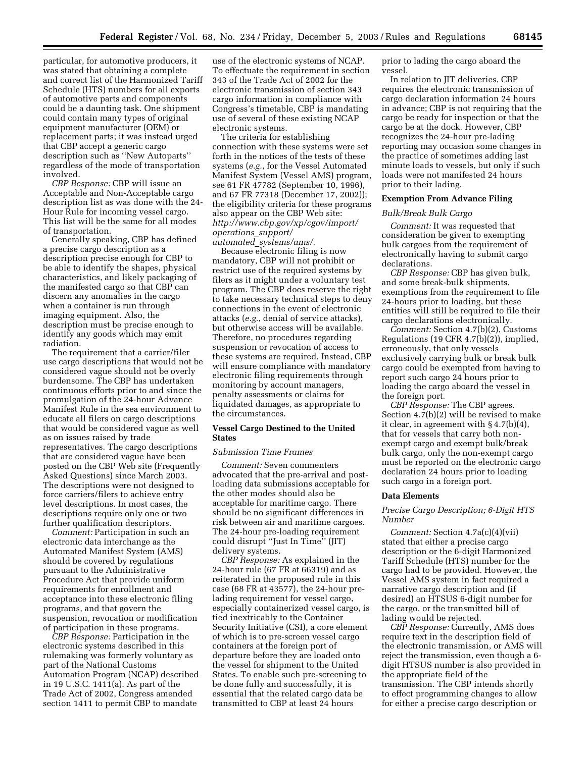particular, for automotive producers, it was stated that obtaining a complete and correct list of the Harmonized Tariff Schedule (HTS) numbers for all exports of automotive parts and components could be a daunting task. One shipment could contain many types of original equipment manufacturer (OEM) or replacement parts; it was instead urged that CBP accept a generic cargo description such as ''New Autoparts'' regardless of the mode of transportation involved.

*CBP Response:* CBP will issue an Acceptable and Non-Acceptable cargo description list as was done with the 24- Hour Rule for incoming vessel cargo. This list will be the same for all modes of transportation.

Generally speaking, CBP has defined a precise cargo description as a description precise enough for CBP to be able to identify the shapes, physical characteristics, and likely packaging of the manifested cargo so that CBP can discern any anomalies in the cargo when a container is run through imaging equipment. Also, the description must be precise enough to identify any goods which may emit radiation.

The requirement that a carrier/filer use cargo descriptions that would not be considered vague should not be overly burdensome. The CBP has undertaken continuous efforts prior to and since the promulgation of the 24-hour Advance Manifest Rule in the sea environment to educate all filers on cargo descriptions that would be considered vague as well as on issues raised by trade representatives. The cargo descriptions that are considered vague have been posted on the CBP Web site (Frequently Asked Questions) since March 2003. The descriptions were not designed to force carriers/filers to achieve entry level descriptions. In most cases, the descriptions require only one or two further qualification descriptors.

*Comment:* Participation in such an electronic data interchange as the Automated Manifest System (AMS) should be covered by regulations pursuant to the Administrative Procedure Act that provide uniform requirements for enrollment and acceptance into these electronic filing programs, and that govern the suspension, revocation or modification of participation in these programs.

*CBP Response:* Participation in the electronic systems described in this rulemaking was formerly voluntary as part of the National Customs Automation Program (NCAP) described in 19 U.S.C. 1411(a). As part of the Trade Act of 2002, Congress amended section 1411 to permit CBP to mandate

use of the electronic systems of NCAP. To effectuate the requirement in section 343 of the Trade Act of 2002 for the electronic transmission of section 343 cargo information in compliance with Congress's timetable, CBP is mandating use of several of these existing NCAP electronic systems.

The criteria for establishing connection with these systems were set forth in the notices of the tests of these systems (*e.g.*, for the Vessel Automated Manifest System (Vessel AMS) program, see 61 FR 47782 (September 10, 1996), and 67 FR 77318 (December 17, 2002)); the eligibility criteria for these programs also appear on the CBP Web site: *[http://www.cbp.gov/xp/cgov/import/](http://www.cbp.gov/xp/cgov/import/operations_support/automated_systems/ams/) operations*\_*support/ automated*\_*systems/ams/*.

Because electronic filing is now mandatory, CBP will not prohibit or restrict use of the required systems by filers as it might under a voluntary test program. The CBP does reserve the right to take necessary technical steps to deny connections in the event of electronic attacks (*e.g.*, denial of service attacks), but otherwise access will be available. Therefore, no procedures regarding suspension or revocation of access to these systems are required. Instead, CBP will ensure compliance with mandatory electronic filing requirements through monitoring by account managers, penalty assessments or claims for liquidated damages, as appropriate to the circumstances.

#### **Vessel Cargo Destined to the United States**

## *Submission Time Frames*

*Comment:* Seven commenters advocated that the pre-arrival and postloading data submissions acceptable for the other modes should also be acceptable for maritime cargo. There should be no significant differences in risk between air and maritime cargoes. The 24-hour pre-loading requirement could disrupt ''Just In Time'' (JIT) delivery systems.

*CBP Response:* As explained in the 24-hour rule (67 FR at 66319) and as reiterated in the proposed rule in this case (68 FR at 43577), the 24-hour prelading requirement for vessel cargo, especially containerized vessel cargo, is tied inextricably to the Container Security Initiative (CSI), a core element of which is to pre-screen vessel cargo containers at the foreign port of departure before they are loaded onto the vessel for shipment to the United States. To enable such pre-screening to be done fully and successfully, it is essential that the related cargo data be transmitted to CBP at least 24 hours

prior to lading the cargo aboard the vessel.

In relation to JIT deliveries, CBP requires the electronic transmission of cargo declaration information 24 hours in advance; CBP is not requiring that the cargo be ready for inspection or that the cargo be at the dock. However, CBP recognizes the 24-hour pre-lading reporting may occasion some changes in the practice of sometimes adding last minute loads to vessels, but only if such loads were not manifested 24 hours prior to their lading.

## **Exemption From Advance Filing**

#### *Bulk/Break Bulk Cargo*

*Comment:* It was requested that consideration be given to exempting bulk cargoes from the requirement of electronically having to submit cargo declarations.

*CBP Response:* CBP has given bulk, and some break-bulk shipments, exemptions from the requirement to file 24-hours prior to loading, but these entities will still be required to file their cargo declarations electronically.

*Comment:* Section 4.7(b)(2), Customs Regulations (19 CFR 4.7(b)(2)), implied, erroneously, that only vessels exclusively carrying bulk or break bulk cargo could be exempted from having to report such cargo 24 hours prior to loading the cargo aboard the vessel in the foreign port.

*CBP Response:* The CBP agrees. Section 4.7(b)(2) will be revised to make it clear, in agreement with § 4.7(b)(4), that for vessels that carry both nonexempt cargo and exempt bulk/break bulk cargo, only the non-exempt cargo must be reported on the electronic cargo declaration 24 hours prior to loading such cargo in a foreign port.

#### **Data Elements**

## *Precise Cargo Description; 6-Digit HTS Number*

*Comment:* Section 4.7a(c)(4)(vii) stated that either a precise cargo description or the 6-digit Harmonized Tariff Schedule (HTS) number for the cargo had to be provided. However, the Vessel AMS system in fact required a narrative cargo description and (if desired) an HTSUS 6-digit number for the cargo, or the transmitted bill of lading would be rejected.

*CBP Response:* Currently, AMS does require text in the description field of the electronic transmission, or AMS will reject the transmission, even though a 6 digit HTSUS number is also provided in the appropriate field of the transmission. The CBP intends shortly to effect programming changes to allow for either a precise cargo description or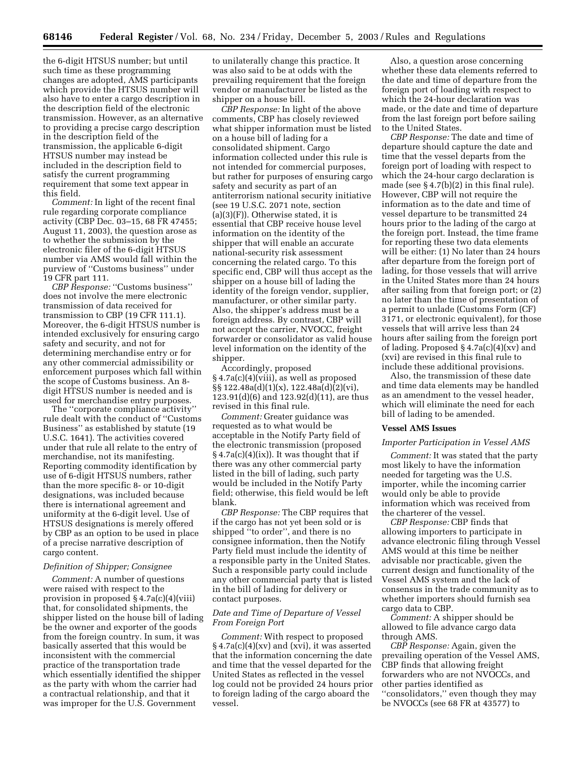the 6-digit HTSUS number; but until such time as these programming changes are adopted, AMS participants which provide the HTSUS number will also have to enter a cargo description in the description field of the electronic transmission. However, as an alternative to providing a precise cargo description in the description field of the transmission, the applicable 6-digit HTSUS number may instead be included in the description field to satisfy the current programming requirement that some text appear in this field.

*Comment:* In light of the recent final rule regarding corporate compliance activity (CBP Dec. 03–15, 68 FR 47455; August 11, 2003), the question arose as to whether the submission by the electronic filer of the 6-digit HTSUS number via AMS would fall within the purview of ''Customs business'' under 19 CFR part 111.

*CBP Response:* ''Customs business'' does not involve the mere electronic transmission of data received for transmission to CBP (19 CFR 111.1). Moreover, the 6-digit HTSUS number is intended exclusively for ensuring cargo safety and security, and not for determining merchandise entry or for any other commercial admissibility or enforcement purposes which fall within the scope of Customs business. An 8 digit HTSUS number is needed and is used for merchandise entry purposes.

The ''corporate compliance activity'' rule dealt with the conduct of ''Customs Business'' as established by statute (19 U.S.C. 1641). The activities covered under that rule all relate to the entry of merchandise, not its manifesting. Reporting commodity identification by use of 6-digit HTSUS numbers, rather than the more specific 8- or 10-digit designations, was included because there is international agreement and uniformity at the 6-digit level. Use of HTSUS designations is merely offered by CBP as an option to be used in place of a precise narrative description of cargo content.

#### *Definition of Shipper; Consignee*

*Comment:* A number of questions were raised with respect to the provision in proposed § 4.7a(c)(4)(viii) that, for consolidated shipments, the shipper listed on the house bill of lading be the owner and exporter of the goods from the foreign country. In sum, it was basically asserted that this would be inconsistent with the commercial practice of the transportation trade which essentially identified the shipper as the party with whom the carrier had a contractual relationship, and that it was improper for the U.S. Government

to unilaterally change this practice. It was also said to be at odds with the prevailing requirement that the foreign vendor or manufacturer be listed as the shipper on a house bill.

*CBP Response:* In light of the above comments, CBP has closely reviewed what shipper information must be listed on a house bill of lading for a consolidated shipment. Cargo information collected under this rule is not intended for commercial purposes, but rather for purposes of ensuring cargo safety and security as part of an antiterrorism national security initiative (see 19 U.S.C. 2071 note, section  $(a)(3)(F)$ . Otherwise stated, it is essential that CBP receive house level information on the identity of the shipper that will enable an accurate national-security risk assessment concerning the related cargo. To this specific end, CBP will thus accept as the shipper on a house bill of lading the identity of the foreign vendor, supplier, manufacturer, or other similar party. Also, the shipper's address must be a foreign address. By contrast, CBP will not accept the carrier, NVOCC, freight forwarder or consolidator as valid house level information on the identity of the shipper.

Accordingly, proposed § 4.7a(c)(4)(viii), as well as proposed §§ 122.48a(d)(1)(x), 122.48a(d)(2)(vi), 123.91(d)(6) and 123.92(d)(11), are thus revised in this final rule.

*Comment:* Greater guidance was requested as to what would be acceptable in the Notify Party field of the electronic transmission (proposed  $§ 4.7a(c)(4)(ix)$ . It was thought that if there was any other commercial party listed in the bill of lading, such party would be included in the Notify Party field; otherwise, this field would be left blank.

*CBP Response:* The CBP requires that if the cargo has not yet been sold or is shipped ''to order'', and there is no consignee information, then the Notify Party field must include the identity of a responsible party in the United States. Such a responsible party could include any other commercial party that is listed in the bill of lading for delivery or contact purposes.

## *Date and Time of Departure of Vessel From Foreign Port*

*Comment:* With respect to proposed  $§$  4.7a(c)(4)(xv) and (xvi), it was asserted that the information concerning the date and time that the vessel departed for the United States as reflected in the vessel log could not be provided 24 hours prior to foreign lading of the cargo aboard the vessel.

Also, a question arose concerning whether these data elements referred to the date and time of departure from the foreign port of loading with respect to which the 24-hour declaration was made, or the date and time of departure from the last foreign port before sailing to the United States.

*CBP Response:* The date and time of departure should capture the date and time that the vessel departs from the foreign port of loading with respect to which the 24-hour cargo declaration is made (see § 4.7(b)(2) in this final rule). However, CBP will not require the information as to the date and time of vessel departure to be transmitted 24 hours prior to the lading of the cargo at the foreign port. Instead, the time frame for reporting these two data elements will be either: (1) No later than 24 hours after departure from the foreign port of lading, for those vessels that will arrive in the United States more than 24 hours after sailing from that foreign port; or (2) no later than the time of presentation of a permit to unlade (Customs Form (CF) 3171, or electronic equivalent), for those vessels that will arrive less than 24 hours after sailing from the foreign port of lading. Proposed  $\S 4.7a(c)(4)(xv)$  and (xvi) are revised in this final rule to include these additional provisions.

Also, the transmission of these date and time data elements may be handled as an amendment to the vessel header, which will eliminate the need for each bill of lading to be amended.

## **Vessel AMS Issues**

#### *Importer Participation in Vessel AMS*

*Comment:* It was stated that the party most likely to have the information needed for targeting was the U.S. importer, while the incoming carrier would only be able to provide information which was received from the charterer of the vessel.

*CBP Response:* CBP finds that allowing importers to participate in advance electronic filing through Vessel AMS would at this time be neither advisable nor practicable, given the current design and functionality of the Vessel AMS system and the lack of consensus in the trade community as to whether importers should furnish sea cargo data to CBP.

*Comment:* A shipper should be allowed to file advance cargo data through AMS.

*CBP Response:* Again, given the prevailing operation of the Vessel AMS, CBP finds that allowing freight forwarders who are not NVOCCs, and other parties identified as ''consolidators,'' even though they may be NVOCCs (see 68 FR at 43577) to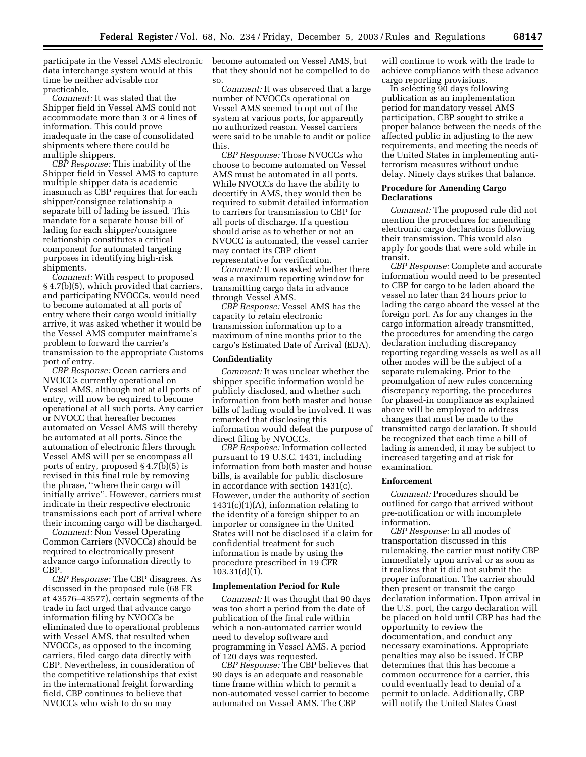participate in the Vessel AMS electronic data interchange system would at this time be neither advisable nor practicable.

*Comment:* It was stated that the Shipper field in Vessel AMS could not accommodate more than 3 or 4 lines of information. This could prove inadequate in the case of consolidated shipments where there could be multiple shippers.

*CBP Response:* This inability of the Shipper field in Vessel AMS to capture multiple shipper data is academic inasmuch as CBP requires that for each shipper/consignee relationship a separate bill of lading be issued. This mandate for a separate house bill of lading for each shipper/consignee relationship constitutes a critical component for automated targeting purposes in identifying high-risk shipments.

*Comment:* With respect to proposed § 4.7(b)(5), which provided that carriers, and participating NVOCCs, would need to become automated at all ports of entry where their cargo would initially arrive, it was asked whether it would be the Vessel AMS computer mainframe's problem to forward the carrier's transmission to the appropriate Customs port of entry.

*CBP Response:* Ocean carriers and NVOCCs currently operational on Vessel AMS, although not at all ports of entry, will now be required to become operational at all such ports. Any carrier or NVOCC that hereafter becomes automated on Vessel AMS will thereby be automated at all ports. Since the automation of electronic filers through Vessel AMS will per se encompass all ports of entry, proposed § 4.7(b)(5) is revised in this final rule by removing the phrase, ''where their cargo will initially arrive''. However, carriers must indicate in their respective electronic transmissions each port of arrival where their incoming cargo will be discharged.

*Comment:* Non Vessel Operating Common Carriers (NVOCCs) should be required to electronically present advance cargo information directly to CBP.

*CBP Response:* The CBP disagrees. As discussed in the proposed rule (68 FR at 43576–43577), certain segments of the trade in fact urged that advance cargo information filing by NVOCCs be eliminated due to operational problems with Vessel AMS, that resulted when NVOCCs, as opposed to the incoming carriers, filed cargo data directly with CBP. Nevertheless, in consideration of the competitive relationships that exist in the international freight forwarding field, CBP continues to believe that NVOCCs who wish to do so may

become automated on Vessel AMS, but that they should not be compelled to do so.

*Comment:* It was observed that a large number of NVOCCs operational on Vessel AMS seemed to opt out of the system at various ports, for apparently no authorized reason. Vessel carriers were said to be unable to audit or police this.

*CBP Response:* Those NVOCCs who choose to become automated on Vessel AMS must be automated in all ports. While NVOCCs do have the ability to decertify in AMS, they would then be required to submit detailed information to carriers for transmission to CBP for all ports of discharge. If a question should arise as to whether or not an NVOCC is automated, the vessel carrier may contact its CBP client representative for verification.

*Comment:* It was asked whether there was a maximum reporting window for transmitting cargo data in advance through Vessel AMS.

*CBP Response:* Vessel AMS has the capacity to retain electronic transmission information up to a maximum of nine months prior to the cargo's Estimated Date of Arrival (EDA).

#### **Confidentiality**

*Comment:* It was unclear whether the shipper specific information would be publicly disclosed, and whether such information from both master and house bills of lading would be involved. It was remarked that disclosing this information would defeat the purpose of direct filing by NVOCCs.

*CBP Response:* Information collected pursuant to 19 U.S.C. 1431, including information from both master and house bills, is available for public disclosure in accordance with section 1431(c). However, under the authority of section  $1431(c)(1)(A)$ , information relating to the identity of a foreign shipper to an importer or consignee in the United States will not be disclosed if a claim for confidential treatment for such information is made by using the procedure prescribed in 19 CFR 103.31(d)(1).

#### **Implementation Period for Rule**

*Comment:* It was thought that 90 days was too short a period from the date of publication of the final rule within which a non-automated carrier would need to develop software and programming in Vessel AMS. A period of 120 days was requested.

*CBP Response:* The CBP believes that 90 days is an adequate and reasonable time frame within which to permit a non-automated vessel carrier to become automated on Vessel AMS. The CBP

will continue to work with the trade to achieve compliance with these advance cargo reporting provisions.

In selecting 90 days following publication as an implementation period for mandatory vessel AMS participation, CBP sought to strike a proper balance between the needs of the affected public in adjusting to the new requirements, and meeting the needs of the United States in implementing antiterrorism measures without undue delay. Ninety days strikes that balance.

## **Procedure for Amending Cargo Declarations**

*Comment:* The proposed rule did not mention the procedures for amending electronic cargo declarations following their transmission. This would also apply for goods that were sold while in transit.

*CBP Response:* Complete and accurate information would need to be presented to CBP for cargo to be laden aboard the vessel no later than 24 hours prior to lading the cargo aboard the vessel at the foreign port. As for any changes in the cargo information already transmitted, the procedures for amending the cargo declaration including discrepancy reporting regarding vessels as well as all other modes will be the subject of a separate rulemaking. Prior to the promulgation of new rules concerning discrepancy reporting, the procedures for phased-in compliance as explained above will be employed to address changes that must be made to the transmitted cargo declaration. It should be recognized that each time a bill of lading is amended, it may be subject to increased targeting and at risk for examination.

#### **Enforcement**

*Comment:* Procedures should be outlined for cargo that arrived without pre-notification or with incomplete information.

*CBP Response:* In all modes of transportation discussed in this rulemaking, the carrier must notify CBP immediately upon arrival or as soon as it realizes that it did not submit the proper information. The carrier should then present or transmit the cargo declaration information. Upon arrival in the U.S. port, the cargo declaration will be placed on hold until CBP has had the opportunity to review the documentation, and conduct any necessary examinations. Appropriate penalties may also be issued. If CBP determines that this has become a common occurrence for a carrier, this could eventually lead to denial of a permit to unlade. Additionally, CBP will notify the United States Coast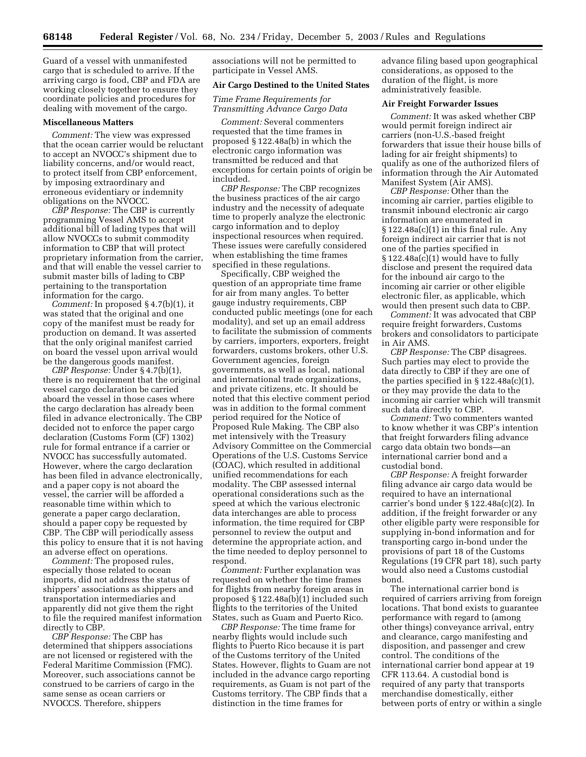Guard of a vessel with unmanifested cargo that is scheduled to arrive. If the arriving cargo is food, CBP and FDA are working closely together to ensure they coordinate policies and procedures for dealing with movement of the cargo.

#### **Miscellaneous Matters**

*Comment:* The view was expressed that the ocean carrier would be reluctant to accept an NVOCC's shipment due to liability concerns, and/or would react, to protect itself from CBP enforcement, by imposing extraordinary and erroneous evidentiary or indemnity obligations on the NVOCC.

*CBP Response:* The CBP is currently programming Vessel AMS to accept additional bill of lading types that will allow NVOCCs to submit commodity information to CBP that will protect proprietary information from the carrier, and that will enable the vessel carrier to submit master bills of lading to CBP pertaining to the transportation information for the cargo.

*Comment:* In proposed § 4.7(b)(1), it was stated that the original and one copy of the manifest must be ready for production on demand. It was asserted that the only original manifest carried on board the vessel upon arrival would be the dangerous goods manifest.

*CBP Response:* Under § 4.7(b)(1), there is no requirement that the original vessel cargo declaration be carried aboard the vessel in those cases where the cargo declaration has already been filed in advance electronically. The CBP decided not to enforce the paper cargo declaration (Customs Form (CF) 1302) rule for formal entrance if a carrier or NVOCC has successfully automated. However, where the cargo declaration has been filed in advance electronically, and a paper copy is not aboard the vessel, the carrier will be afforded a reasonable time within which to generate a paper cargo declaration, should a paper copy be requested by CBP. The CBP will periodically assess this policy to ensure that it is not having an adverse effect on operations.

*Comment:* The proposed rules, especially those related to ocean imports, did not address the status of shippers' associations as shippers and transportation intermediaries and apparently did not give them the right to file the required manifest information directly to CBP.

*CBP Response:* The CBP has determined that shippers associations are not licensed or registered with the Federal Maritime Commission (FMC). Moreover, such associations cannot be construed to be carriers of cargo in the same sense as ocean carriers or NVOCCS. Therefore, shippers

associations will not be permitted to participate in Vessel AMS.

#### **Air Cargo Destined to the United States**

*Time Frame Requirements for Transmitting Advance Cargo Data* 

*Comment:* Several commenters requested that the time frames in proposed § 122.48a(b) in which the electronic cargo information was transmitted be reduced and that exceptions for certain points of origin be included.

*CBP Response:* The CBP recognizes the business practices of the air cargo industry and the necessity of adequate time to properly analyze the electronic cargo information and to deploy inspectional resources when required. These issues were carefully considered when establishing the time frames specified in these regulations.

Specifically, CBP weighed the question of an appropriate time frame for air from many angles. To better gauge industry requirements, CBP conducted public meetings (one for each modality), and set up an email address to facilitate the submission of comments by carriers, importers, exporters, freight forwarders, customs brokers, other U.S. Government agencies, foreign governments, as well as local, national and international trade organizations, and private citizens, etc. It should be noted that this elective comment period was in addition to the formal comment period required for the Notice of Proposed Rule Making. The CBP also met intensively with the Treasury Advisory Committee on the Commercial Operations of the U.S. Customs Service (COAC), which resulted in additional unified recommendations for each modality. The CBP assessed internal operational considerations such as the speed at which the various electronic data interchanges are able to process information, the time required for CBP personnel to review the output and determine the appropriate action, and the time needed to deploy personnel to respond.

*Comment:* Further explanation was requested on whether the time frames for flights from nearby foreign areas in proposed § 122.48a(b)(1) included such flights to the territories of the United States, such as Guam and Puerto Rico.

*CBP Response:* The time frame for nearby flights would include such flights to Puerto Rico because it is part of the Customs territory of the United States. However, flights to Guam are not included in the advance cargo reporting requirements, as Guam is not part of the Customs territory. The CBP finds that a distinction in the time frames for

advance filing based upon geographical considerations, as opposed to the duration of the flight, is more administratively feasible.

## **Air Freight Forwarder Issues**

*Comment:* It was asked whether CBP would permit foreign indirect air carriers (non-U.S.-based freight forwarders that issue their house bills of lading for air freight shipments) to qualify as one of the authorized filers of information through the Air Automated Manifest System (Air AMS).

*CBP Response:* Other than the incoming air carrier, parties eligible to transmit inbound electronic air cargo information are enumerated in  $\S 122.48a(c)(1)$  in this final rule. Any foreign indirect air carrier that is not one of the parties specified in § 122.48a(c)(1) would have to fully disclose and present the required data for the inbound air cargo to the incoming air carrier or other eligible electronic filer, as applicable, which would then present such data to CBP.

*Comment:* It was advocated that CBP require freight forwarders, Customs brokers and consolidators to participate in Air AMS.

*CBP Response:* The CBP disagrees. Such parties may elect to provide the data directly to CBP if they are one of the parties specified in  $\S 122.48a(c)(1)$ , or they may provide the data to the incoming air carrier which will transmit such data directly to CBP.

*Comment:* Two commenters wanted to know whether it was CBP's intention that freight forwarders filing advance cargo data obtain two bonds—an international carrier bond and a custodial bond.

*CBP Response:* A freight forwarder filing advance air cargo data would be required to have an international carrier's bond under § 122.48a(c)(2). In addition, if the freight forwarder or any other eligible party were responsible for supplying in-bond information and for transporting cargo in-bond under the provisions of part 18 of the Customs Regulations (19 CFR part 18), such party would also need a Customs custodial bond.

The international carrier bond is required of carriers arriving from foreign locations. That bond exists to guarantee performance with regard to (among other things) conveyance arrival, entry and clearance, cargo manifesting and disposition, and passenger and crew control. The conditions of the international carrier bond appear at 19 CFR 113.64. A custodial bond is required of any party that transports merchandise domestically, either between ports of entry or within a single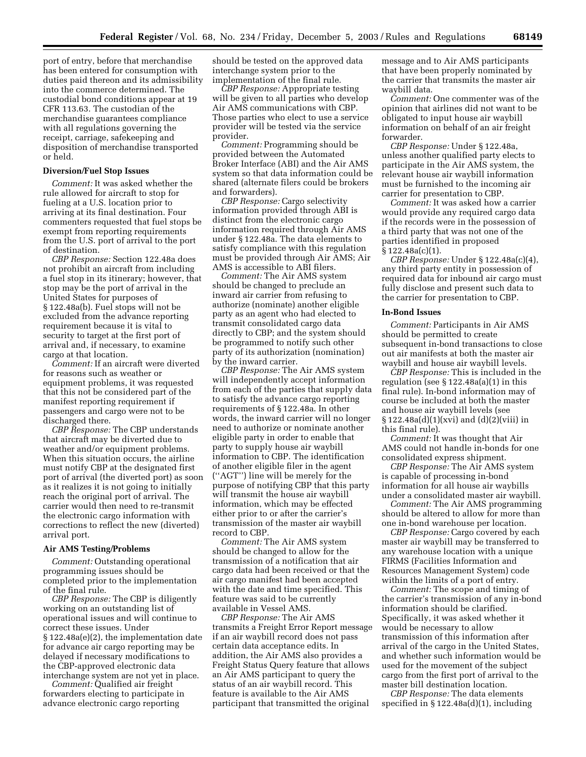port of entry, before that merchandise has been entered for consumption with duties paid thereon and its admissibility into the commerce determined. The custodial bond conditions appear at 19 CFR 113.63. The custodian of the merchandise guarantees compliance with all regulations governing the receipt, carriage, safekeeping and disposition of merchandise transported or held.

#### **Diversion/Fuel Stop Issues**

*Comment:* It was asked whether the rule allowed for aircraft to stop for fueling at a U.S. location prior to arriving at its final destination. Four commenters requested that fuel stops be exempt from reporting requirements from the U.S. port of arrival to the port of destination.

*CBP Response:* Section 122.48a does not prohibit an aircraft from including a fuel stop in its itinerary; however, that stop may be the port of arrival in the United States for purposes of § 122.48a(b). Fuel stops will not be excluded from the advance reporting requirement because it is vital to security to target at the first port of arrival and, if necessary, to examine cargo at that location.

*Comment:* If an aircraft were diverted for reasons such as weather or equipment problems, it was requested that this not be considered part of the manifest reporting requirement if passengers and cargo were not to be discharged there.

*CBP Response:* The CBP understands that aircraft may be diverted due to weather and/or equipment problems. When this situation occurs, the airline must notify CBP at the designated first port of arrival (the diverted port) as soon as it realizes it is not going to initially reach the original port of arrival. The carrier would then need to re-transmit the electronic cargo information with corrections to reflect the new (diverted) arrival port.

#### **Air AMS Testing/Problems**

*Comment:* Outstanding operational programming issues should be completed prior to the implementation of the final rule.

*CBP Response:* The CBP is diligently working on an outstanding list of operational issues and will continue to correct these issues. Under § 122.48a(e)(2), the implementation date for advance air cargo reporting may be delayed if necessary modifications to the CBP-approved electronic data interchange system are not yet in place.

*Comment:* Qualified air freight forwarders electing to participate in advance electronic cargo reporting

should be tested on the approved data interchange system prior to the implementation of the final rule.

*CBP Response:* Appropriate testing will be given to all parties who develop Air AMS communications with CBP. Those parties who elect to use a service provider will be tested via the service provider.

*Comment:* Programming should be provided between the Automated Broker Interface (ABI) and the Air AMS system so that data information could be shared (alternate filers could be brokers and forwarders).

*CBP Response:* Cargo selectivity information provided through ABI is distinct from the electronic cargo information required through Air AMS under § 122.48a. The data elements to satisfy compliance with this regulation must be provided through Air AMS; Air AMS is accessible to ABI filers.

*Comment:* The Air AMS system should be changed to preclude an inward air carrier from refusing to authorize (nominate) another eligible party as an agent who had elected to transmit consolidated cargo data directly to CBP; and the system should be programmed to notify such other party of its authorization (nomination) by the inward carrier.

*CBP Response:* The Air AMS system will independently accept information from each of the parties that supply data to satisfy the advance cargo reporting requirements of § 122.48a. In other words, the inward carrier will no longer need to authorize or nominate another eligible party in order to enable that party to supply house air waybill information to CBP. The identification of another eligible filer in the agent (''AGT'') line will be merely for the purpose of notifying CBP that this party will transmit the house air waybill information, which may be effected either prior to or after the carrier's transmission of the master air waybill record to CBP.

*Comment:* The Air AMS system should be changed to allow for the transmission of a notification that air cargo data had been received or that the air cargo manifest had been accepted with the date and time specified. This feature was said to be currently available in Vessel AMS.

*CBP Response:* The Air AMS transmits a Freight Error Report message if an air waybill record does not pass certain data acceptance edits. In addition, the Air AMS also provides a Freight Status Query feature that allows an Air AMS participant to query the status of an air waybill record. This feature is available to the Air AMS participant that transmitted the original

message and to Air AMS participants that have been properly nominated by the carrier that transmits the master air waybill data.

*Comment:* One commenter was of the opinion that airlines did not want to be obligated to input house air waybill information on behalf of an air freight forwarder.

*CBP Response:* Under § 122.48a, unless another qualified party elects to participate in the Air AMS system, the relevant house air waybill information must be furnished to the incoming air carrier for presentation to CBP.

*Comment:* It was asked how a carrier would provide any required cargo data if the records were in the possession of a third party that was not one of the parties identified in proposed § 122.48a(c)(1).

*CBP Response:* Under § 122.48a(c)(4), any third party entity in possession of required data for inbound air cargo must fully disclose and present such data to the carrier for presentation to CBP.

#### **In-Bond Issues**

*Comment:* Participants in Air AMS should be permitted to create subsequent in-bond transactions to close out air manifests at both the master air waybill and house air waybill levels.

*CBP Response:* This is included in the regulation (see § 122.48a(a)(1) in this final rule). In-bond information may of course be included at both the master and house air waybill levels (see  $§ 122.48a(d)(1)(xvi)$  and  $(d)(2)(viii)$  in this final rule).

*Comment:* It was thought that Air AMS could not handle in-bonds for one consolidated express shipment.

*CBP Response:* The Air AMS system is capable of processing in-bond information for all house air waybills under a consolidated master air waybill.

*Comment:* The Air AMS programming should be altered to allow for more than one in-bond warehouse per location.

*CBP Response:* Cargo covered by each master air waybill may be transferred to any warehouse location with a unique FIRMS (Facilities Information and Resources Management System) code within the limits of a port of entry.

*Comment:* The scope and timing of the carrier's transmission of any in-bond information should be clarified. Specifically, it was asked whether it would be necessary to allow transmission of this information after arrival of the cargo in the United States, and whether such information would be used for the movement of the subject cargo from the first port of arrival to the master bill destination location.

*CBP Response:* The data elements specified in § 122.48a(d)(1), including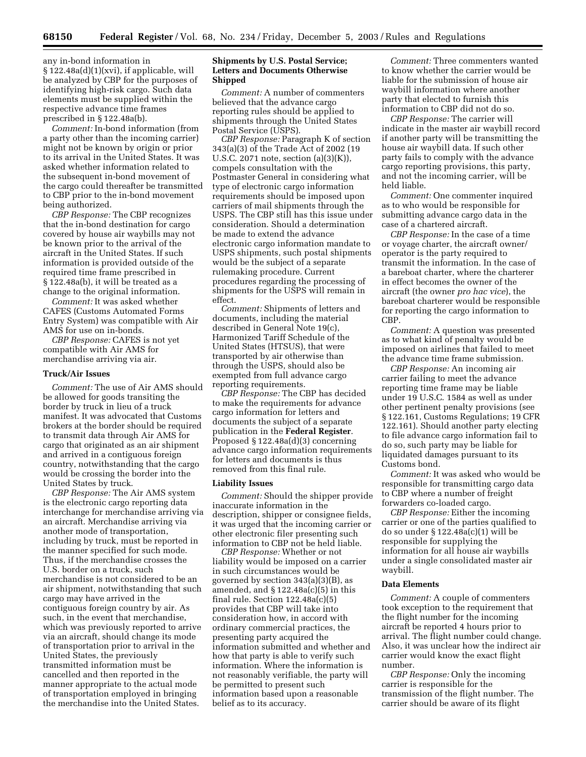any in-bond information in § 122.48a(d)(1)(xvi), if applicable, will be analyzed by CBP for the purposes of identifying high-risk cargo. Such data elements must be supplied within the respective advance time frames prescribed in § 122.48a(b).

*Comment:* In-bond information (from a party other than the incoming carrier) might not be known by origin or prior to its arrival in the United States. It was asked whether information related to the subsequent in-bond movement of the cargo could thereafter be transmitted to CBP prior to the in-bond movement being authorized.

*CBP Response:* The CBP recognizes that the in-bond destination for cargo covered by house air waybills may not be known prior to the arrival of the aircraft in the United States. If such information is provided outside of the required time frame prescribed in § 122.48a(b), it will be treated as a change to the original information.

*Comment:* It was asked whether CAFES (Customs Automated Forms Entry System) was compatible with Air AMS for use on in-bonds.

*CBP Response:* CAFES is not yet compatible with Air AMS for merchandise arriving via air.

## **Truck/Air Issues**

*Comment:* The use of Air AMS should be allowed for goods transiting the border by truck in lieu of a truck manifest. It was advocated that Customs brokers at the border should be required to transmit data through Air AMS for cargo that originated as an air shipment and arrived in a contiguous foreign country, notwithstanding that the cargo would be crossing the border into the United States by truck.

*CBP Response:* The Air AMS system is the electronic cargo reporting data interchange for merchandise arriving via an aircraft. Merchandise arriving via another mode of transportation, including by truck, must be reported in the manner specified for such mode. Thus, if the merchandise crosses the U.S. border on a truck, such merchandise is not considered to be an air shipment, notwithstanding that such cargo may have arrived in the contiguous foreign country by air. As such, in the event that merchandise, which was previously reported to arrive via an aircraft, should change its mode of transportation prior to arrival in the United States, the previously transmitted information must be cancelled and then reported in the manner appropriate to the actual mode of transportation employed in bringing the merchandise into the United States.

## **Shipments by U.S. Postal Service; Letters and Documents Otherwise Shipped**

*Comment:* A number of commenters believed that the advance cargo reporting rules should be applied to shipments through the United States Postal Service (USPS).

*CBP Response:* Paragraph K of section 343(a)(3) of the Trade Act of 2002 (19 U.S.C. 2071 note, section (a)(3)(K)), compels consultation with the Postmaster General in considering what type of electronic cargo information requirements should be imposed upon carriers of mail shipments through the USPS. The CBP still has this issue under consideration. Should a determination be made to extend the advance electronic cargo information mandate to USPS shipments, such postal shipments would be the subject of a separate rulemaking procedure. Current procedures regarding the processing of shipments for the USPS will remain in effect.

*Comment:* Shipments of letters and documents, including the material described in General Note 19(c), Harmonized Tariff Schedule of the United States (HTSUS), that were transported by air otherwise than through the USPS, should also be exempted from full advance cargo reporting requirements.

*CBP Response:* The CBP has decided to make the requirements for advance cargo information for letters and documents the subject of a separate publication in the **Federal Register**. Proposed § 122.48a(d)(3) concerning advance cargo information requirements for letters and documents is thus removed from this final rule.

#### **Liability Issues**

*Comment:* Should the shipper provide inaccurate information in the description, shipper or consignee fields, it was urged that the incoming carrier or other electronic filer presenting such information to CBP not be held liable.

*CBP Response:* Whether or not liability would be imposed on a carrier in such circumstances would be governed by section 343(a)(3)(B), as amended, and  $\S 122.48a(c)(5)$  in this final rule. Section 122.48a(c)(5) provides that CBP will take into consideration how, in accord with ordinary commercial practices, the presenting party acquired the information submitted and whether and how that party is able to verify such information. Where the information is not reasonably verifiable, the party will be permitted to present such information based upon a reasonable belief as to its accuracy.

*Comment:* Three commenters wanted to know whether the carrier would be liable for the submission of house air waybill information where another party that elected to furnish this information to CBP did not do so.

*CBP Response:* The carrier will indicate in the master air waybill record if another party will be transmitting the house air waybill data. If such other party fails to comply with the advance cargo reporting provisions, this party, and not the incoming carrier, will be held liable.

*Comment:* One commenter inquired as to who would be responsible for submitting advance cargo data in the case of a chartered aircraft.

*CBP Response:* In the case of a time or voyage charter, the aircraft owner/ operator is the party required to transmit the information. In the case of a bareboat charter, where the charterer in effect becomes the owner of the aircraft (the owner *pro hac vice*), the bareboat charterer would be responsible for reporting the cargo information to CBP.

*Comment:* A question was presented as to what kind of penalty would be imposed on airlines that failed to meet the advance time frame submission.

*CBP Response:* An incoming air carrier failing to meet the advance reporting time frame may be liable under 19 U.S.C. 1584 as well as under other pertinent penalty provisions (see § 122.161, Customs Regulations; 19 CFR 122.161). Should another party electing to file advance cargo information fail to do so, such party may be liable for liquidated damages pursuant to its Customs bond.

*Comment:* It was asked who would be responsible for transmitting cargo data to CBP where a number of freight forwarders co-loaded cargo.

*CBP Response:* Either the incoming carrier or one of the parties qualified to do so under § 122.48a(c)(1) will be responsible for supplying the information for all house air waybills under a single consolidated master air waybill.

#### **Data Elements**

*Comment:* A couple of commenters took exception to the requirement that the flight number for the incoming aircraft be reported 4 hours prior to arrival. The flight number could change. Also, it was unclear how the indirect air carrier would know the exact flight number.

*CBP Response:* Only the incoming carrier is responsible for the transmission of the flight number. The carrier should be aware of its flight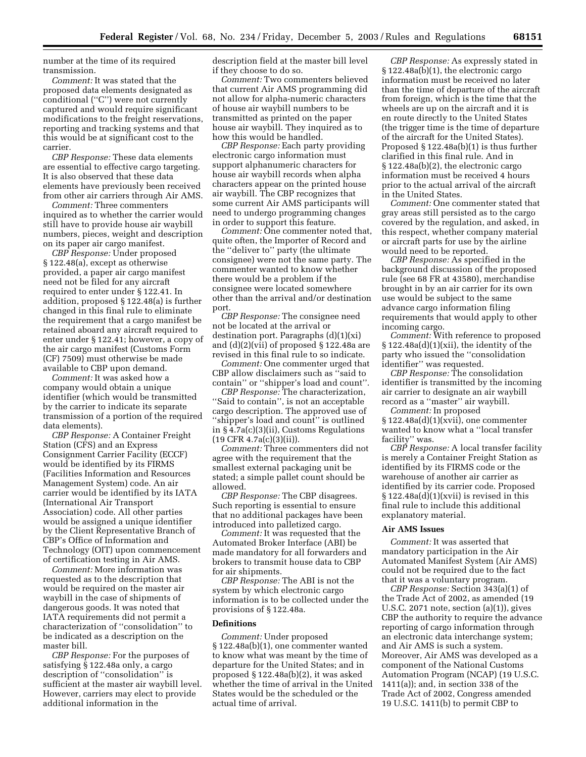number at the time of its required transmission.

*Comment:* It was stated that the proposed data elements designated as conditional (''C'') were not currently captured and would require significant modifications to the freight reservations, reporting and tracking systems and that this would be at significant cost to the carrier.

*CBP Response:* These data elements are essential to effective cargo targeting. It is also observed that these data elements have previously been received from other air carriers through Air AMS.

*Comment:* Three commenters inquired as to whether the carrier would still have to provide house air waybill numbers, pieces, weight and description on its paper air cargo manifest.

*CBP Response:* Under proposed § 122.48(a), except as otherwise provided, a paper air cargo manifest need not be filed for any aircraft required to enter under § 122.41. In addition, proposed § 122.48(a) is further changed in this final rule to eliminate the requirement that a cargo manifest be retained aboard any aircraft required to enter under § 122.41; however, a copy of the air cargo manifest (Customs Form (CF) 7509) must otherwise be made available to CBP upon demand.

*Comment:* It was asked how a company would obtain a unique identifier (which would be transmitted by the carrier to indicate its separate transmission of a portion of the required data elements).

*CBP Response:* A Container Freight Station (CFS) and an Express Consignment Carrier Facility (ECCF) would be identified by its FIRMS (Facilities Information and Resources Management System) code. An air carrier would be identified by its IATA (International Air Transport Association) code. All other parties would be assigned a unique identifier by the Client Representative Branch of CBP's Office of Information and Technology (OIT) upon commencement of certification testing in Air AMS.

*Comment:* More information was requested as to the description that would be required on the master air waybill in the case of shipments of dangerous goods. It was noted that IATA requirements did not permit a characterization of ''consolidation'' to be indicated as a description on the master bill.

*CBP Response:* For the purposes of satisfying § 122.48a only, a cargo description of ''consolidation'' is sufficient at the master air waybill level. However, carriers may elect to provide additional information in the

description field at the master bill level if they choose to do so.

*Comment:* Two commenters believed that current Air AMS programming did not allow for alpha-numeric characters of house air waybill numbers to be transmitted as printed on the paper house air waybill. They inquired as to how this would be handled.

*CBP Response:* Each party providing electronic cargo information must support alphanumeric characters for house air waybill records when alpha characters appear on the printed house air waybill. The CBP recognizes that some current Air AMS participants will need to undergo programming changes in order to support this feature.

*Comment:* One commenter noted that, quite often, the Importer of Record and the ''deliver to'' party (the ultimate consignee) were not the same party. The commenter wanted to know whether there would be a problem if the consignee were located somewhere other than the arrival and/or destination port.

*CBP Response:* The consignee need not be located at the arrival or destination port. Paragraphs  $(d)(1)(xi)$ and (d)(2)(vii) of proposed § 122.48a are revised in this final rule to so indicate.

*Comment:* One commenter urged that CBP allow disclaimers such as ''said to contain'' or ''shipper's load and count''.

*CBP Response:* The characterization, ''Said to contain'', is not an acceptable cargo description. The approved use of "shipper's load and count" is outlined in § 4.7a(c)(3)(ii), Customs Regulations  $(19$  CFR  $4.7a(c)(3)(ii)$ .

*Comment:* Three commenters did not agree with the requirement that the smallest external packaging unit be stated; a simple pallet count should be allowed.

*CBP Response:* The CBP disagrees. Such reporting is essential to ensure that no additional packages have been introduced into palletized cargo.

*Comment:* It was requested that the Automated Broker Interface (ABI) be made mandatory for all forwarders and brokers to transmit house data to CBP for air shipments.

*CBP Response:* The ABI is not the system by which electronic cargo information is to be collected under the provisions of § 122.48a.

## **Definitions**

*Comment:* Under proposed § 122.48a(b)(1), one commenter wanted to know what was meant by the time of departure for the United States; and in proposed § 122.48a(b)(2), it was asked whether the time of arrival in the United States would be the scheduled or the actual time of arrival.

*CBP Response:* As expressly stated in § 122.48a(b)(1), the electronic cargo information must be received no later than the time of departure of the aircraft from foreign, which is the time that the wheels are up on the aircraft and it is en route directly to the United States (the trigger time is the time of departure of the aircraft for the United States). Proposed § 122.48a(b)(1) is thus further clarified in this final rule. And in § 122.48a(b)(2), the electronic cargo information must be received 4 hours prior to the actual arrival of the aircraft in the United States.

*Comment:* One commenter stated that gray areas still persisted as to the cargo covered by the regulation, and asked, in this respect, whether company material or aircraft parts for use by the airline would need to be reported.

*CBP Response:* As specified in the background discussion of the proposed rule (see 68 FR at 43580), merchandise brought in by an air carrier for its own use would be subject to the same advance cargo information filing requirements that would apply to other incoming cargo.

*Comment:* With reference to proposed  $\S 122.48a(d)(1)(xii)$ , the identity of the party who issued the ''consolidation identifier'' was requested.

*CBP Response:* The consolidation identifier is transmitted by the incoming air carrier to designate an air waybill record as a ''master'' air waybill.

*Comment:* In proposed § 122.48a(d)(1)(xvii), one commenter wanted to know what a ''local transfer facility'' was.

*CBP Response:* A local transfer facility is merely a Container Freight Station as identified by its FIRMS code or the warehouse of another air carrier as identified by its carrier code. Proposed § 122.48a(d)(1)(xvii) is revised in this final rule to include this additional explanatory material.

#### **Air AMS Issues**

*Comment:* It was asserted that mandatory participation in the Air Automated Manifest System (Air AMS) could not be required due to the fact that it was a voluntary program.

*CBP Response:* Section 343(a)(1) of the Trade Act of 2002, as amended (19 U.S.C. 2071 note, section  $(a)(1)$ , gives CBP the authority to require the advance reporting of cargo information through an electronic data interchange system; and Air AMS is such a system. Moreover, Air AMS was developed as a component of the National Customs Automation Program (NCAP) (19 U.S.C. 1411(a)); and, in section 338 of the Trade Act of 2002, Congress amended 19 U.S.C. 1411(b) to permit CBP to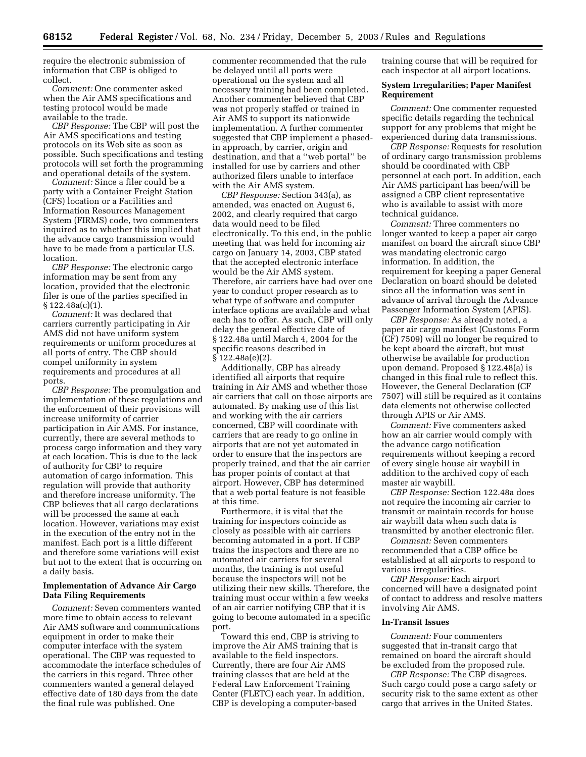require the electronic submission of information that CBP is obliged to collect.

*Comment:* One commenter asked when the Air AMS specifications and testing protocol would be made available to the trade.

*CBP Response:* The CBP will post the Air AMS specifications and testing protocols on its Web site as soon as possible. Such specifications and testing protocols will set forth the programming and operational details of the system.

*Comment:* Since a filer could be a party with a Container Freight Station (CFS) location or a Facilities and Information Resources Management System (FIRMS) code, two commenters inquired as to whether this implied that the advance cargo transmission would have to be made from a particular U.S. location.

*CBP Response:* The electronic cargo information may be sent from any location, provided that the electronic filer is one of the parties specified in § 122.48a(c)(1).

*Comment:* It was declared that carriers currently participating in Air AMS did not have uniform system requirements or uniform procedures at all ports of entry. The CBP should compel uniformity in system requirements and procedures at all ports.

*CBP Response:* The promulgation and implementation of these regulations and the enforcement of their provisions will increase uniformity of carrier participation in Air AMS. For instance, currently, there are several methods to process cargo information and they vary at each location. This is due to the lack of authority for CBP to require automation of cargo information. This regulation will provide that authority and therefore increase uniformity. The CBP believes that all cargo declarations will be processed the same at each location. However, variations may exist in the execution of the entry not in the manifest. Each port is a little different and therefore some variations will exist but not to the extent that is occurring on a daily basis.

## **Implementation of Advance Air Cargo Data Filing Requirements**

*Comment:* Seven commenters wanted more time to obtain access to relevant Air AMS software and communications equipment in order to make their computer interface with the system operational. The CBP was requested to accommodate the interface schedules of the carriers in this regard. Three other commenters wanted a general delayed effective date of 180 days from the date the final rule was published. One

commenter recommended that the rule be delayed until all ports were operational on the system and all necessary training had been completed. Another commenter believed that CBP was not properly staffed or trained in Air AMS to support its nationwide implementation. A further commenter suggested that CBP implement a phasedin approach, by carrier, origin and destination, and that a ''web portal'' be installed for use by carriers and other authorized filers unable to interface with the Air AMS system.

*CBP Response:* Section 343(a), as amended, was enacted on August 6, 2002, and clearly required that cargo data would need to be filed electronically. To this end, in the public meeting that was held for incoming air cargo on January 14, 2003, CBP stated that the accepted electronic interface would be the Air AMS system. Therefore, air carriers have had over one year to conduct proper research as to what type of software and computer interface options are available and what each has to offer. As such, CBP will only delay the general effective date of § 122.48a until March 4, 2004 for the specific reasons described in § 122.48a(e)(2).

Additionally, CBP has already identified all airports that require training in Air AMS and whether those air carriers that call on those airports are automated. By making use of this list and working with the air carriers concerned, CBP will coordinate with carriers that are ready to go online in airports that are not yet automated in order to ensure that the inspectors are properly trained, and that the air carrier has proper points of contact at that airport. However, CBP has determined that a web portal feature is not feasible at this time.

Furthermore, it is vital that the training for inspectors coincide as closely as possible with air carriers becoming automated in a port. If CBP trains the inspectors and there are no automated air carriers for several months, the training is not useful because the inspectors will not be utilizing their new skills. Therefore, the training must occur within a few weeks of an air carrier notifying CBP that it is going to become automated in a specific port.

Toward this end, CBP is striving to improve the Air AMS training that is available to the field inspectors. Currently, there are four Air AMS training classes that are held at the Federal Law Enforcement Training Center (FLETC) each year. In addition, CBP is developing a computer-based

training course that will be required for each inspector at all airport locations.

## **System Irregularities; Paper Manifest Requirement**

*Comment:* One commenter requested specific details regarding the technical support for any problems that might be experienced during data transmissions.

*CBP Response:* Requests for resolution of ordinary cargo transmission problems should be coordinated with CBP personnel at each port. In addition, each Air AMS participant has been/will be assigned a CBP client representative who is available to assist with more technical guidance.

*Comment:* Three commenters no longer wanted to keep a paper air cargo manifest on board the aircraft since CBP was mandating electronic cargo information. In addition, the requirement for keeping a paper General Declaration on board should be deleted since all the information was sent in advance of arrival through the Advance Passenger Information System (APIS).

*CBP Response:* As already noted, a paper air cargo manifest (Customs Form (CF) 7509) will no longer be required to be kept aboard the aircraft, but must otherwise be available for production upon demand. Proposed § 122.48(a) is changed in this final rule to reflect this. However, the General Declaration (CF 7507) will still be required as it contains data elements not otherwise collected through APIS or Air AMS.

*Comment:* Five commenters asked how an air carrier would comply with the advance cargo notification requirements without keeping a record of every single house air waybill in addition to the archived copy of each master air waybill.

*CBP Response:* Section 122.48a does not require the incoming air carrier to transmit or maintain records for house air waybill data when such data is transmitted by another electronic filer.

*Comment:* Seven commenters recommended that a CBP office be established at all airports to respond to various irregularities.

*CBP Response:* Each airport concerned will have a designated point of contact to address and resolve matters involving Air AMS.

#### **In-Transit Issues**

*Comment:* Four commenters suggested that in-transit cargo that remained on board the aircraft should be excluded from the proposed rule.

*CBP Response:* The CBP disagrees. Such cargo could pose a cargo safety or security risk to the same extent as other cargo that arrives in the United States.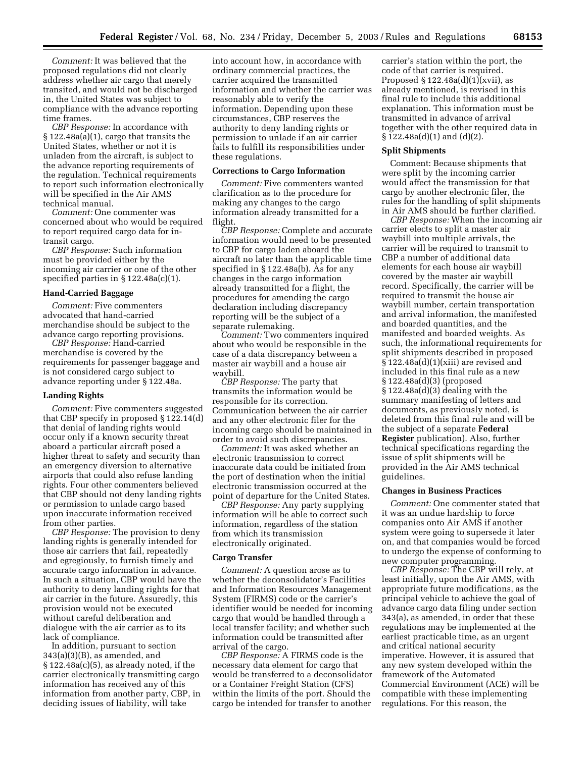*Comment:* It was believed that the proposed regulations did not clearly address whether air cargo that merely transited, and would not be discharged in, the United States was subject to compliance with the advance reporting time frames.

*CBP Response:* In accordance with § 122.48a(a)(1), cargo that transits the United States, whether or not it is unladen from the aircraft, is subject to the advance reporting requirements of the regulation. Technical requirements to report such information electronically will be specified in the Air AMS technical manual.

*Comment:* One commenter was concerned about who would be required to report required cargo data for intransit cargo.

*CBP Response:* Such information must be provided either by the incoming air carrier or one of the other specified parties in § 122.48a(c)(1).

## **Hand-Carried Baggage**

*Comment:* Five commenters advocated that hand-carried merchandise should be subject to the advance cargo reporting provisions.

*CBP Response:* Hand-carried merchandise is covered by the requirements for passenger baggage and is not considered cargo subject to advance reporting under § 122.48a.

## **Landing Rights**

*Comment:* Five commenters suggested that CBP specify in proposed § 122.14(d) that denial of landing rights would occur only if a known security threat aboard a particular aircraft posed a higher threat to safety and security than an emergency diversion to alternative airports that could also refuse landing rights. Four other commenters believed that CBP should not deny landing rights or permission to unlade cargo based upon inaccurate information received from other parties.

*CBP Response:* The provision to deny landing rights is generally intended for those air carriers that fail, repeatedly and egregiously, to furnish timely and accurate cargo information in advance. In such a situation, CBP would have the authority to deny landing rights for that air carrier in the future. Assuredly, this provision would not be executed without careful deliberation and dialogue with the air carrier as to its lack of compliance.

In addition, pursuant to section  $343(a)(3)(B)$ , as amended, and § 122.48a(c)(5), as already noted, if the carrier electronically transmitting cargo information has received any of this information from another party, CBP, in deciding issues of liability, will take

into account how, in accordance with ordinary commercial practices, the carrier acquired the transmitted information and whether the carrier was reasonably able to verify the information. Depending upon these circumstances, CBP reserves the authority to deny landing rights or permission to unlade if an air carrier fails to fulfill its responsibilities under these regulations.

## **Corrections to Cargo Information**

*Comment:* Five commenters wanted clarification as to the procedure for making any changes to the cargo information already transmitted for a flight.

*CBP Response:* Complete and accurate information would need to be presented to CBP for cargo laden aboard the aircraft no later than the applicable time specified in § 122.48a(b). As for any changes in the cargo information already transmitted for a flight, the procedures for amending the cargo declaration including discrepancy reporting will be the subject of a separate rulemaking.

*Comment:* Two commenters inquired about who would be responsible in the case of a data discrepancy between a master air waybill and a house air waybill.

*CBP Response:* The party that transmits the information would be responsible for its correction. Communication between the air carrier and any other electronic filer for the incoming cargo should be maintained in order to avoid such discrepancies.

*Comment:* It was asked whether an electronic transmission to correct inaccurate data could be initiated from the port of destination when the initial electronic transmission occurred at the point of departure for the United States.

*CBP Response:* Any party supplying information will be able to correct such information, regardless of the station from which its transmission electronically originated.

#### **Cargo Transfer**

*Comment:* A question arose as to whether the deconsolidator's Facilities and Information Resources Management System (FIRMS) code or the carrier's identifier would be needed for incoming cargo that would be handled through a local transfer facility; and whether such information could be transmitted after arrival of the cargo.

*CBP Response:* A FIRMS code is the necessary data element for cargo that would be transferred to a deconsolidator or a Container Freight Station (CFS) within the limits of the port. Should the cargo be intended for transfer to another

carrier's station within the port, the code of that carrier is required. Proposed  $\S 122.48a(d)(1)(xvii)$ , as already mentioned, is revised in this final rule to include this additional explanation. This information must be transmitted in advance of arrival together with the other required data in  $\S 122.48a(d)(1)$  and  $(d)(2)$ .

#### **Split Shipments**

Comment: Because shipments that were split by the incoming carrier would affect the transmission for that cargo by another electronic filer, the rules for the handling of split shipments in Air AMS should be further clarified.

*CBP Response:* When the incoming air carrier elects to split a master air waybill into multiple arrivals, the carrier will be required to transmit to CBP a number of additional data elements for each house air waybill covered by the master air waybill record. Specifically, the carrier will be required to transmit the house air waybill number, certain transportation and arrival information, the manifested and boarded quantities, and the manifested and boarded weights. As such, the informational requirements for split shipments described in proposed § 122.48a(d)(1)(xiii) are revised and included in this final rule as a new § 122.48a(d)(3) (proposed § 122.48a(d)(3) dealing with the summary manifesting of letters and documents, as previously noted, is deleted from this final rule and will be the subject of a separate **Federal Register** publication). Also, further technical specifications regarding the issue of split shipments will be provided in the Air AMS technical guidelines.

#### **Changes in Business Practices**

*Comment:* One commenter stated that it was an undue hardship to force companies onto Air AMS if another system were going to supersede it later on, and that companies would be forced to undergo the expense of conforming to new computer programming.

*CBP Response:* The CBP will rely, at least initially, upon the Air AMS, with appropriate future modifications, as the principal vehicle to achieve the goal of advance cargo data filing under section 343(a), as amended, in order that these regulations may be implemented at the earliest practicable time, as an urgent and critical national security imperative. However, it is assured that any new system developed within the framework of the Automated Commercial Environment (ACE) will be compatible with these implementing regulations. For this reason, the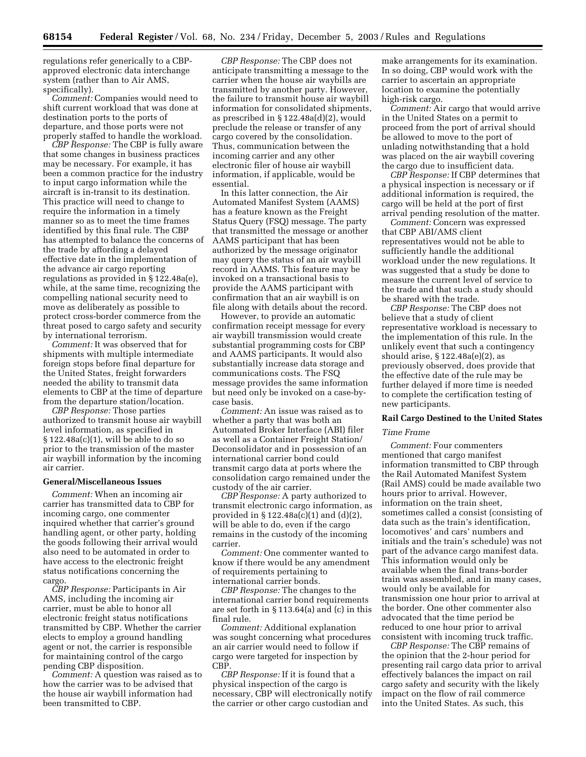regulations refer generically to a CBPapproved electronic data interchange system (rather than to Air AMS, specifically).

*Comment:* Companies would need to shift current workload that was done at destination ports to the ports of departure, and those ports were not properly staffed to handle the workload.

*CBP Response:* The CBP is fully aware that some changes in business practices may be necessary. For example, it has been a common practice for the industry to input cargo information while the aircraft is in-transit to its destination. This practice will need to change to require the information in a timely manner so as to meet the time frames identified by this final rule. The CBP has attempted to balance the concerns of the trade by affording a delayed effective date in the implementation of the advance air cargo reporting regulations as provided in § 122.48a(e), while, at the same time, recognizing the compelling national security need to move as deliberately as possible to protect cross-border commerce from the threat posed to cargo safety and security by international terrorism.

*Comment:* It was observed that for shipments with multiple intermediate foreign stops before final departure for the United States, freight forwarders needed the ability to transmit data elements to CBP at the time of departure from the departure station/location.

*CBP Response:* Those parties authorized to transmit house air waybill level information, as specified in  $\S 122.48a(c)(1)$ , will be able to do so prior to the transmission of the master air waybill information by the incoming air carrier.

## **General/Miscellaneous Issues**

*Comment:* When an incoming air carrier has transmitted data to CBP for incoming cargo, one commenter inquired whether that carrier's ground handling agent, or other party, holding the goods following their arrival would also need to be automated in order to have access to the electronic freight status notifications concerning the cargo.

*CBP Response:* Participants in Air AMS, including the incoming air carrier, must be able to honor all electronic freight status notifications transmitted by CBP. Whether the carrier elects to employ a ground handling agent or not, the carrier is responsible for maintaining control of the cargo pending CBP disposition.

*Comment:* A question was raised as to how the carrier was to be advised that the house air waybill information had been transmitted to CBP.

*CBP Response:* The CBP does not anticipate transmitting a message to the carrier when the house air waybills are transmitted by another party. However, the failure to transmit house air waybill information for consolidated shipments, as prescribed in § 122.48a(d)(2), would preclude the release or transfer of any cargo covered by the consolidation. Thus, communication between the incoming carrier and any other electronic filer of house air waybill information, if applicable, would be essential.

In this latter connection, the Air Automated Manifest System (AAMS) has a feature known as the Freight Status Query (FSQ) message. The party that transmitted the message or another AAMS participant that has been authorized by the message originator may query the status of an air waybill record in AAMS. This feature may be invoked on a transactional basis to provide the AAMS participant with confirmation that an air waybill is on file along with details about the record.

However, to provide an automatic confirmation receipt message for every air waybill transmission would create substantial programming costs for CBP and AAMS participants. It would also substantially increase data storage and communications costs. The FSQ message provides the same information but need only be invoked on a case-bycase basis.

*Comment:* An issue was raised as to whether a party that was both an Automated Broker Interface (ABI) filer as well as a Container Freight Station/ Deconsolidator and in possession of an international carrier bond could transmit cargo data at ports where the consolidation cargo remained under the custody of the air carrier.

*CBP Response:* A party authorized to transmit electronic cargo information, as provided in § 122.48a(c)(1) and (d)(2), will be able to do, even if the cargo remains in the custody of the incoming carrier.

*Comment:* One commenter wanted to know if there would be any amendment of requirements pertaining to international carrier bonds.

*CBP Response:* The changes to the international carrier bond requirements are set forth in § 113.64(a) and (c) in this final rule.

*Comment:* Additional explanation was sought concerning what procedures an air carrier would need to follow if cargo were targeted for inspection by CBP.

*CBP Response:* If it is found that a physical inspection of the cargo is necessary, CBP will electronically notify the carrier or other cargo custodian and

make arrangements for its examination. In so doing, CBP would work with the carrier to ascertain an appropriate location to examine the potentially high-risk cargo.

*Comment:* Air cargo that would arrive in the United States on a permit to proceed from the port of arrival should be allowed to move to the port of unlading notwithstanding that a hold was placed on the air waybill covering the cargo due to insufficient data.

*CBP Response:* If CBP determines that a physical inspection is necessary or if additional information is required, the cargo will be held at the port of first arrival pending resolution of the matter.

*Comment:* Concern was expressed that CBP ABI/AMS client representatives would not be able to sufficiently handle the additional workload under the new regulations. It was suggested that a study be done to measure the current level of service to the trade and that such a study should be shared with the trade.

*CBP Response:* The CBP does not believe that a study of client representative workload is necessary to the implementation of this rule. In the unlikely event that such a contingency should arise, § 122.48a(e)(2), as previously observed, does provide that the effective date of the rule may be further delayed if more time is needed to complete the certification testing of new participants.

#### **Rail Cargo Destined to the United States**

#### *Time Frame*

*Comment:* Four commenters mentioned that cargo manifest information transmitted to CBP through the Rail Automated Manifest System (Rail AMS) could be made available two hours prior to arrival. However, information on the train sheet, sometimes called a consist (consisting of data such as the train's identification, locomotives' and cars' numbers and initials and the train's schedule) was not part of the advance cargo manifest data. This information would only be available when the final trans-border train was assembled, and in many cases, would only be available for transmission one hour prior to arrival at the border. One other commenter also advocated that the time period be reduced to one hour prior to arrival consistent with incoming truck traffic.

*CBP Response:* The CBP remains of the opinion that the 2-hour period for presenting rail cargo data prior to arrival effectively balances the impact on rail cargo safety and security with the likely impact on the flow of rail commerce into the United States. As such, this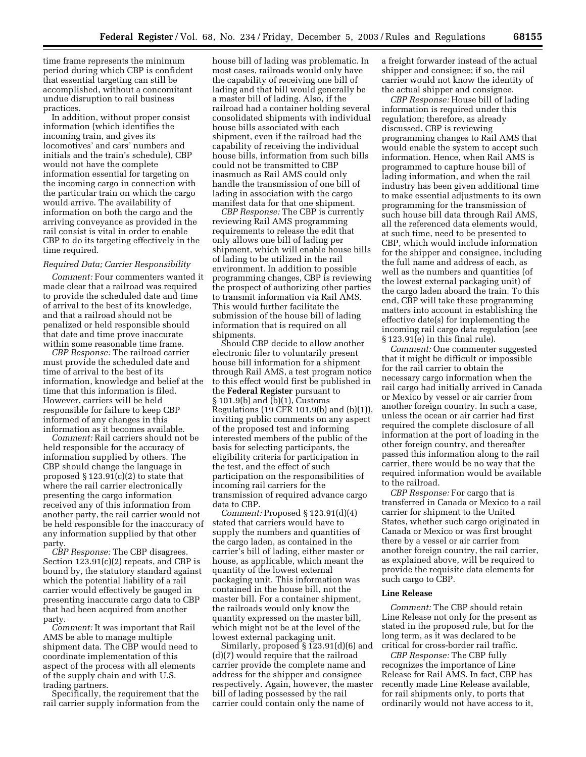time frame represents the minimum period during which CBP is confident that essential targeting can still be accomplished, without a concomitant undue disruption to rail business practices.

In addition, without proper consist information (which identifies the incoming train, and gives its locomotives' and cars' numbers and initials and the train's schedule), CBP would not have the complete information essential for targeting on the incoming cargo in connection with the particular train on which the cargo would arrive. The availability of information on both the cargo and the arriving conveyance as provided in the rail consist is vital in order to enable CBP to do its targeting effectively in the time required.

#### *Required Data; Carrier Responsibility*

*Comment:* Four commenters wanted it made clear that a railroad was required to provide the scheduled date and time of arrival to the best of its knowledge, and that a railroad should not be penalized or held responsible should that date and time prove inaccurate within some reasonable time frame.

*CBP Response:* The railroad carrier must provide the scheduled date and time of arrival to the best of its information, knowledge and belief at the time that this information is filed. However, carriers will be held responsible for failure to keep CBP informed of any changes in this information as it becomes available.

*Comment:* Rail carriers should not be held responsible for the accuracy of information supplied by others. The CBP should change the language in proposed  $\S 123.91(c)(2)$  to state that where the rail carrier electronically presenting the cargo information received any of this information from another party, the rail carrier would not be held responsible for the inaccuracy of any information supplied by that other party.

*CBP Response:* The CBP disagrees. Section 123.91(c)(2) repeats, and CBP is bound by, the statutory standard against which the potential liability of a rail carrier would effectively be gauged in presenting inaccurate cargo data to CBP that had been acquired from another party.

*Comment:* It was important that Rail AMS be able to manage multiple shipment data. The CBP would need to coordinate implementation of this aspect of the process with all elements of the supply chain and with U.S. trading partners.

Specifically, the requirement that the rail carrier supply information from the house bill of lading was problematic. In most cases, railroads would only have the capability of receiving one bill of lading and that bill would generally be a master bill of lading. Also, if the railroad had a container holding several consolidated shipments with individual house bills associated with each shipment, even if the railroad had the capability of receiving the individual house bills, information from such bills could not be transmitted to CBP inasmuch as Rail AMS could only handle the transmission of one bill of lading in association with the cargo manifest data for that one shipment.

*CBP Response:* The CBP is currently reviewing Rail AMS programming requirements to release the edit that only allows one bill of lading per shipment, which will enable house bills of lading to be utilized in the rail environment. In addition to possible programming changes, CBP is reviewing the prospect of authorizing other parties to transmit information via Rail AMS. This would further facilitate the submission of the house bill of lading information that is required on all shipments.

Should CBP decide to allow another electronic filer to voluntarily present house bill information for a shipment through Rail AMS, a test program notice to this effect would first be published in the **Federal Register** pursuant to § 101.9(b) and (b)(1), Customs Regulations (19 CFR 101.9(b) and (b)(1)), inviting public comments on any aspect of the proposed test and informing interested members of the public of the basis for selecting participants, the eligibility criteria for participation in the test, and the effect of such participation on the responsibilities of incoming rail carriers for the transmission of required advance cargo data to CBP.

*Comment:* Proposed § 123.91(d)(4) stated that carriers would have to supply the numbers and quantities of the cargo laden, as contained in the carrier's bill of lading, either master or house, as applicable, which meant the quantity of the lowest external packaging unit. This information was contained in the house bill, not the master bill. For a container shipment, the railroads would only know the quantity expressed on the master bill, which might not be at the level of the lowest external packaging unit.

Similarly, proposed § 123.91(d)(6) and (d)(7) would require that the railroad carrier provide the complete name and address for the shipper and consignee respectively. Again, however, the master bill of lading possessed by the rail carrier could contain only the name of

a freight forwarder instead of the actual shipper and consignee; if so, the rail carrier would not know the identity of the actual shipper and consignee.

*CBP Response:* House bill of lading information is required under this regulation; therefore, as already discussed, CBP is reviewing programming changes to Rail AMS that would enable the system to accept such information. Hence, when Rail AMS is programmed to capture house bill of lading information, and when the rail industry has been given additional time to make essential adjustments to its own programming for the transmission of such house bill data through Rail AMS, all the referenced data elements would, at such time, need to be presented to CBP, which would include information for the shipper and consignee, including the full name and address of each, as well as the numbers and quantities (of the lowest external packaging unit) of the cargo laden aboard the train. To this end, CBP will take these programming matters into account in establishing the effective date(s) for implementing the incoming rail cargo data regulation (see § 123.91(e) in this final rule).

*Comment:* One commenter suggested that it might be difficult or impossible for the rail carrier to obtain the necessary cargo information when the rail cargo had initially arrived in Canada or Mexico by vessel or air carrier from another foreign country. In such a case, unless the ocean or air carrier had first required the complete disclosure of all information at the port of loading in the other foreign country, and thereafter passed this information along to the rail carrier, there would be no way that the required information would be available to the railroad.

*CBP Response:* For cargo that is transferred in Canada or Mexico to a rail carrier for shipment to the United States, whether such cargo originated in Canada or Mexico or was first brought there by a vessel or air carrier from another foreign country, the rail carrier, as explained above, will be required to provide the requisite data elements for such cargo to CBP.

## **Line Release**

*Comment:* The CBP should retain Line Release not only for the present as stated in the proposed rule, but for the long term, as it was declared to be critical for cross-border rail traffic.

*CBP Response:* The CBP fully recognizes the importance of Line Release for Rail AMS. In fact, CBP has recently made Line Release available, for rail shipments only, to ports that ordinarily would not have access to it,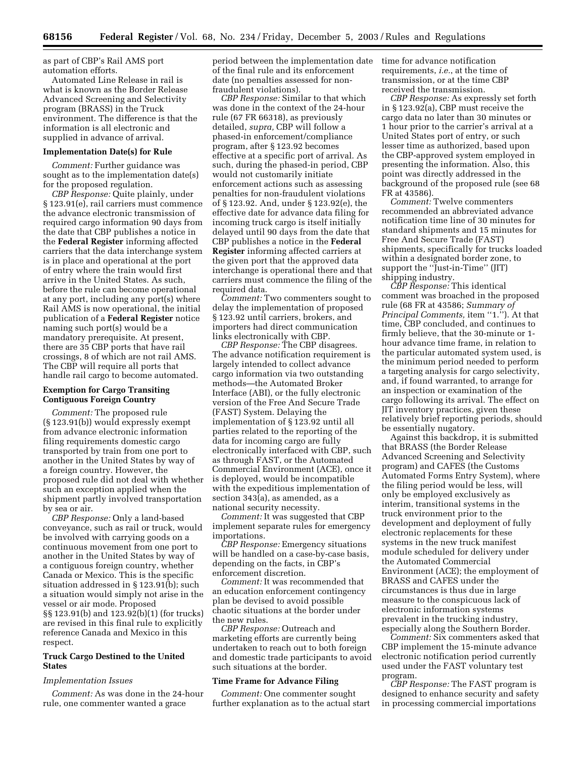as part of CBP's Rail AMS port automation efforts.

Automated Line Release in rail is what is known as the Border Release Advanced Screening and Selectivity program (BRASS) in the Truck environment. The difference is that the information is all electronic and supplied in advance of arrival.

#### **Implementation Date(s) for Rule**

*Comment:* Further guidance was sought as to the implementation date(s) for the proposed regulation.

*CBP Response:* Quite plainly, under § 123.91(e), rail carriers must commence the advance electronic transmission of required cargo information 90 days from the date that CBP publishes a notice in the **Federal Register** informing affected carriers that the data interchange system is in place and operational at the port of entry where the train would first arrive in the United States. As such, before the rule can become operational at any port, including any port(s) where Rail AMS is now operational, the initial publication of a **Federal Register** notice naming such port(s) would be a mandatory prerequisite. At present, there are 35 CBP ports that have rail crossings, 8 of which are not rail AMS. The CBP will require all ports that handle rail cargo to become automated.

## **Exemption for Cargo Transiting Contiguous Foreign Country**

*Comment:* The proposed rule (§ 123.91(b)) would expressly exempt from advance electronic information filing requirements domestic cargo transported by train from one port to another in the United States by way of a foreign country. However, the proposed rule did not deal with whether such an exception applied when the shipment partly involved transportation by sea or air.

*CBP Response:* Only a land-based conveyance, such as rail or truck, would be involved with carrying goods on a continuous movement from one port to another in the United States by way of a contiguous foreign country, whether Canada or Mexico. This is the specific situation addressed in § 123.91(b); such a situation would simply not arise in the vessel or air mode. Proposed §§ 123.91(b) and 123.92(b)(1) (for trucks) are revised in this final rule to explicitly reference Canada and Mexico in this respect.

## **Truck Cargo Destined to the United States**

#### *Implementation Issues*

*Comment:* As was done in the 24-hour rule, one commenter wanted a grace

period between the implementation date of the final rule and its enforcement date (no penalties assessed for nonfraudulent violations).

*CBP Response:* Similar to that which was done in the context of the 24-hour rule (67 FR 66318), as previously detailed, *supra,* CBP will follow a phased-in enforcement/compliance program, after § 123.92 becomes effective at a specific port of arrival. As such, during the phased-in period, CBP would not customarily initiate enforcement actions such as assessing penalties for non-fraudulent violations of § 123.92. And, under § 123.92(e), the effective date for advance data filing for incoming truck cargo is itself initially delayed until 90 days from the date that CBP publishes a notice in the **Federal Register** informing affected carriers at the given port that the approved data interchange is operational there and that carriers must commence the filing of the required data.

*Comment:* Two commenters sought to delay the implementation of proposed § 123.92 until carriers, brokers, and importers had direct communication links electronically with CBP.

*CBP Response:* The CBP disagrees. The advance notification requirement is largely intended to collect advance cargo information via two outstanding methods—the Automated Broker Interface (ABI), or the fully electronic version of the Free And Secure Trade (FAST) System. Delaying the implementation of § 123.92 until all parties related to the reporting of the data for incoming cargo are fully electronically interfaced with CBP, such as through FAST, or the Automated Commercial Environment (ACE), once it is deployed, would be incompatible with the expeditious implementation of section 343(a), as amended, as a national security necessity.

*Comment:* It was suggested that CBP implement separate rules for emergency importations.

*CBP Response:* Emergency situations will be handled on a case-by-case basis, depending on the facts, in CBP's enforcement discretion.

*Comment:* It was recommended that an education enforcement contingency plan be devised to avoid possible chaotic situations at the border under the new rules.

*CBP Response:* Outreach and marketing efforts are currently being undertaken to reach out to both foreign and domestic trade participants to avoid such situations at the border.

#### **Time Frame for Advance Filing**

*Comment:* One commenter sought further explanation as to the actual start time for advance notification requirements, *i.e.*, at the time of transmission, or at the time CBP received the transmission.

*CBP Response:* As expressly set forth in § 123.92(a), CBP must receive the cargo data no later than 30 minutes or 1 hour prior to the carrier's arrival at a United States port of entry, or such lesser time as authorized, based upon the CBP-approved system employed in presenting the information. Also, this point was directly addressed in the background of the proposed rule (see 68 FR at 43586).

*Comment:* Twelve commenters recommended an abbreviated advance notification time line of 30 minutes for standard shipments and 15 minutes for Free And Secure Trade (FAST) shipments, specifically for trucks loaded within a designated border zone, to support the ''Just-in-Time'' (JIT) shipping industry.

*CBP Response:* This identical comment was broached in the proposed rule (68 FR at 43586; *Summary of Principal Comments, item "1."*). At that time, CBP concluded, and continues to firmly believe, that the 30-minute or 1 hour advance time frame, in relation to the particular automated system used, is the minimum period needed to perform a targeting analysis for cargo selectivity, and, if found warranted, to arrange for an inspection or examination of the cargo following its arrival. The effect on JIT inventory practices, given these relatively brief reporting periods, should be essentially nugatory.

Against this backdrop, it is submitted that BRASS (the Border Release Advanced Screening and Selectivity program) and CAFES (the Customs Automated Forms Entry System), where the filing period would be less, will only be employed exclusively as interim, transitional systems in the truck environment prior to the development and deployment of fully electronic replacements for these systems in the new truck manifest module scheduled for delivery under the Automated Commercial Environment (ACE); the employment of BRASS and CAFES under the circumstances is thus due in large measure to the conspicuous lack of electronic information systems prevalent in the trucking industry, especially along the Southern Border.

*Comment:* Six commenters asked that CBP implement the 15-minute advance electronic notification period currently used under the FAST voluntary test program.

*CBP Response:* The FAST program is designed to enhance security and safety in processing commercial importations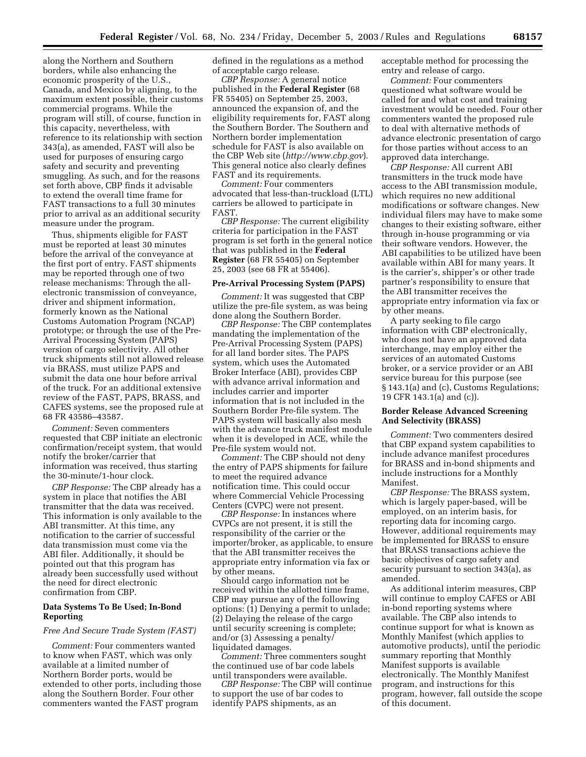along the Northern and Southern borders, while also enhancing the economic prosperity of the U.S., Canada, and Mexico by aligning, to the maximum extent possible, their customs commercial programs. While the program will still, of course, function in this capacity, nevertheless, with reference to its relationship with section 343(a), as amended, FAST will also be used for purposes of ensuring cargo safety and security and preventing smuggling. As such, and for the reasons set forth above, CBP finds it advisable to extend the overall time frame for FAST transactions to a full 30 minutes prior to arrival as an additional security measure under the program.

Thus, shipments eligible for FAST must be reported at least 30 minutes before the arrival of the conveyance at the first port of entry. FAST shipments may be reported through one of two release mechanisms: Through the allelectronic transmission of conveyance, driver and shipment information, formerly known as the National Customs Automation Program (NCAP) prototype; or through the use of the Pre-Arrival Processing System (PAPS) version of cargo selectivity. All other truck shipments still not allowed release via BRASS, must utilize PAPS and submit the data one hour before arrival of the truck. For an additional extensive review of the FAST, PAPS, BRASS, and CAFES systems, see the proposed rule at 68 FR 43586–43587.

*Comment:* Seven commenters requested that CBP initiate an electronic confirmation/receipt system, that would notify the broker/carrier that information was received, thus starting the 30-minute/1-hour clock.

*CBP Response:* The CBP already has a system in place that notifies the ABI transmitter that the data was received. This information is only available to the ABI transmitter. At this time, any notification to the carrier of successful data transmission must come via the ABI filer. Additionally, it should be pointed out that this program has already been successfully used without the need for direct electronic confirmation from CBP.

#### **Data Systems To Be Used; In-Bond Reporting**

#### *Free And Secure Trade System (FAST)*

*Comment:* Four commenters wanted to know when FAST, which was only available at a limited number of Northern Border ports, would be extended to other ports, including those along the Southern Border. Four other commenters wanted the FAST program

defined in the regulations as a method of acceptable cargo release.

*CBP Response:* A general notice published in the **Federal Register** (68 FR 55405) on September 25, 2003, announced the expansion of, and the eligibility requirements for, FAST along the Southern Border. The Southern and Northern border implementation schedule for FAST is also available on the CBP Web site (*<http://www.cbp.gov>*). This general notice also clearly defines FAST and its requirements.

*Comment:* Four commenters advocated that less-than-truckload (LTL) carriers be allowed to participate in FAST.

*CBP Response:* The current eligibility criteria for participation in the FAST program is set forth in the general notice that was published in the **Federal Register** (68 FR 55405) on September 25, 2003 (see 68 FR at 55406).

#### **Pre-Arrival Processing System (PAPS)**

*Comment:* It was suggested that CBP utilize the pre-file system, as was being done along the Southern Border.

*CBP Response:* The CBP contemplates mandating the implementation of the Pre-Arrival Processing System (PAPS) for all land border sites. The PAPS system, which uses the Automated Broker Interface (ABI), provides CBP with advance arrival information and includes carrier and importer information that is not included in the Southern Border Pre-file system. The PAPS system will basically also mesh with the advance truck manifest module when it is developed in ACE, while the Pre-file system would not.

*Comment:* The CBP should not deny the entry of PAPS shipments for failure to meet the required advance notification time. This could occur where Commercial Vehicle Processing Centers (CVPC) were not present.

*CBP Response:* In instances where CVPCs are not present, it is still the responsibility of the carrier or the importer/broker, as applicable, to ensure that the ABI transmitter receives the appropriate entry information via fax or by other means.

Should cargo information not be received within the allotted time frame, CBP may pursue any of the following options: (1) Denying a permit to unlade; (2) Delaying the release of the cargo until security screening is complete; and/or (3) Assessing a penalty/ liquidated damages.

*Comment:* Three commenters sought the continued use of bar code labels until transponders were available.

*CBP Response:* The CBP will continue to support the use of bar codes to identify PAPS shipments, as an

acceptable method for processing the entry and release of cargo.

*Comment:* Four commenters questioned what software would be called for and what cost and training investment would be needed. Four other commenters wanted the proposed rule to deal with alternative methods of advance electronic presentation of cargo for those parties without access to an approved data interchange.

*CBP Response:* All current ABI transmitters in the truck mode have access to the ABI transmission module, which requires no new additional modifications or software changes. New individual filers may have to make some changes to their existing software, either through in-house programming or via their software vendors. However, the ABI capabilities to be utilized have been available within ABI for many years. It is the carrier's, shipper's or other trade partner's responsibility to ensure that the ABI transmitter receives the appropriate entry information via fax or by other means.

A party seeking to file cargo information with CBP electronically, who does not have an approved data interchange, may employ either the services of an automated Customs broker, or a service provider or an ABI service bureau for this purpose (see § 143.1(a) and (c), Customs Regulations; 19 CFR 143.1(a) and (c)).

## **Border Release Advanced Screening And Selectivity (BRASS)**

*Comment:* Two commenters desired that CBP expand system capabilities to include advance manifest procedures for BRASS and in-bond shipments and include instructions for a Monthly Manifest.

*CBP Response:* The BRASS system, which is largely paper-based, will be employed, on an interim basis, for reporting data for incoming cargo. However, additional requirements may be implemented for BRASS to ensure that BRASS transactions achieve the basic objectives of cargo safety and security pursuant to section 343(a), as amended.

As additional interim measures, CBP will continue to employ CAFES or ABI in-bond reporting systems where available. The CBP also intends to continue support for what is known as Monthly Manifest (which applies to automotive products), until the periodic summary reporting that Monthly Manifest supports is available electronically. The Monthly Manifest program, and instructions for this program, however, fall outside the scope of this document.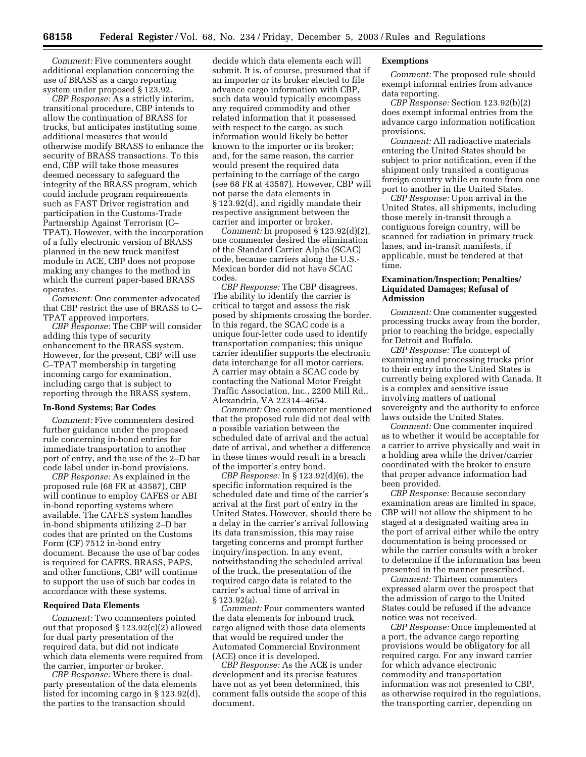*Comment:* Five commenters sought additional explanation concerning the use of BRASS as a cargo reporting system under proposed § 123.92.

*CBP Response:* As a strictly interim, transitional procedure, CBP intends to allow the continuation of BRASS for trucks, but anticipates instituting some additional measures that would otherwise modify BRASS to enhance the security of BRASS transactions. To this end, CBP will take those measures deemed necessary to safeguard the integrity of the BRASS program, which could include program requirements such as FAST Driver registration and participation in the Customs-Trade Partnership Against Terrorism (C– TPAT). However, with the incorporation of a fully electronic version of BRASS planned in the new truck manifest module in ACE, CBP does not propose making any changes to the method in which the current paper-based BRASS operates.

*Comment:* One commenter advocated that CBP restrict the use of BRASS to C– TPAT approved importers.

*CBP Response:* The CBP will consider adding this type of security enhancement to the BRASS system. However, for the present, CBP will use C–TPAT membership in targeting incoming cargo for examination, including cargo that is subject to reporting through the BRASS system.

#### **In-Bond Systems; Bar Codes**

*Comment:* Five commenters desired further guidance under the proposed rule concerning in-bond entries for immediate transportation to another port of entry, and the use of the 2–D bar code label under in-bond provisions.

*CBP Response:* As explained in the proposed rule (68 FR at 43587), CBP will continue to employ CAFES or ABI in-bond reporting systems where available. The CAFES system handles in-bond shipments utilizing 2–D bar codes that are printed on the Customs Form (CF) 7512 in-bond entry document. Because the use of bar codes is required for CAFES, BRASS, PAPS, and other functions, CBP will continue to support the use of such bar codes in accordance with these systems.

#### **Required Data Elements**

*Comment:* Two commenters pointed out that proposed § 123.92(c)(2) allowed for dual party presentation of the required data, but did not indicate which data elements were required from the carrier, importer or broker.

*CBP Response:* Where there is dualparty presentation of the data elements listed for incoming cargo in § 123.92(d), the parties to the transaction should

decide which data elements each will submit. It is, of course, presumed that if an importer or its broker elected to file advance cargo information with CBP, such data would typically encompass any required commodity and other related information that it possessed with respect to the cargo, as such information would likely be better known to the importer or its broker; and, for the same reason, the carrier would present the required data pertaining to the carriage of the cargo (see 68 FR at 43587). However, CBP will not parse the data elements in § 123.92(d), and rigidly mandate their respective assignment between the carrier and importer or broker.

*Comment:* In proposed § 123.92(d)(2), one commenter desired the elimination of the Standard Carrier Alpha (SCAC) code, because carriers along the U.S.- Mexican border did not have SCAC codes.

*CBP Response:* The CBP disagrees. The ability to identify the carrier is critical to target and assess the risk posed by shipments crossing the border. In this regard, the SCAC code is a unique four-letter code used to identify transportation companies; this unique carrier identifier supports the electronic data interchange for all motor carriers. A carrier may obtain a SCAC code by contacting the National Motor Freight Traffic Association, Inc., 2200 Mill Rd., Alexandria, VA 22314–4654.

*Comment:* One commenter mentioned that the proposed rule did not deal with a possible variation between the scheduled date of arrival and the actual date of arrival, and whether a difference in these times would result in a breach of the importer's entry bond.

*CBP Response:* In § 123.92(d)(6), the specific information required is the scheduled date and time of the carrier's arrival at the first port of entry in the United States. However, should there be a delay in the carrier's arrival following its data transmission, this may raise targeting concerns and prompt further inquiry/inspection. In any event, notwithstanding the scheduled arrival of the truck, the presentation of the required cargo data is related to the carrier's actual time of arrival in § 123.92(a).

*Comment:* Four commenters wanted the data elements for inbound truck cargo aligned with those data elements that would be required under the Automated Commercial Environment (ACE) once it is developed.

*CBP Response:* As the ACE is under development and its precise features have not as yet been determined, this comment falls outside the scope of this document.

## **Exemptions**

*Comment:* The proposed rule should exempt informal entries from advance data reporting.

*CBP Response:* Section 123.92(b)(2) does exempt informal entries from the advance cargo information notification provisions.

*Comment:* All radioactive materials entering the United States should be subject to prior notification, even if the shipment only transited a contiguous foreign country while en route from one port to another in the United States.

*CBP Response:* Upon arrival in the United States, all shipments, including those merely in-transit through a contiguous foreign country, will be scanned for radiation in primary truck lanes, and in-transit manifests, if applicable, must be tendered at that time.

## **Examination/Inspection; Penalties/ Liquidated Damages; Refusal of Admission**

*Comment:* One commenter suggested processing trucks away from the border, prior to reaching the bridge, especially for Detroit and Buffalo.

*CBP Response:* The concept of examining and processing trucks prior to their entry into the United States is currently being explored with Canada. It is a complex and sensitive issue involving matters of national sovereignty and the authority to enforce laws outside the United States.

*Comment:* One commenter inquired as to whether it would be acceptable for a carrier to arrive physically and wait in a holding area while the driver/carrier coordinated with the broker to ensure that proper advance information had been provided.

*CBP Response:* Because secondary examination areas are limited in space, CBP will not allow the shipment to be staged at a designated waiting area in the port of arrival either while the entry documentation is being processed or while the carrier consults with a broker to determine if the information has been presented in the manner prescribed.

*Comment:* Thirteen commenters expressed alarm over the prospect that the admission of cargo to the United States could be refused if the advance notice was not received.

*CBP Response:* Once implemented at a port, the advance cargo reporting provisions would be obligatory for all required cargo. For any inward carrier for which advance electronic commodity and transportation information was not presented to CBP, as otherwise required in the regulations, the transporting carrier, depending on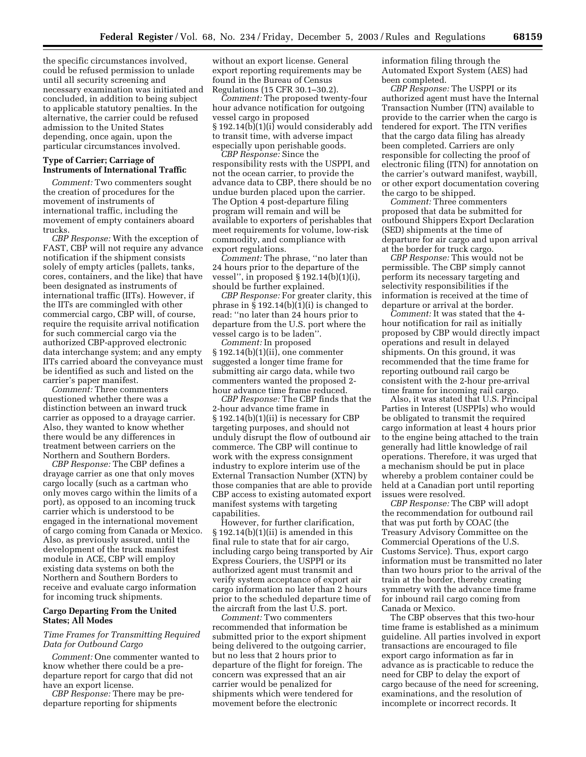the specific circumstances involved, could be refused permission to unlade until all security screening and necessary examination was initiated and concluded, in addition to being subject to applicable statutory penalties. In the alternative, the carrier could be refused admission to the United States depending, once again, upon the particular circumstances involved.

#### **Type of Carrier; Carriage of Instruments of International Traffic**

*Comment:* Two commenters sought the creation of procedures for the movement of instruments of international traffic, including the movement of empty containers aboard trucks.

*CBP Response:* With the exception of FAST, CBP will not require any advance notification if the shipment consists solely of empty articles (pallets, tanks, cores, containers, and the like) that have been designated as instruments of international traffic (IITs). However, if the IITs are commingled with other commercial cargo, CBP will, of course, require the requisite arrival notification for such commercial cargo via the authorized CBP-approved electronic data interchange system; and any empty IITs carried aboard the conveyance must be identified as such and listed on the carrier's paper manifest.

*Comment:* Three commenters questioned whether there was a distinction between an inward truck carrier as opposed to a drayage carrier. Also, they wanted to know whether there would be any differences in treatment between carriers on the Northern and Southern Borders.

*CBP Response:* The CBP defines a drayage carrier as one that only moves cargo locally (such as a cartman who only moves cargo within the limits of a port), as opposed to an incoming truck carrier which is understood to be engaged in the international movement of cargo coming from Canada or Mexico. Also, as previously assured, until the development of the truck manifest module in ACE, CBP will employ existing data systems on both the Northern and Southern Borders to receive and evaluate cargo information for incoming truck shipments.

## **Cargo Departing From the United States; All Modes**

## *Time Frames for Transmitting Required Data for Outbound Cargo*

*Comment:* One commenter wanted to know whether there could be a predeparture report for cargo that did not have an export license.

*CBP Response:* There may be predeparture reporting for shipments

without an export license. General export reporting requirements may be found in the Bureau of Census Regulations (15 CFR 30.1–30.2).

*Comment:* The proposed twenty-four hour advance notification for outgoing vessel cargo in proposed § 192.14(b)(1)(i) would considerably add to transit time, with adverse impact especially upon perishable goods.

*CBP Response:* Since the responsibility rests with the USPPI, and not the ocean carrier, to provide the advance data to CBP, there should be no undue burden placed upon the carrier. The Option 4 post-departure filing program will remain and will be available to exporters of perishables that meet requirements for volume, low-risk commodity, and compliance with export regulations.

*Comment:* The phrase, ''no later than 24 hours prior to the departure of the vessel'', in proposed § 192.14(b)(1)(i), should be further explained.

*CBP Response:* For greater clarity, this phrase in  $\S 192.14(b)(1)(i)$  is changed to read: ''no later than 24 hours prior to departure from the U.S. port where the vessel cargo is to be laden''.

*Comment:* In proposed § 192.14(b)(1)(ii), one commenter suggested a longer time frame for submitting air cargo data, while two commenters wanted the proposed 2 hour advance time frame reduced.

*CBP Response:* The CBP finds that the 2-hour advance time frame in § 192.14(b)(1)(ii) is necessary for CBP targeting purposes, and should not unduly disrupt the flow of outbound air commerce. The CBP will continue to work with the express consignment industry to explore interim use of the External Transaction Number (XTN) by those companies that are able to provide CBP access to existing automated export manifest systems with targeting capabilities.

However, for further clarification,  $§ 192.14(b)(1)(ii)$  is amended in this final rule to state that for air cargo, including cargo being transported by Air Express Couriers, the USPPI or its authorized agent must transmit and verify system acceptance of export air cargo information no later than 2 hours prior to the scheduled departure time of the aircraft from the last U.S. port.

*Comment:* Two commenters recommended that information be submitted prior to the export shipment being delivered to the outgoing carrier, but no less that 2 hours prior to departure of the flight for foreign. The concern was expressed that an air carrier would be penalized for shipments which were tendered for movement before the electronic

information filing through the Automated Export System (AES) had been completed.

*CBP Response:* The USPPI or its authorized agent must have the Internal Transaction Number (ITN) available to provide to the carrier when the cargo is tendered for export. The ITN verifies that the cargo data filing has already been completed. Carriers are only responsible for collecting the proof of electronic filing (ITN) for annotation on the carrier's outward manifest, waybill, or other export documentation covering the cargo to be shipped.

*Comment:* Three commenters proposed that data be submitted for outbound Shippers Export Declaration (SED) shipments at the time of departure for air cargo and upon arrival at the border for truck cargo.

*CBP Response:* This would not be permissible. The CBP simply cannot perform its necessary targeting and selectivity responsibilities if the information is received at the time of departure or arrival at the border.

*Comment:* It was stated that the 4 hour notification for rail as initially proposed by CBP would directly impact operations and result in delayed shipments. On this ground, it was recommended that the time frame for reporting outbound rail cargo be consistent with the 2-hour pre-arrival time frame for incoming rail cargo.

Also, it was stated that U.S. Principal Parties in Interest (USPPIs) who would be obligated to transmit the required cargo information at least 4 hours prior to the engine being attached to the train generally had little knowledge of rail operations. Therefore, it was urged that a mechanism should be put in place whereby a problem container could be held at a Canadian port until reporting issues were resolved.

*CBP Response:* The CBP will adopt the recommendation for outbound rail that was put forth by COAC (the Treasury Advisory Committee on the Commercial Operations of the U.S. Customs Service). Thus, export cargo information must be transmitted no later than two hours prior to the arrival of the train at the border, thereby creating symmetry with the advance time frame for inbound rail cargo coming from Canada or Mexico.

The CBP observes that this two-hour time frame is established as a minimum guideline. All parties involved in export transactions are encouraged to file export cargo information as far in advance as is practicable to reduce the need for CBP to delay the export of cargo because of the need for screening, examinations, and the resolution of incomplete or incorrect records. It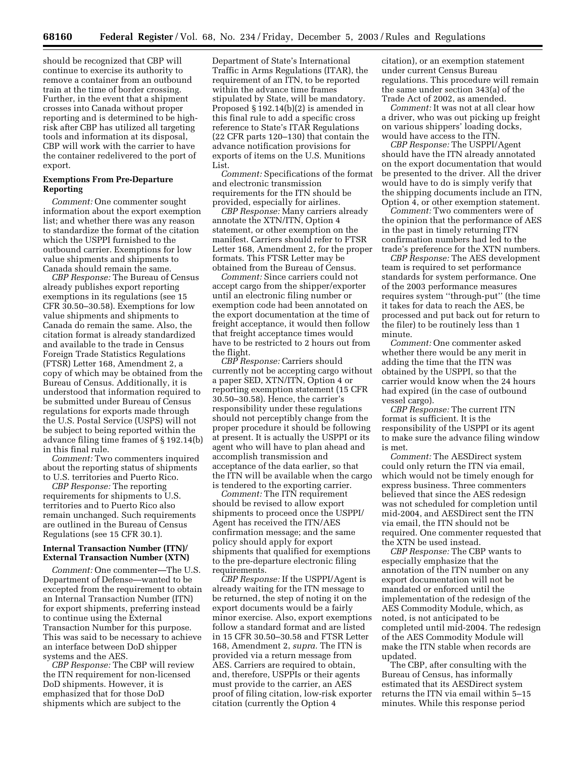should be recognized that CBP will continue to exercise its authority to remove a container from an outbound train at the time of border crossing. Further, in the event that a shipment crosses into Canada without proper reporting and is determined to be highrisk after CBP has utilized all targeting tools and information at its disposal, CBP will work with the carrier to have the container redelivered to the port of export.

## **Exemptions From Pre-Departure Reporting**

*Comment:* One commenter sought information about the export exemption list; and whether there was any reason to standardize the format of the citation which the USPPI furnished to the outbound carrier. Exemptions for low value shipments and shipments to Canada should remain the same.

*CBP Response:* The Bureau of Census already publishes export reporting exemptions in its regulations (see 15 CFR 30.50–30.58). Exemptions for low value shipments and shipments to Canada do remain the same. Also, the citation format is already standardized and available to the trade in Census Foreign Trade Statistics Regulations (FTSR) Letter 168, Amendment 2, a copy of which may be obtained from the Bureau of Census. Additionally, it is understood that information required to be submitted under Bureau of Census regulations for exports made through the U.S. Postal Service (USPS) will not be subject to being reported within the advance filing time frames of § 192.14(b) in this final rule.

*Comment:* Two commenters inquired about the reporting status of shipments to U.S. territories and Puerto Rico.

*CBP Response:* The reporting requirements for shipments to U.S. territories and to Puerto Rico also remain unchanged. Such requirements are outlined in the Bureau of Census Regulations (see 15 CFR 30.1).

## **Internal Transaction Number (ITN)/ External Transaction Number (XTN)**

*Comment:* One commenter—The U.S. Department of Defense—wanted to be excepted from the requirement to obtain an Internal Transaction Number (ITN) for export shipments, preferring instead to continue using the External Transaction Number for this purpose. This was said to be necessary to achieve an interface between DoD shipper systems and the AES.

*CBP Response:* The CBP will review the ITN requirement for non-licensed DoD shipments. However, it is emphasized that for those DoD shipments which are subject to the

Department of State's International Traffic in Arms Regulations (ITAR), the requirement of an ITN, to be reported within the advance time frames stipulated by State, will be mandatory. Proposed § 192.14(b)(2) is amended in this final rule to add a specific cross reference to State's ITAR Regulations (22 CFR parts 120–130) that contain the advance notification provisions for exports of items on the U.S. Munitions List.

*Comment:* Specifications of the format and electronic transmission requirements for the ITN should be provided, especially for airlines.

*CBP Response:* Many carriers already annotate the XTN/ITN, Option 4 statement, or other exemption on the manifest. Carriers should refer to FTSR Letter 168, Amendment 2, for the proper formats. This FTSR Letter may be obtained from the Bureau of Census.

*Comment:* Since carriers could not accept cargo from the shipper/exporter until an electronic filing number or exemption code had been annotated on the export documentation at the time of freight acceptance, it would then follow that freight acceptance times would have to be restricted to 2 hours out from the flight.

*CBP Response:* Carriers should currently not be accepting cargo without a paper SED, XTN/ITN, Option 4 or reporting exemption statement (15 CFR 30.50–30.58). Hence, the carrier's responsibility under these regulations should not perceptibly change from the proper procedure it should be following at present. It is actually the USPPI or its agent who will have to plan ahead and accomplish transmission and acceptance of the data earlier, so that the ITN will be available when the cargo is tendered to the exporting carrier.

*Comment:* The ITN requirement should be revised to allow export shipments to proceed once the USPPI/ Agent has received the ITN/AES confirmation message; and the same policy should apply for export shipments that qualified for exemptions to the pre-departure electronic filing requirements.

*CBP Response:* If the USPPI/Agent is already waiting for the ITN message to be returned, the step of noting it on the export documents would be a fairly minor exercise. Also, export exemptions follow a standard format and are listed in 15 CFR 30.50–30.58 and FTSR Letter 168, Amendment 2, *supra.* The ITN is provided via a return message from AES. Carriers are required to obtain, and, therefore, USPPIs or their agents must provide to the carrier, an AES proof of filing citation, low-risk exporter citation (currently the Option 4

citation), or an exemption statement under current Census Bureau regulations. This procedure will remain the same under section 343(a) of the Trade Act of 2002, as amended.

*Comment:* It was not at all clear how a driver, who was out picking up freight on various shippers' loading docks, would have access to the ITN.

*CBP Response:* The USPPI/Agent should have the ITN already annotated on the export documentation that would be presented to the driver. All the driver would have to do is simply verify that the shipping documents include an ITN, Option 4, or other exemption statement.

*Comment:* Two commenters were of the opinion that the performance of AES in the past in timely returning ITN confirmation numbers had led to the trade's preference for the XTN numbers.

*CBP Response:* The AES development team is required to set performance standards for system performance. One of the 2003 performance measures requires system ''through-put'' (the time it takes for data to reach the AES, be processed and put back out for return to the filer) to be routinely less than 1 minute.

*Comment:* One commenter asked whether there would be any merit in adding the time that the ITN was obtained by the USPPI, so that the carrier would know when the 24 hours had expired (in the case of outbound vessel cargo).

*CBP Response:* The current ITN format is sufficient. It is the responsibility of the USPPI or its agent to make sure the advance filing window is met.

*Comment:* The AESDirect system could only return the ITN via email, which would not be timely enough for express business. Three commenters believed that since the AES redesign was not scheduled for completion until mid-2004, and AESDirect sent the ITN via email, the ITN should not be required. One commenter requested that the XTN be used instead.

*CBP Response:* The CBP wants to especially emphasize that the annotation of the ITN number on any export documentation will not be mandated or enforced until the implementation of the redesign of the AES Commodity Module, which, as noted, is not anticipated to be completed until mid-2004. The redesign of the AES Commodity Module will make the ITN stable when records are updated.

The CBP, after consulting with the Bureau of Census, has informally estimated that its AESDirect system returns the ITN via email within 5–15 minutes. While this response period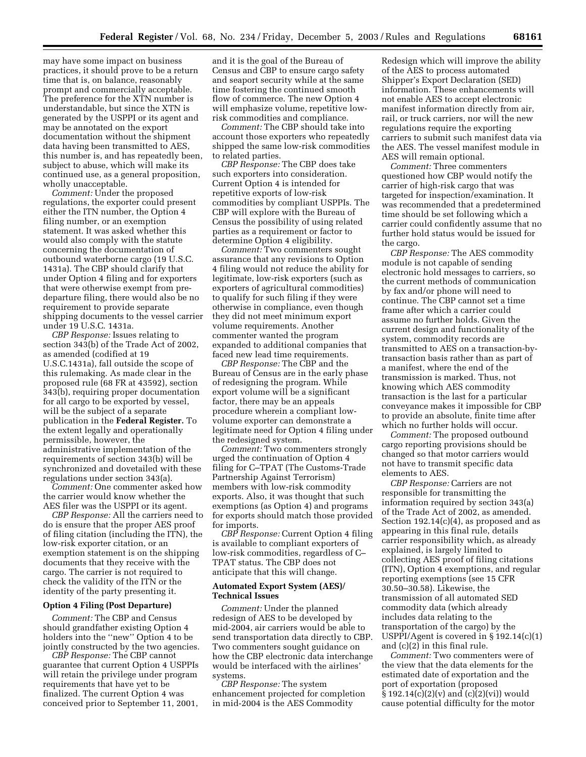may have some impact on business practices, it should prove to be a return time that is, on balance, reasonably prompt and commercially acceptable. The preference for the XTN number is understandable, but since the XTN is generated by the USPPI or its agent and may be annotated on the export documentation without the shipment data having been transmitted to AES, this number is, and has repeatedly been, subject to abuse, which will make its continued use, as a general proposition, wholly unacceptable.

*Comment:* Under the proposed regulations, the exporter could present either the ITN number, the Option 4 filing number, or an exemption statement. It was asked whether this would also comply with the statute concerning the documentation of outbound waterborne cargo (19 U.S.C. 1431a). The CBP should clarify that under Option 4 filing and for exporters that were otherwise exempt from predeparture filing, there would also be no requirement to provide separate shipping documents to the vessel carrier under 19 U.S.C. 1431a.

*CBP Response:* Issues relating to section 343(b) of the Trade Act of 2002, as amended (codified at 19 U.S.C.1431a), fall outside the scope of this rulemaking. As made clear in the proposed rule (68 FR at 43592), section 343(b), requiring proper documentation for all cargo to be exported by vessel, will be the subject of a separate publication in the **Federal Register.** To the extent legally and operationally permissible, however, the administrative implementation of the requirements of section 343(b) will be synchronized and dovetailed with these regulations under section 343(a).

*Comment:* One commenter asked how the carrier would know whether the AES filer was the USPPI or its agent.

*CBP Response:* All the carriers need to do is ensure that the proper AES proof of filing citation (including the ITN), the low-risk exporter citation, or an exemption statement is on the shipping documents that they receive with the cargo. The carrier is not required to check the validity of the ITN or the identity of the party presenting it.

## **Option 4 Filing (Post Departure)**

*Comment:* The CBP and Census should grandfather existing Option 4 holders into the ''new'' Option 4 to be jointly constructed by the two agencies.

*CBP Response:* The CBP cannot guarantee that current Option 4 USPPIs will retain the privilege under program requirements that have yet to be finalized. The current Option 4 was conceived prior to September 11, 2001,

and it is the goal of the Bureau of Census and CBP to ensure cargo safety and seaport security while at the same time fostering the continued smooth flow of commerce. The new Option 4 will emphasize volume, repetitive lowrisk commodities and compliance.

*Comment:* The CBP should take into account those exporters who repeatedly shipped the same low-risk commodities to related parties.

*CBP Response:* The CBP does take such exporters into consideration. Current Option 4 is intended for repetitive exports of low-risk commodities by compliant USPPIs. The CBP will explore with the Bureau of Census the possibility of using related parties as a requirement or factor to determine Option 4 eligibility.

*Comment:* Two commenters sought assurance that any revisions to Option 4 filing would not reduce the ability for legitimate, low-risk exporters (such as exporters of agricultural commodities) to qualify for such filing if they were otherwise in compliance, even though they did not meet minimum export volume requirements. Another commenter wanted the program expanded to additional companies that faced new lead time requirements.

*CBP Response:* The CBP and the Bureau of Census are in the early phase of redesigning the program. While export volume will be a significant factor, there may be an appeals procedure wherein a compliant lowvolume exporter can demonstrate a legitimate need for Option 4 filing under the redesigned system.

*Comment:* Two commenters strongly urged the continuation of Option 4 filing for C–TPAT (The Customs-Trade Partnership Against Terrorism) members with low-risk commodity exports. Also, it was thought that such exemptions (as Option 4) and programs for exports should match those provided for imports.

*CBP Response:* Current Option 4 filing is available to compliant exporters of low-risk commodities, regardless of C– TPAT status. The CBP does not anticipate that this will change.

#### **Automated Export System (AES)/ Technical Issues**

*Comment:* Under the planned redesign of AES to be developed by mid-2004, air carriers would be able to send transportation data directly to CBP. Two commenters sought guidance on how the CBP electronic data interchange would be interfaced with the airlines' systems.

*CBP Response:* The system enhancement projected for completion in mid-2004 is the AES Commodity

Redesign which will improve the ability of the AES to process automated Shipper's Export Declaration (SED) information. These enhancements will not enable AES to accept electronic manifest information directly from air, rail, or truck carriers, nor will the new regulations require the exporting carriers to submit such manifest data via the AES. The vessel manifest module in AES will remain optional.

*Comment:* Three commenters questioned how CBP would notify the carrier of high-risk cargo that was targeted for inspection/examination. It was recommended that a predetermined time should be set following which a carrier could confidently assume that no further hold status would be issued for the cargo.

*CBP Response:* The AES commodity module is not capable of sending electronic hold messages to carriers, so the current methods of communication by fax and/or phone will need to continue. The CBP cannot set a time frame after which a carrier could assume no further holds. Given the current design and functionality of the system, commodity records are transmitted to AES on a transaction-bytransaction basis rather than as part of a manifest, where the end of the transmission is marked. Thus, not knowing which AES commodity transaction is the last for a particular conveyance makes it impossible for CBP to provide an absolute, finite time after which no further holds will occur.

*Comment:* The proposed outbound cargo reporting provisions should be changed so that motor carriers would not have to transmit specific data elements to AES.

*CBP Response:* Carriers are not responsible for transmitting the information required by section 343(a) of the Trade Act of 2002, as amended. Section 192.14(c)(4), as proposed and as appearing in this final rule, details carrier responsibility which, as already explained, is largely limited to collecting AES proof of filing citations (ITN), Option 4 exemptions, and regular reporting exemptions (see 15 CFR 30.50–30.58). Likewise, the transmission of all automated SED commodity data (which already includes data relating to the transportation of the cargo) by the USPPI/Agent is covered in § 192.14(c)(1) and (c)(2) in this final rule.

*Comment:* Two commenters were of the view that the data elements for the estimated date of exportation and the port of exportation (proposed  $§ 192.14(c)(2)(v)$  and  $(c)(2)(vi))$  would cause potential difficulty for the motor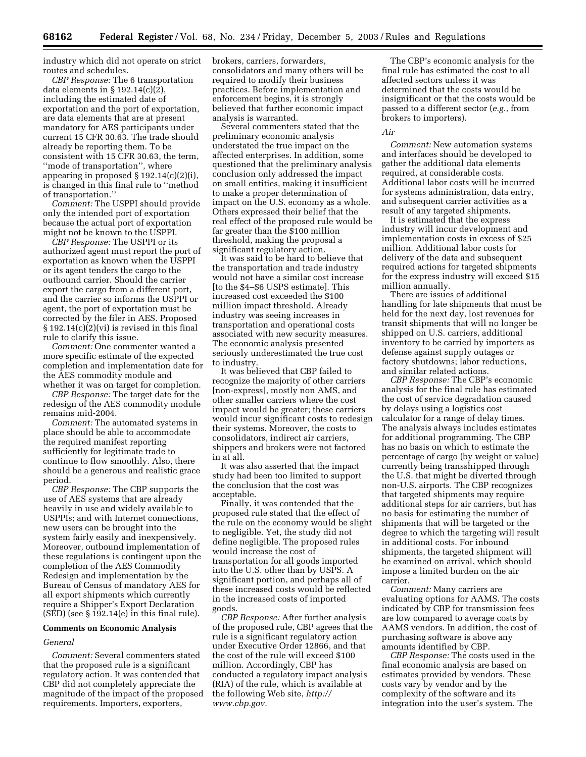industry which did not operate on strict routes and schedules.

*CBP Response:* The 6 transportation data elements in  $\S 192.14(c)(2)$ including the estimated date of exportation and the port of exportation, are data elements that are at present mandatory for AES participants under current 15 CFR 30.63. The trade should already be reporting them. To be consistent with 15 CFR 30.63, the term, ''mode of transportation'', where appearing in proposed § 192.14(c)(2)(i), is changed in this final rule to ''method of transportation.''

*Comment:* The USPPI should provide only the intended port of exportation because the actual port of exportation might not be known to the USPPI.

*CBP Response:* The USPPI or its authorized agent must report the port of exportation as known when the USPPI or its agent tenders the cargo to the outbound carrier. Should the carrier export the cargo from a different port, and the carrier so informs the USPPI or agent, the port of exportation must be corrected by the filer in AES. Proposed § 192.14(c)(2)(vi) is revised in this final rule to clarify this issue.

*Comment:* One commenter wanted a more specific estimate of the expected completion and implementation date for the AES commodity module and whether it was on target for completion.

*CBP Response:* The target date for the redesign of the AES commodity module remains mid-2004.

*Comment:* The automated systems in place should be able to accommodate the required manifest reporting sufficiently for legitimate trade to continue to flow smoothly. Also, there should be a generous and realistic grace period.

*CBP Response:* The CBP supports the use of AES systems that are already heavily in use and widely available to USPPIs; and with Internet connections, new users can be brought into the system fairly easily and inexpensively. Moreover, outbound implementation of these regulations is contingent upon the completion of the AES Commodity Redesign and implementation by the Bureau of Census of mandatory AES for all export shipments which currently require a Shipper's Export Declaration (SED) (see § 192.14(e) in this final rule).

#### **Comments on Economic Analysis**

#### *General*

*Comment:* Several commenters stated that the proposed rule is a significant regulatory action. It was contended that CBP did not completely appreciate the magnitude of the impact of the proposed requirements. Importers, exporters,

brokers, carriers, forwarders, consolidators and many others will be required to modify their business practices. Before implementation and enforcement begins, it is strongly believed that further economic impact analysis is warranted.

Several commenters stated that the preliminary economic analysis understated the true impact on the affected enterprises. In addition, some questioned that the preliminary analysis conclusion only addressed the impact on small entities, making it insufficient to make a proper determination of impact on the U.S. economy as a whole. Others expressed their belief that the real effect of the proposed rule would be far greater than the \$100 million threshold, making the proposal a significant regulatory action.

It was said to be hard to believe that the transportation and trade industry would not have a similar cost increase [to the \$4–\$6 USPS estimate]. This increased cost exceeded the \$100 million impact threshold. Already industry was seeing increases in transportation and operational costs associated with new security measures. The economic analysis presented seriously underestimated the true cost to industry.

It was believed that CBP failed to recognize the majority of other carriers [non-express], mostly non AMS, and other smaller carriers where the cost impact would be greater; these carriers would incur significant costs to redesign their systems. Moreover, the costs to consolidators, indirect air carriers, shippers and brokers were not factored in at all.

It was also asserted that the impact study had been too limited to support the conclusion that the cost was acceptable.

Finally, it was contended that the proposed rule stated that the effect of the rule on the economy would be slight to negligible. Yet, the study did not define negligible. The proposed rules would increase the cost of transportation for all goods imported into the U.S. other than by USPS. A significant portion, and perhaps all of these increased costs would be reflected in the increased costs of imported goods.

*CBP Response:* After further analysis of the proposed rule, CBP agrees that the rule is a significant regulatory action under Executive Order 12866, and that the cost of the rule will exceed \$100 million. Accordingly, CBP has conducted a regulatory impact analysis (RIA) of the rule, which is available at [the following Web site,](http://www.cbp.gov) *http:// www.cbp.gov.*

The CBP's economic analysis for the final rule has estimated the cost to all affected sectors unless it was determined that the costs would be insignificant or that the costs would be passed to a different sector (*e.g.*, from brokers to importers).

#### *Air*

*Comment:* New automation systems and interfaces should be developed to gather the additional data elements required, at considerable costs. Additional labor costs will be incurred for systems administration, data entry, and subsequent carrier activities as a result of any targeted shipments.

It is estimated that the express industry will incur development and implementation costs in excess of \$25 million. Additional labor costs for delivery of the data and subsequent required actions for targeted shipments for the express industry will exceed \$15 million annually.

There are issues of additional handling for late shipments that must be held for the next day, lost revenues for transit shipments that will no longer be shipped on U.S. carriers, additional inventory to be carried by importers as defense against supply outages or factory shutdowns; labor reductions, and similar related actions.

*CBP Response:* The CBP's economic analysis for the final rule has estimated the cost of service degradation caused by delays using a logistics cost calculator for a range of delay times. The analysis always includes estimates for additional programming. The CBP has no basis on which to estimate the percentage of cargo (by weight or value) currently being transshipped through the U.S. that might be diverted through non-U.S. airports. The CBP recognizes that targeted shipments may require additional steps for air carriers, but has no basis for estimating the number of shipments that will be targeted or the degree to which the targeting will result in additional costs. For inbound shipments, the targeted shipment will be examined on arrival, which should impose a limited burden on the air carrier.

*Comment:* Many carriers are evaluating options for AAMS. The costs indicated by CBP for transmission fees are low compared to average costs by AAMS vendors. In addition, the cost of purchasing software is above any amounts identified by CBP.

*CBP Response:* The costs used in the final economic analysis are based on estimates provided by vendors. These costs vary by vendor and by the complexity of the software and its integration into the user's system. The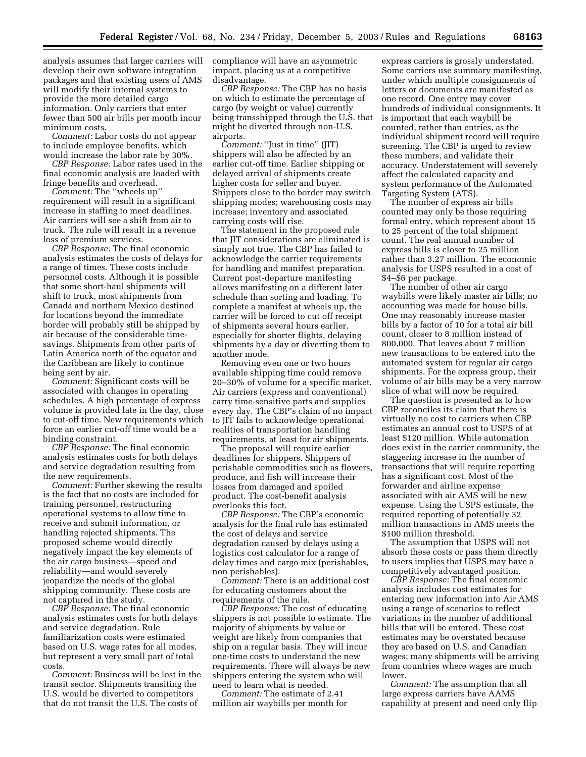analysis assumes that larger carriers will develop their own software integration packages and that existing users of AMS will modify their internal systems to provide the more detailed cargo information. Only carriers that enter fewer than 500 air bills per month incur minimum costs.

*Comment:* Labor costs do not appear to include employee benefits, which would increase the labor rate by 30%.

*CBP Response:* Labor rates used in the final economic analysis are loaded with fringe benefits and overhead.

*Comment:* The ''wheels up'' requirement will result in a significant increase in staffing to meet deadlines. Air carriers will see a shift from air to truck. The rule will result in a revenue loss of premium services.

*CBP Response:* The final economic analysis estimates the costs of delays for a range of times. These costs include personnel costs. Although it is possible that some short-haul shipments will shift to truck, most shipments from Canada and northern Mexico destined for locations beyond the immediate border will probably still be shipped by air because of the considerable timesavings. Shipments from other parts of Latin America north of the equator and the Caribbean are likely to continue being sent by air.

*Comment:* Significant costs will be associated with changes in operating schedules. A high percentage of express volume is provided late in the day, close to cut-off time. New requirements which force an earlier cut-off time would be a binding constraint.

*CBP Response:* The final economic analysis estimates costs for both delays and service degradation resulting from the new requirements.

*Comment:* Further skewing the results is the fact that no costs are included for training personnel, restructuring operational systems to allow time to receive and submit information, or handling rejected shipments. The proposed scheme would directly negatively impact the key elements of the air cargo business—speed and reliability—and would severely jeopardize the needs of the global shipping community. These costs are not captured in the study.

*CBP Response:* The final economic analysis estimates costs for both delays and service degradation. Rule familiarization costs were estimated based on U.S. wage rates for all modes, but represent a very small part of total costs.

*Comment:* Business will be lost in the transit sector. Shipments transiting the U.S. would be diverted to competitors that do not transit the U.S. The costs of

compliance will have an asymmetric impact, placing us at a competitive disadvantage.

*CBP Response:* The CBP has no basis on which to estimate the percentage of cargo (by weight or value) currently being transshipped through the U.S. that might be diverted through non-U.S. airports.

*Comment:* ''Just in time'' (JIT) shippers will also be affected by an earlier cut-off time. Earlier shipping or delayed arrival of shipments create higher costs for seller and buyer. Shippers close to the border may switch shipping modes; warehousing costs may increase; inventory and associated carrying costs will rise.

The statement in the proposed rule that JIT considerations are eliminated is simply not true. The CBP has failed to acknowledge the carrier requirements for handling and manifest preparation. Current post-departure manifesting allows manifesting on a different later schedule than sorting and loading. To complete a manifest at wheels up, the carrier will be forced to cut off receipt of shipments several hours earlier, especially for shorter flights, delaying shipments by a day or diverting them to another mode.

Removing even one or two hours available shipping time could remove 20–30% of volume for a specific market. Air carriers (express and conventional) carry time-sensitive parts and supplies every day. The CBP's claim of no impact to JIT fails to acknowledge operational realities of transportation handling requirements, at least for air shipments.

The proposal will require earlier deadlines for shippers. Shippers of perishable commodities such as flowers, produce, and fish will increase their losses from damaged and spoiled product. The cost-benefit analysis overlooks this fact.

*CBP Response:* The CBP's economic analysis for the final rule has estimated the cost of delays and service degradation caused by delays using a logistics cost calculator for a range of delay times and cargo mix (perishables, non perishables).

*Comment:* There is an additional cost for educating customers about the requirements of the rule.

*CBP Response:* The cost of educating shippers is not possible to estimate. The majority of shipments by value or weight are likely from companies that ship on a regular basis. They will incur one-time costs to understand the new requirements. There will always be new shippers entering the system who will need to learn what is needed.

*Comment:* The estimate of 2.41 million air waybills per month for

express carriers is grossly understated. Some carriers use summary manifesting, under which multiple consignments of letters or documents are manifested as one record. One entry may cover hundreds of individual consignments. It is important that each waybill be counted, rather than entries, as the individual shipment record will require screening. The CBP is urged to review these numbers, and validate their accuracy. Understatement will severely affect the calculated capacity and system performance of the Automated Targeting System (ATS).

The number of express air bills counted may only be those requiring formal entry, which represent about 15 to 25 percent of the total shipment count. The real annual number of express bills is closer to 25 million rather than 3.27 million. The economic analysis for USPS resulted in a cost of \$4–\$6 per package.

The number of other air cargo waybills were likely master air bills; no accounting was made for house bills. One may reasonably increase master bills by a factor of 10 for a total air bill count, closer to 8 million instead of 800,000. That leaves about 7 million new transactions to be entered into the automated system for regular air cargo shipments. For the express group, their volume of air bills may be a very narrow slice of what will now be required.

The question is presented as to how CBP reconciles its claim that there is virtually no cost to carriers when CBP estimates an annual cost to USPS of at least \$120 million. While automation does exist in the carrier community, the staggering increase in the number of transactions that will require reporting has a significant cost. Most of the forwarder and airline expense associated with air AMS will be new expense. Using the USPS estimate, the required reporting of potentially 32 million transactions in AMS meets the \$100 million threshold.

The assumption that USPS will not absorb these costs or pass them directly to users implies that USPS may have a competitively advantaged position.

*CBP Response:* The final economic analysis includes cost estimates for entering new information into Air AMS using a range of scenarios to reflect variations in the number of additional bills that will be entered. These cost estimates may be overstated because they are based on U.S. and Canadian wages; many shipments will be arriving from countries where wages are much lower.

*Comment:* The assumption that all large express carriers have AAMS capability at present and need only flip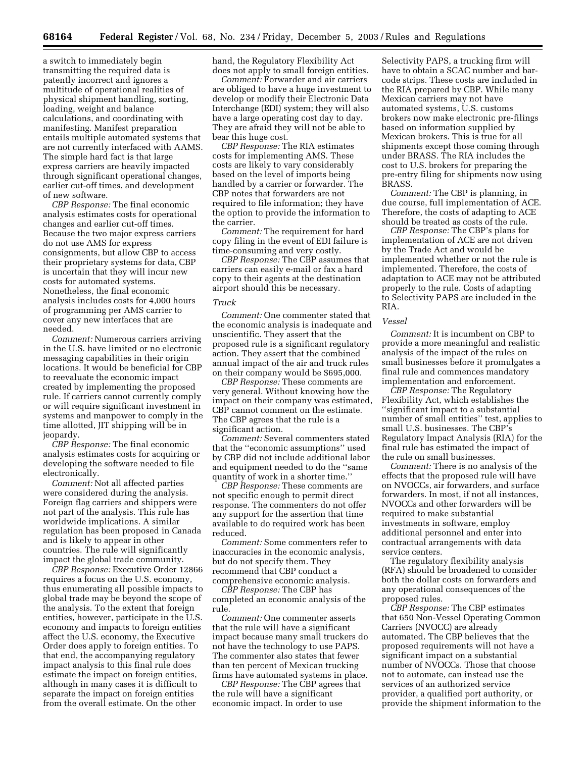a switch to immediately begin transmitting the required data is patently incorrect and ignores a multitude of operational realities of physical shipment handling, sorting, loading, weight and balance calculations, and coordinating with manifesting. Manifest preparation entails multiple automated systems that are not currently interfaced with AAMS. The simple hard fact is that large express carriers are heavily impacted through significant operational changes, earlier cut-off times, and development of new software.

*CBP Response:* The final economic analysis estimates costs for operational changes and earlier cut-off times. Because the two major express carriers do not use AMS for express consignments, but allow CBP to access their proprietary systems for data, CBP is uncertain that they will incur new costs for automated systems. Nonetheless, the final economic analysis includes costs for 4,000 hours of programming per AMS carrier to cover any new interfaces that are needed.

*Comment:* Numerous carriers arriving in the U.S. have limited or no electronic messaging capabilities in their origin locations. It would be beneficial for CBP to reevaluate the economic impact created by implementing the proposed rule. If carriers cannot currently comply or will require significant investment in systems and manpower to comply in the time allotted, JIT shipping will be in jeopardy.

*CBP Response:* The final economic analysis estimates costs for acquiring or developing the software needed to file electronically.

*Comment:* Not all affected parties were considered during the analysis. Foreign flag carriers and shippers were not part of the analysis. This rule has worldwide implications. A similar regulation has been proposed in Canada and is likely to appear in other countries. The rule will significantly impact the global trade community.

*CBP Response:* Executive Order 12866 requires a focus on the U.S. economy, thus enumerating all possible impacts to global trade may be beyond the scope of the analysis. To the extent that foreign entities, however, participate in the U.S. economy and impacts to foreign entities affect the U.S. economy, the Executive Order does apply to foreign entities. To that end, the accompanying regulatory impact analysis to this final rule does estimate the impact on foreign entities, although in many cases it is difficult to separate the impact on foreign entities from the overall estimate. On the other

hand, the Regulatory Flexibility Act does not apply to small foreign entities.

*Comment:* Forwarder and air carriers are obliged to have a huge investment to develop or modify their Electronic Data Interchange (EDI) system; they will also have a large operating cost day to day. They are afraid they will not be able to bear this huge cost.

*CBP Response:* The RIA estimates costs for implementing AMS. These costs are likely to vary considerably based on the level of imports being handled by a carrier or forwarder. The CBP notes that forwarders are not required to file information; they have the option to provide the information to the carrier.

*Comment:* The requirement for hard copy filing in the event of EDI failure is time-consuming and very costly.

*CBP Response:* The CBP assumes that carriers can easily e-mail or fax a hard copy to their agents at the destination airport should this be necessary.

#### *Truck*

*Comment:* One commenter stated that the economic analysis is inadequate and unscientific. They assert that the proposed rule is a significant regulatory action. They assert that the combined annual impact of the air and truck rules on their company would be \$695,000.

*CBP Response:* These comments are very general. Without knowing how the impact on their company was estimated, CBP cannot comment on the estimate. The CBP agrees that the rule is a significant action.

*Comment:* Several commenters stated that the ''economic assumptions'' used by CBP did not include additional labor and equipment needed to do the ''same quantity of work in a shorter time.''

*CBP Response:* These comments are not specific enough to permit direct response. The commenters do not offer any support for the assertion that time available to do required work has been reduced.

*Comment:* Some commenters refer to inaccuracies in the economic analysis, but do not specify them. They recommend that CBP conduct a comprehensive economic analysis.

*CBP Response:* The CBP has completed an economic analysis of the rule.

*Comment:* One commenter asserts that the rule will have a significant impact because many small truckers do not have the technology to use PAPS. The commenter also states that fewer than ten percent of Mexican trucking firms have automated systems in place.

*CBP Response:* The CBP agrees that the rule will have a significant economic impact. In order to use

Selectivity PAPS, a trucking firm will have to obtain a SCAC number and barcode strips. These costs are included in the RIA prepared by CBP. While many Mexican carriers may not have automated systems, U.S. customs brokers now make electronic pre-filings based on information supplied by Mexican brokers. This is true for all shipments except those coming through under BRASS. The RIA includes the cost to U.S. brokers for preparing the pre-entry filing for shipments now using BRASS.

*Comment:* The CBP is planning, in due course, full implementation of ACE. Therefore, the costs of adapting to ACE should be treated as costs of the rule.

*CBP Response:* The CBP's plans for implementation of ACE are not driven by the Trade Act and would be implemented whether or not the rule is implemented. Therefore, the costs of adaptation to ACE may not be attributed properly to the rule. Costs of adapting to Selectivity PAPS are included in the RIA.

#### *Vessel*

*Comment:* It is incumbent on CBP to provide a more meaningful and realistic analysis of the impact of the rules on small businesses before it promulgates a final rule and commences mandatory implementation and enforcement.

*CBP Response:* The Regulatory Flexibility Act, which establishes the ''significant impact to a substantial number of small entities'' test, applies to small U.S. businesses. The CBP's Regulatory Impact Analysis (RIA) for the final rule has estimated the impact of the rule on small businesses.

*Comment:* There is no analysis of the effects that the proposed rule will have on NVOCCs, air forwarders, and surface forwarders. In most, if not all instances, NVOCCs and other forwarders will be required to make substantial investments in software, employ additional personnel and enter into contractual arrangements with data service centers.

The regulatory flexibility analysis (RFA) should be broadened to consider both the dollar costs on forwarders and any operational consequences of the proposed rules.

*CBP Response:* The CBP estimates that 650 Non-Vessel Operating Common Carriers (NVOCC) are already automated. The CBP believes that the proposed requirements will not have a significant impact on a substantial number of NVOCCs. Those that choose not to automate, can instead use the services of an authorized service provider, a qualified port authority, or provide the shipment information to the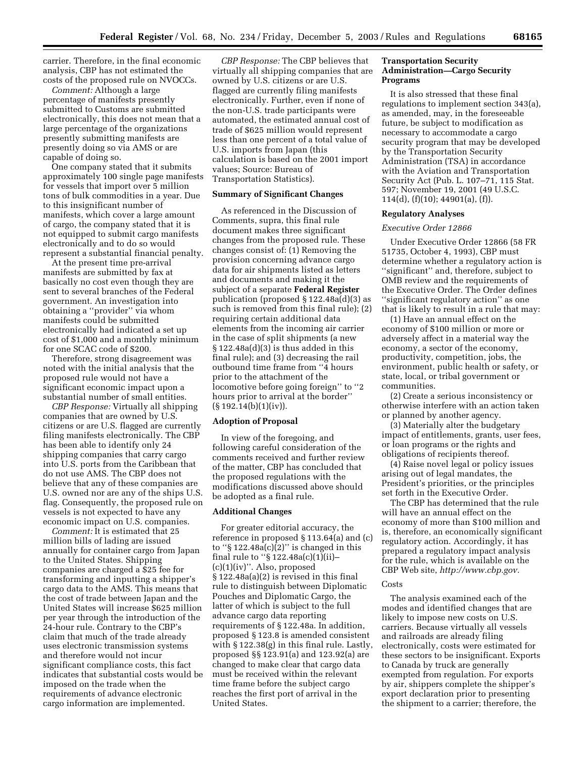carrier. Therefore, in the final economic analysis, CBP has not estimated the costs of the proposed rule on NVOCCs.

*Comment:* Although a large percentage of manifests presently submitted to Customs are submitted electronically, this does not mean that a large percentage of the organizations presently submitting manifests are presently doing so via AMS or are capable of doing so.

One company stated that it submits approximately 100 single page manifests for vessels that import over 5 million tons of bulk commodities in a year. Due to this insignificant number of manifests, which cover a large amount of cargo, the company stated that it is not equipped to submit cargo manifests electronically and to do so would represent a substantial financial penalty.

At the present time pre-arrival manifests are submitted by fax at basically no cost even though they are sent to several branches of the Federal government. An investigation into obtaining a ''provider'' via whom manifests could be submitted electronically had indicated a set up cost of \$1,000 and a monthly minimum for one SCAC code of \$200.

Therefore, strong disagreement was noted with the initial analysis that the proposed rule would not have a significant economic impact upon a substantial number of small entities.

*CBP Response:* Virtually all shipping companies that are owned by U.S. citizens or are U.S. flagged are currently filing manifests electronically. The CBP has been able to identify only 24 shipping companies that carry cargo into U.S. ports from the Caribbean that do not use AMS. The CBP does not believe that any of these companies are U.S. owned nor are any of the ships U.S. flag. Consequently, the proposed rule on vessels is not expected to have any economic impact on U.S. companies.

*Comment:* It is estimated that 25 million bills of lading are issued annually for container cargo from Japan to the United States. Shipping companies are charged a \$25 fee for transforming and inputting a shipper's cargo data to the AMS. This means that the cost of trade between Japan and the United States will increase \$625 million per year through the introduction of the 24-hour rule. Contrary to the CBP's claim that much of the trade already uses electronic transmission systems and therefore would not incur significant compliance costs, this fact indicates that substantial costs would be imposed on the trade when the requirements of advance electronic cargo information are implemented.

*CBP Response:* The CBP believes that virtually all shipping companies that are owned by U.S. citizens or are U.S. flagged are currently filing manifests electronically. Further, even if none of the non-U.S. trade participants were automated, the estimated annual cost of trade of \$625 million would represent less than one percent of a total value of U.S. imports from Japan (this calculation is based on the 2001 import values; Source: Bureau of Transportation Statistics).

## **Summary of Significant Changes**

As referenced in the Discussion of Comments, supra, this final rule document makes three significant changes from the proposed rule. These changes consist of: (1) Removing the provision concerning advance cargo data for air shipments listed as letters and documents and making it the subject of a separate **Federal Register** publication (proposed § 122.48a(d)(3) as such is removed from this final rule); (2) requiring certain additional data elements from the incoming air carrier in the case of split shipments (a new  $§ 122.48a(d)(3)$  is thus added in this final rule); and (3) decreasing the rail outbound time frame from ''4 hours prior to the attachment of the locomotive before going foreign'' to ''2 hours prior to arrival at the border'' (§ 192.14(b)(1)(iv)).

#### **Adoption of Proposal**

In view of the foregoing, and following careful consideration of the comments received and further review of the matter, CBP has concluded that the proposed regulations with the modifications discussed above should be adopted as a final rule.

## **Additional Changes**

For greater editorial accuracy, the reference in proposed § 113.64(a) and (c) to " $\S 122.48a(c)(2)$ " is changed in this final rule to ''§ 122.48a(c)(1)(ii)–  $(c)(1)(iv)$ ". Also, proposed § 122.48a(a)(2) is revised in this final rule to distinguish between Diplomatic Pouches and Diplomatic Cargo, the latter of which is subject to the full advance cargo data reporting requirements of § 122.48a. In addition, proposed § 123.8 is amended consistent with § 122.38(g) in this final rule. Lastly, proposed §§ 123.91(a) and 123.92(a) are changed to make clear that cargo data must be received within the relevant time frame before the subject cargo reaches the first port of arrival in the United States.

## **Transportation Security Administration—Cargo Security Programs**

It is also stressed that these final regulations to implement section 343(a), as amended, may, in the foreseeable future, be subject to modification as necessary to accommodate a cargo security program that may be developed by the Transportation Security Administration (TSA) in accordance with the Aviation and Transportation Security Act (Pub. L. 107–71, 115 Stat. 597; November 19, 2001 (49 U.S.C. 114(d), (f)(10); 44901(a), (f)).

#### **Regulatory Analyses**

#### *Executive Order 12866*

Under Executive Order 12866 (58 FR 51735, October 4, 1993), CBP must determine whether a regulatory action is ''significant'' and, therefore, subject to OMB review and the requirements of the Executive Order. The Order defines ''significant regulatory action'' as one that is likely to result in a rule that may:

(1) Have an annual effect on the economy of \$100 million or more or adversely affect in a material way the economy, a sector of the economy, productivity, competition, jobs, the environment, public health or safety, or state, local, or tribal government or communities.

(2) Create a serious inconsistency or otherwise interfere with an action taken or planned by another agency.

(3) Materially alter the budgetary impact of entitlements, grants, user fees, or loan programs or the rights and obligations of recipients thereof.

(4) Raise novel legal or policy issues arising out of legal mandates, the President's priorities, or the principles set forth in the Executive Order.

The CBP has determined that the rule will have an annual effect on the economy of more than \$100 million and is, therefore, an economically significant regulatory action. Accordingly, it has prepared a regulatory impact analysis for the rule, which is available on the CBP Web site, *[http://www.cbp.gov.](http://www.cbp.gov)*

#### Costs

The analysis examined each of the modes and identified changes that are likely to impose new costs on U.S. carriers. Because virtually all vessels and railroads are already filing electronically, costs were estimated for these sectors to be insignificant. Exports to Canada by truck are generally exempted from regulation. For exports by air, shippers complete the shipper's export declaration prior to presenting the shipment to a carrier; therefore, the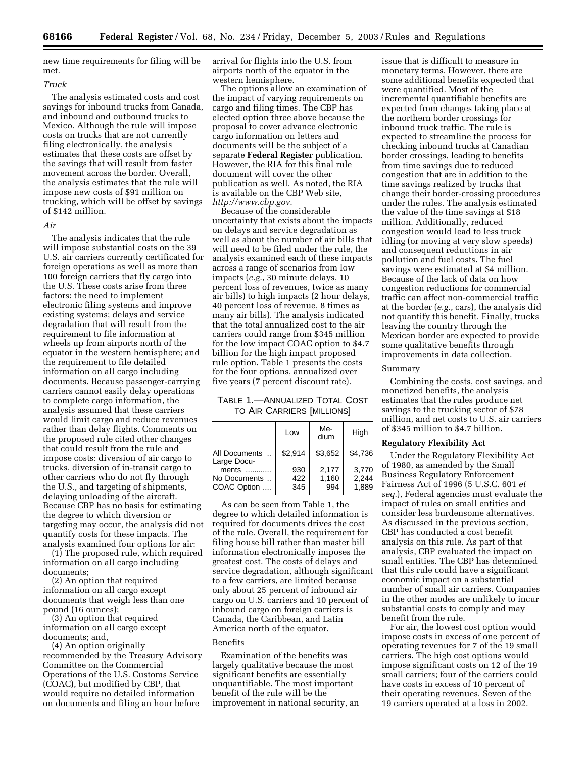new time requirements for filing will be met.

#### *Truck*

The analysis estimated costs and cost savings for inbound trucks from Canada, and inbound and outbound trucks to Mexico. Although the rule will impose costs on trucks that are not currently filing electronically, the analysis estimates that these costs are offset by the savings that will result from faster movement across the border. Overall, the analysis estimates that the rule will impose new costs of \$91 million on trucking, which will be offset by savings of \$142 million.

#### *Air*

The analysis indicates that the rule will impose substantial costs on the 39 U.S. air carriers currently certificated for foreign operations as well as more than 100 foreign carriers that fly cargo into the U.S. These costs arise from three factors: the need to implement electronic filing systems and improve existing systems; delays and service degradation that will result from the requirement to file information at wheels up from airports north of the equator in the western hemisphere; and the requirement to file detailed information on all cargo including documents. Because passenger-carrying carriers cannot easily delay operations to complete cargo information, the analysis assumed that these carriers would limit cargo and reduce revenues rather than delay flights. Comments on the proposed rule cited other changes that could result from the rule and impose costs: diversion of air cargo to trucks, diversion of in-transit cargo to other carriers who do not fly through the U.S., and targeting of shipments, delaying unloading of the aircraft. Because CBP has no basis for estimating the degree to which diversion or targeting may occur, the analysis did not quantify costs for these impacts. The analysis examined four options for air:

(1) The proposed rule, which required information on all cargo including documents;

(2) An option that required information on all cargo except documents that weigh less than one pound (16 ounces);

(3) An option that required information on all cargo except documents; and,

(4) An option originally recommended by the Treasury Advisory Committee on the Commercial Operations of the U.S. Customs Service (COAC), but modified by CBP, that would require no detailed information on documents and filing an hour before

arrival for flights into the U.S. from airports north of the equator in the western hemisphere.

The options allow an examination of the impact of varying requirements on cargo and filing times. The CBP has elected option three above because the proposal to cover advance electronic cargo information on letters and documents will be the subject of a separate **Federal Register** publication. However, the RIA for this final rule document will cover the other publication as well. As noted, the RIA is available on the CBP Web site, *[http://www.cbp.gov.](http://www.cbp.gov)*

Because of the considerable uncertainty that exists about the impacts on delays and service degradation as well as about the number of air bills that will need to be filed under the rule, the analysis examined each of these impacts across a range of scenarios from low impacts (*e.g.*, 30 minute delays, 10 percent loss of revenues, twice as many air bills) to high impacts (2 hour delays, 40 percent loss of revenue, 8 times as many air bills). The analysis indicated that the total annualized cost to the air carriers could range from \$345 million for the low impact COAC option to \$4.7 billion for the high impact proposed rule option. Table 1 presents the costs for the four options, annualized over five years (7 percent discount rate).

## TABLE 1.—ANNUALIZED TOTAL COST TO AIR CARRIERS [MILLIONS]

|                                      | Low               | Me-<br>dium           | High                    |  |  |  |  |  |
|--------------------------------------|-------------------|-----------------------|-------------------------|--|--|--|--|--|
| All Documents<br>Large Docu-         | \$2.914           | \$3,652               | \$4.736                 |  |  |  |  |  |
| ments<br>No Documents<br>COAC Option | 930<br>422<br>345 | 2,177<br>1,160<br>994 | 3,770<br>2,244<br>1.889 |  |  |  |  |  |

As can be seen from Table 1, the degree to which detailed information is required for documents drives the cost of the rule. Overall, the requirement for filing house bill rather than master bill information electronically imposes the greatest cost. The costs of delays and service degradation, although significant to a few carriers, are limited because only about 25 percent of inbound air cargo on U.S. carriers and 10 percent of inbound cargo on foreign carriers is Canada, the Caribbean, and Latin America north of the equator.

#### Benefits

Examination of the benefits was largely qualitative because the most significant benefits are essentially unquantifiable. The most important benefit of the rule will be the improvement in national security, an

issue that is difficult to measure in monetary terms. However, there are some additional benefits expected that were quantified. Most of the incremental quantifiable benefits are expected from changes taking place at the northern border crossings for inbound truck traffic. The rule is expected to streamline the process for checking inbound trucks at Canadian border crossings, leading to benefits from time savings due to reduced congestion that are in addition to the time savings realized by trucks that change their border-crossing procedures under the rules. The analysis estimated the value of the time savings at \$18 million. Additionally, reduced congestion would lead to less truck idling (or moving at very slow speeds) and consequent reductions in air pollution and fuel costs. The fuel savings were estimated at \$4 million. Because of the lack of data on how congestion reductions for commercial traffic can affect non-commercial traffic at the border (*e.g.*, cars), the analysis did not quantify this benefit. Finally, trucks leaving the country through the Mexican border are expected to provide some qualitative benefits through improvements in data collection.

## Summary

Combining the costs, cost savings, and monetized benefits, the analysis estimates that the rules produce net savings to the trucking sector of \$78 million, and net costs to U.S. air carriers of \$345 million to \$4.7 billion.

#### **Regulatory Flexibility Act**

Under the Regulatory Flexibility Act of 1980, as amended by the Small Business Regulatory Enforcement Fairness Act of 1996 (5 U.S.C. 601 *et seq.*), Federal agencies must evaluate the impact of rules on small entities and consider less burdensome alternatives. As discussed in the previous section, CBP has conducted a cost benefit analysis on this rule. As part of that analysis, CBP evaluated the impact on small entities. The CBP has determined that this rule could have a significant economic impact on a substantial number of small air carriers. Companies in the other modes are unlikely to incur substantial costs to comply and may benefit from the rule.

For air, the lowest cost option would impose costs in excess of one percent of operating revenues for 7 of the 19 small carriers. The high cost options would impose significant costs on 12 of the 19 small carriers; four of the carriers could have costs in excess of 10 percent of their operating revenues. Seven of the 19 carriers operated at a loss in 2002.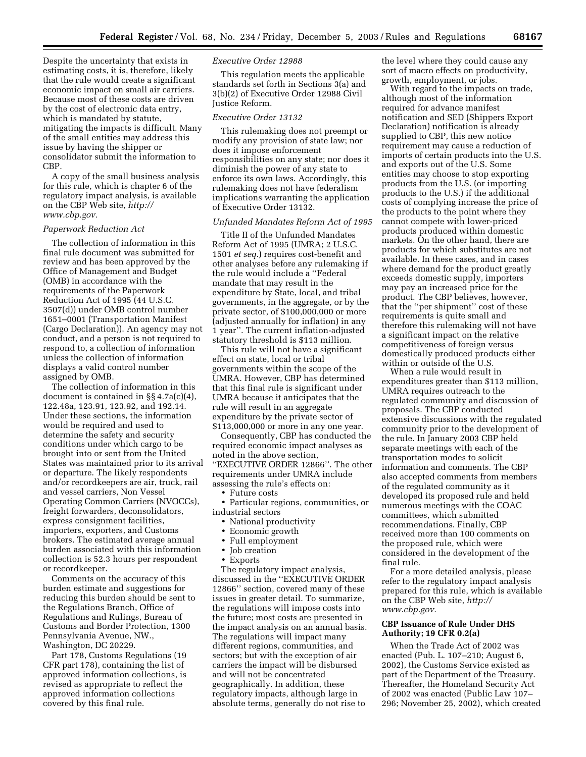Despite the uncertainty that exists in estimating costs, it is, therefore, likely that the rule would create a significant economic impact on small air carriers. Because most of these costs are driven by the cost of electronic data entry, which is mandated by statute, mitigating the impacts is difficult. Many of the small entities may address this issue by having the shipper or consolidator submit the information to CBP.

A copy of the small business analysis for this rule, which is chapter 6 of the regulatory impact analysis, is available [on the CBP Web site,](http://www.cbp.gov) *http:// www.cbp.gov.*

#### *Paperwork Reduction Act*

The collection of information in this final rule document was submitted for review and has been approved by the Office of Management and Budget (OMB) in accordance with the requirements of the Paperwork Reduction Act of 1995 (44 U.S.C. 3507(d)) under OMB control number 1651–0001 (Transportation Manifest (Cargo Declaration)). An agency may not conduct, and a person is not required to respond to, a collection of information unless the collection of information displays a valid control number assigned by OMB.

The collection of information in this document is contained in §§ 4.7a(c)(4), 122.48a, 123.91, 123.92, and 192.14. Under these sections, the information would be required and used to determine the safety and security conditions under which cargo to be brought into or sent from the United States was maintained prior to its arrival or departure. The likely respondents and/or recordkeepers are air, truck, rail and vessel carriers, Non Vessel Operating Common Carriers (NVOCCs), freight forwarders, deconsolidators, express consignment facilities, importers, exporters, and Customs brokers. The estimated average annual burden associated with this information collection is 52.3 hours per respondent or recordkeeper.

Comments on the accuracy of this burden estimate and suggestions for reducing this burden should be sent to the Regulations Branch, Office of Regulations and Rulings, Bureau of Customs and Border Protection, 1300 Pennsylvania Avenue, NW., Washington, DC 20229.

Part 178, Customs Regulations (19 CFR part 178), containing the list of approved information collections, is revised as appropriate to reflect the approved information collections covered by this final rule.

## *Executive Order 12988*

This regulation meets the applicable standards set forth in Sections 3(a) and 3(b)(2) of Executive Order 12988 Civil Justice Reform.

#### *Executive Order 13132*

This rulemaking does not preempt or modify any provision of state law; nor does it impose enforcement responsibilities on any state; nor does it diminish the power of any state to enforce its own laws. Accordingly, this rulemaking does not have federalism implications warranting the application of Executive Order 13132.

## *Unfunded Mandates Reform Act of 1995*

Title II of the Unfunded Mandates Reform Act of 1995 (UMRA; 2 U.S.C. 1501 *et seq.*) requires cost-benefit and other analyses before any rulemaking if the rule would include a ''Federal mandate that may result in the expenditure by State, local, and tribal governments, in the aggregate, or by the private sector, of \$100,000,000 or more (adjusted annually for inflation) in any 1 year''. The current inflation-adjusted statutory threshold is \$113 million.

This rule will not have a significant effect on state, local or tribal governments within the scope of the UMRA. However, CBP has determined that this final rule is significant under UMRA because it anticipates that the rule will result in an aggregate expenditure by the private sector of \$113,000,000 or more in any one year.

Consequently, CBP has conducted the required economic impact analyses as noted in the above section, ''EXECUTIVE ORDER 12866''. The other requirements under UMRA include assessing the rule's effects on:

- Future costs
- Particular regions, communities, or industrial sectors
	- National productivity
	- Economic growth
	- Full employment
	- Job creation
	-
	- Exports

The regulatory impact analysis, discussed in the ''EXECUTIVE ORDER 12866'' section, covered many of these issues in greater detail. To summarize, the regulations will impose costs into the future; most costs are presented in the impact analysis on an annual basis. The regulations will impact many different regions, communities, and sectors; but with the exception of air carriers the impact will be disbursed and will not be concentrated geographically. In addition, these regulatory impacts, although large in absolute terms, generally do not rise to

the level where they could cause any sort of macro effects on productivity, growth, employment, or jobs.

With regard to the impacts on trade, although most of the information required for advance manifest notification and SED (Shippers Export Declaration) notification is already supplied to CBP, this new notice requirement may cause a reduction of imports of certain products into the U.S. and exports out of the U.S. Some entities may choose to stop exporting products from the U.S. (or importing products to the U.S.) if the additional costs of complying increase the price of the products to the point where they cannot compete with lower-priced products produced within domestic markets. On the other hand, there are products for which substitutes are not available. In these cases, and in cases where demand for the product greatly exceeds domestic supply, importers may pay an increased price for the product. The CBP believes, however, that the ''per shipment'' cost of these requirements is quite small and therefore this rulemaking will not have a significant impact on the relative competitiveness of foreign versus domestically produced products either within or outside of the U.S.

When a rule would result in expenditures greater than \$113 million, UMRA requires outreach to the regulated community and discussion of proposals. The CBP conducted extensive discussions with the regulated community prior to the development of the rule. In January 2003 CBP held separate meetings with each of the transportation modes to solicit information and comments. The CBP also accepted comments from members of the regulated community as it developed its proposed rule and held numerous meetings with the COAC committees, which submitted recommendations. Finally, CBP received more than 100 comments on the proposed rule, which were considered in the development of the final rule.

For a more detailed analysis, please refer to the regulatory impact analysis prepared for this rule, which is available [on the CBP Web site,](http://www.cbp.gov) *http:// www.cbp.gov.*

## **CBP Issuance of Rule Under DHS Authority; 19 CFR 0.2(a)**

When the Trade Act of 2002 was enacted (Pub. L. 107–210; August 6, 2002), the Customs Service existed as part of the Department of the Treasury. Thereafter, the Homeland Security Act of 2002 was enacted (Public Law 107– 296; November 25, 2002), which created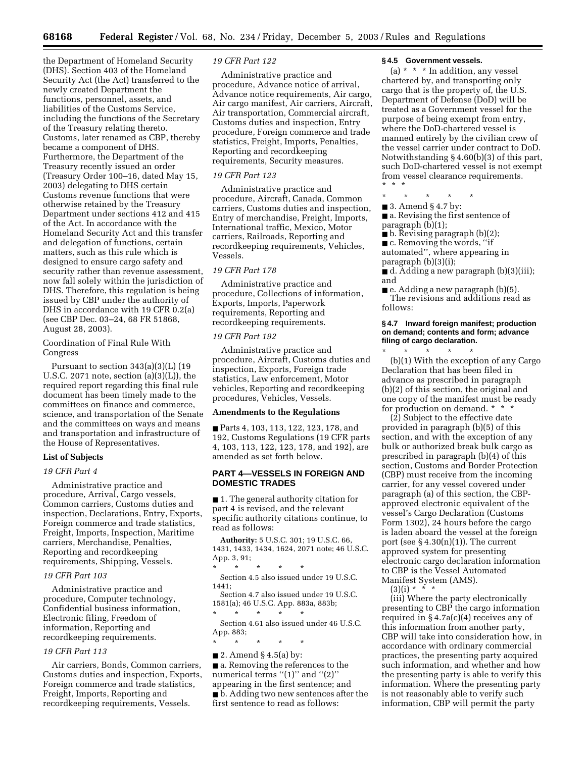the Department of Homeland Security (DHS). Section 403 of the Homeland Security Act (the Act) transferred to the newly created Department the functions, personnel, assets, and liabilities of the Customs Service, including the functions of the Secretary of the Treasury relating thereto. Customs, later renamed as CBP, thereby became a component of DHS. Furthermore, the Department of the Treasury recently issued an order (Treasury Order 100–16, dated May 15, 2003) delegating to DHS certain Customs revenue functions that were otherwise retained by the Treasury Department under sections 412 and 415 of the Act. In accordance with the Homeland Security Act and this transfer and delegation of functions, certain matters, such as this rule which is designed to ensure cargo safety and security rather than revenue assessment, now fall solely within the jurisdiction of DHS. Therefore, this regulation is being issued by CBP under the authority of DHS in accordance with 19 CFR 0.2(a) (see CBP Dec. 03–24, 68 FR 51868, August 28, 2003).

Coordination of Final Rule With Congress

Pursuant to section  $343(a)(3)(L)$  (19 U.S.C. 2071 note, section  $(a)(3)(L)$ , the required report regarding this final rule document has been timely made to the committees on finance and commerce, science, and transportation of the Senate and the committees on ways and means and transportation and infrastructure of the House of Representatives.

## **List of Subjects**

#### *19 CFR Part 4*

Administrative practice and procedure, Arrival, Cargo vessels, Common carriers, Customs duties and inspection, Declarations, Entry, Exports, Foreign commerce and trade statistics, Freight, Imports, Inspection, Maritime carriers, Merchandise, Penalties, Reporting and recordkeeping requirements, Shipping, Vessels.

#### *19 CFR Part 103*

Administrative practice and procedure, Computer technology, Confidential business information, Electronic filing, Freedom of information, Reporting and recordkeeping requirements.

## *19 CFR Part 113*

Air carriers, Bonds, Common carriers, Customs duties and inspection, Exports, Foreign commerce and trade statistics, Freight, Imports, Reporting and recordkeeping requirements, Vessels.

## *19 CFR Part 122*

Administrative practice and procedure, Advance notice of arrival, Advance notice requirements, Air cargo, Air cargo manifest, Air carriers, Aircraft, Air transportation, Commercial aircraft, Customs duties and inspection, Entry procedure, Foreign commerce and trade statistics, Freight, Imports, Penalties, Reporting and recordkeeping requirements, Security measures.

## *19 CFR Part 123*

Administrative practice and procedure, Aircraft, Canada, Common carriers, Customs duties and inspection, Entry of merchandise, Freight, Imports, International traffic, Mexico, Motor carriers, Railroads, Reporting and recordkeeping requirements, Vehicles, Vessels.

#### *19 CFR Part 178*

Administrative practice and procedure, Collections of information, Exports, Imports, Paperwork requirements, Reporting and recordkeeping requirements.

## *19 CFR Part 192*

Administrative practice and procedure, Aircraft, Customs duties and inspection, Exports, Foreign trade statistics, Law enforcement, Motor vehicles, Reporting and recordkeeping procedures, Vehicles, Vessels.

#### **Amendments to the Regulations**

■ Parts 4, 103, 113, 122, 123, 178, and 192, Customs Regulations (19 CFR parts 4, 103, 113, 122, 123, 178, and 192), are amended as set forth below.

## **PART 4—VESSELS IN FOREIGN AND DOMESTIC TRADES**

■ 1. The general authority citation for part 4 is revised, and the relevant specific authority citations continue, to read as follows:

**Authority:** 5 U.S.C. 301; 19 U.S.C. 66, 1431, 1433, 1434, 1624, 2071 note; 46 U.S.C. App. 3, 91;

\* \* \* \* \*

Section 4.5 also issued under 19 U.S.C. 1441;

Section 4.7 also issued under 19 U.S.C. 1581(a); 46 U.S.C. App. 883a, 883b;

\* \* \* \* \* Section 4.61 also issued under 46 U.S.C. App. 883;

\* \* \* \* \*

 $\blacksquare$  2. Amend § 4.5(a) by:

■ a. Removing the references to the numerical terms "(1)" and "(2)" appearing in the first sentence; and ■ b. Adding two new sentences after the first sentence to read as follows:

## **§ 4.5 Government vessels.**

(a)  $* * * In addition, any vessel$ chartered by, and transporting only cargo that is the property of, the U.S. Department of Defense (DoD) will be treated as a Government vessel for the purpose of being exempt from entry, where the DoD-chartered vessel is manned entirely by the civilian crew of the vessel carrier under contract to DoD. Notwithstanding § 4.60(b)(3) of this part, such DoD-chartered vessel is not exempt from vessel clearance requirements. \*\*\*

\* \* \* \* \*

■ 3. Amend § 4.7 by:

■ a. Revising the first sentence of paragraph (b)(1);

■ b. Revising paragraph (b)(2);

■ c. Removing the words, "if

automated'', where appearing in paragraph (b)(3)(i);

■ d. Adding a new paragraph (b)(3)(iii); and

■ e. Adding a new paragraph (b)(5). The revisions and additions read as follows:

## **§ 4.7 Inward foreign manifest; production on demand; contents and form; advance filing of cargo declaration.**

\* \* \* \* \* (b)(1) With the exception of any Cargo Declaration that has been filed in advance as prescribed in paragraph (b)(2) of this section, the original and one copy of the manifest must be ready for production on demand. \* \* \*

(2) Subject to the effective date provided in paragraph (b)(5) of this section, and with the exception of any bulk or authorized break bulk cargo as prescribed in paragraph (b)(4) of this section, Customs and Border Protection (CBP) must receive from the incoming carrier, for any vessel covered under paragraph (a) of this section, the CBPapproved electronic equivalent of the vessel's Cargo Declaration (Customs Form 1302), 24 hours before the cargo is laden aboard the vessel at the foreign port (see  $\S 4.30(n)(1)$ ). The current approved system for presenting electronic cargo declaration information to CBP is the Vessel Automated Manifest System (AMS).

 $(3)(i) * * * * *$ 

(iii) Where the party electronically presenting to CBP the cargo information required in  $\S 4.7a(c)(4)$  receives any of this information from another party, CBP will take into consideration how, in accordance with ordinary commercial practices, the presenting party acquired such information, and whether and how the presenting party is able to verify this information. Where the presenting party is not reasonably able to verify such information, CBP will permit the party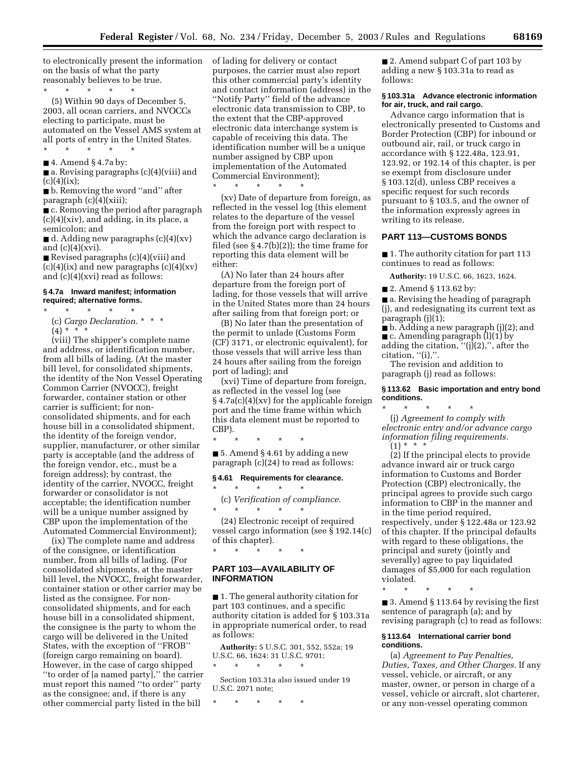to electronically present the information of lading for delivery or contact on the basis of what the party reasonably believes to be true.

 $\star$   $\qquad$   $\star$   $\qquad$   $\star$ (5) Within 90 days of December 5, 2003, all ocean carriers, and NVOCCs electing to participate, must be automated on the Vessel AMS system at all ports of entry in the United States.

 $\blacksquare$  4. Amend § 4.7a by:

\* \* \* \* \*

■ a. Revising paragraphs (c)(4)(viii) and  $(c)(4)(ix);$ 

■ b. Removing the word "and" after paragraph (c)(4)(xiii);

■ c. Removing the period after paragraph (c)(4)(xiv), and adding, in its place, a semicolon; and

 $\blacksquare$  d. Adding new paragraphs (c)(4)(xv) and (c)(4)(xvi).

■ Revised paragraphs (c)(4)(viii) and  $(c)(4)(ix)$  and new paragraphs  $(c)(4)(xv)$ and (c)(4)(xvi) read as follows:

#### **§ 4.7a Inward manifest; information required; alternative forms.**

\* \* \* \* \* (c) *Cargo Declaration.* \* \* \*

 $(4) * * * *$ 

(viii) The shipper's complete name and address, or identification number, from all bills of lading. (At the master bill level, for consolidated shipments, the identity of the Non Vessel Operating Common Carrier (NVOCC), freight forwarder, container station or other carrier is sufficient; for nonconsolidated shipments, and for each house bill in a consolidated shipment, the identity of the foreign vendor, supplier, manufacturer, or other similar party is acceptable (and the address of the foreign vendor, etc., must be a foreign address); by contrast, the identity of the carrier, NVOCC, freight forwarder or consolidator is not acceptable; the identification number will be a unique number assigned by CBP upon the implementation of the Automated Commercial Environment);

(ix) The complete name and address of the consignee, or identification number, from all bills of lading. (For consolidated shipments, at the master bill level, the NVOCC, freight forwarder, container station or other carrier may be listed as the consignee. For nonconsolidated shipments, and for each house bill in a consolidated shipment, the consignee is the party to whom the cargo will be delivered in the United States, with the exception of ''FROB'' (foreign cargo remaining on board). However, in the case of cargo shipped ''to order of [a named party],'' the carrier must report this named ''to order'' party as the consignee; and, if there is any other commercial party listed in the bill

purposes, the carrier must also report this other commercial party's identity and contact information (address) in the ''Notify Party'' field of the advance electronic data transmission to CBP, to the extent that the CBP-approved electronic data interchange system is capable of receiving this data. The identification number will be a unique number assigned by CBP upon implementation of the Automated Commercial Environment);

(xv) Date of departure from foreign, as reflected in the vessel log (this element relates to the departure of the vessel from the foreign port with respect to which the advance cargo declaration is filed (see  $\S 4.7(b)(2)$ ); the time frame for reporting this data element will be either:

\* \* \* \* \*

(A) No later than 24 hours after departure from the foreign port of lading, for those vessels that will arrive in the United States more than 24 hours after sailing from that foreign port; or

(B) No later than the presentation of the permit to unlade (Customs Form (CF) 3171, or electronic equivalent), for those vessels that will arrive less than 24 hours after sailing from the foreign port of lading); and

(xvi) Time of departure from foreign, as reflected in the vessel log (see § 4.7a(c)(4)(xv) for the applicable foreign port and the time frame within which this data element must be reported to CBP).

■ 5. Amend § 4.61 by adding a new paragraph (c)(24) to read as follows:

\* \* \* \* \*

#### **§ 4.61 Requirements for clearance.**

\* \* \* \* \* (c) *Verification of compliance.*  $\star$   $\qquad$   $\star$   $\qquad$   $\star$   $\qquad$   $\star$ 

(24) Electronic receipt of required vessel cargo information (see  $\S$  192.14(c) of this chapter). \* \* \* \* \*

## **PART 103—AVAILABILITY OF INFORMATION**

■ 1. The general authority citation for part 103 continues, and a specific authority citation is added for § 103.31a in appropriate numerical order, to read as follows:

**Authority:** 5 U.S.C. 301, 552, 552a; 19 U.S.C. 66, 1624; 31 U.S.C. 9701;

Section 103.31a also issued under 19 U.S.C. 2071 note;

\* \* \* \* \*

\* \* \* \* \*

■ 2. Amend subpart C of part 103 by adding a new § 103.31a to read as follows:

#### **§ 103.31a Advance electronic information for air, truck, and rail cargo.**

Advance cargo information that is electronically presented to Customs and Border Protection (CBP) for inbound or outbound air, rail, or truck cargo in accordance with § 122.48a, 123.91, 123.92, or 192.14 of this chapter, is per se exempt from disclosure under § 103.12(d), unless CBP receives a specific request for such records pursuant to § 103.5, and the owner of the information expressly agrees in writing to its release.

## **PART 113—CUSTOMS BONDS**

■ 1. The authority citation for part 113 continues to read as follows:

**Authority:** 19 U.S.C. 66, 1623, 1624.

■ 2. Amend § 113.62 by:

■ a. Revising the heading of paragraph (j), and redesignating its current text as paragraph (j)(1);

■ b. Adding a new paragraph (j)(2); and  $\blacksquare$  c. Amending paragraph  $(l)(1)$  by adding the citation,  $"(j)(2),"$ , after the

 $citation, "(i),".$ 

The revision and addition to paragraph (j) read as follows:

## **§ 113.62 Basic importation and entry bond conditions.**

\* \* \* \* \* (j) *Agreement to comply with electronic entry and/or advance cargo information filing requirements.*  $(1) * * * *$ 

(2) If the principal elects to provide advance inward air or truck cargo information to Customs and Border Protection (CBP) electronically, the principal agrees to provide such cargo information to CBP in the manner and in the time period required, respectively, under § 122.48a or 123.92 of this chapter. If the principal defaults with regard to these obligations, the principal and surety (jointly and severally) agree to pay liquidated damages of \$5,000 for each regulation violated.

\* \* \* \* \*

■ 3. Amend § 113.64 by revising the first sentence of paragraph (a); and by revising paragraph (c) to read as follows:

## **§ 113.64 International carrier bond conditions.**

(a) *Agreement to Pay Penalties, Duties, Taxes, and Other Charges.* If any vessel, vehicle, or aircraft, or any master, owner, or person in charge of a vessel, vehicle or aircraft, slot charterer, or any non-vessel operating common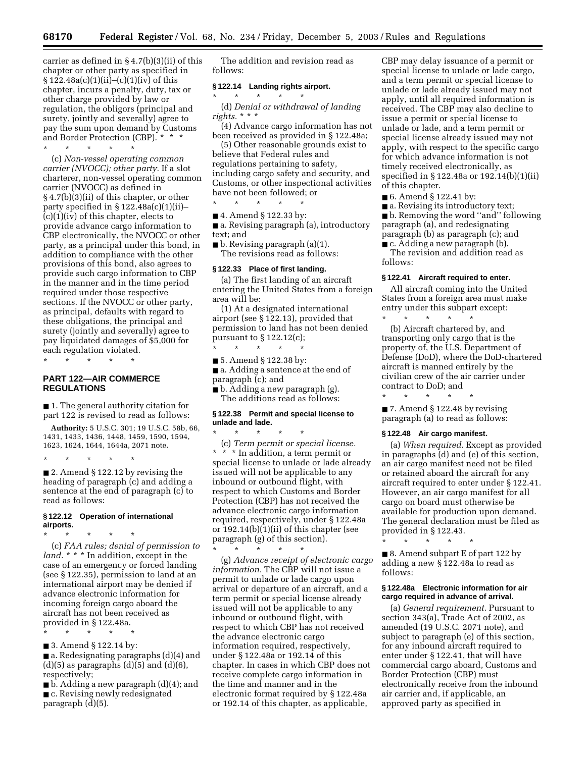carrier as defined in § 4.7(b)(3)(ii) of this chapter or other party as specified in  $§ 122.48a(c)(1)(ii)–(c)(1)(iv)$  of this chapter, incurs a penalty, duty, tax or other charge provided by law or regulation, the obligors (principal and surety, jointly and severally) agree to pay the sum upon demand by Customs and Border Protection (CBP). \* \* \*

\* \* \* \* \*

(c) *Non-vessel operating common carrier (NVOCC); other party.* If a slot charterer, non-vessel operating common carrier (NVOCC) as defined in § 4.7(b)(3)(ii) of this chapter, or other party specified in  $\S 122.48a(c)(1)(ii)$ (c)(1)(iv) of this chapter, elects to provide advance cargo information to CBP electronically, the NVOCC or other party, as a principal under this bond, in addition to compliance with the other provisions of this bond, also agrees to provide such cargo information to CBP in the manner and in the time period required under those respective sections. If the NVOCC or other party, as principal, defaults with regard to these obligations, the principal and surety (jointly and severally) agree to pay liquidated damages of \$5,000 for each regulation violated.

\* \* \* \* \*

## **PART 122—AIR COMMERCE REGULATIONS**

■ 1. The general authority citation for part 122 is revised to read as follows:

**Authority:** 5 U.S.C. 301; 19 U.S.C. 58b, 66, 1431, 1433, 1436, 1448, 1459, 1590, 1594, 1623, 1624, 1644, 1644a, 2071 note.

\* \* \* \* \*

■ 2. Amend § 122.12 by revising the heading of paragraph (c) and adding a sentence at the end of paragraph (c) to read as follows:

#### **§ 122.12 Operation of international airports.**

\* \* \* \* \* (c) *FAA rules; denial of permission to land.* \* \* \* In addition, except in the case of an emergency or forced landing (see § 122.35), permission to land at an international airport may be denied if advance electronic information for incoming foreign cargo aboard the aircraft has not been received as provided in § 122.48a.

\* \* \* \* \*

■ 3. Amend § 122.14 by:

■ a. Redesignating paragraphs (d)(4) and  $(d)(5)$  as paragraphs  $(d)(5)$  and  $(d)(6)$ , respectively;

■ b. Adding a new paragraph (d)(4); and ■ c. Revising newly redesignated paragraph (d)(5).

The addition and revision read as follows:

## **§ 122.14 Landing rights airport.**

 $\star$   $\qquad$   $\star$   $\qquad$   $\star$ 

(d) *Denial or withdrawal of landing rights.* \* \* \*

(4) Advance cargo information has not been received as provided in § 122.48a;

(5) Other reasonable grounds exist to believe that Federal rules and regulations pertaining to safety, including cargo safety and security, and Customs, or other inspectional activities have not been followed; or

\* \* \* \* \*

■ 4. Amend § 122.33 by:

■ a. Revising paragraph (a), introductory text; and

■ b. Revising paragraph (a)(1). The revisions read as follows:

#### **§ 122.33 Place of first landing.**

(a) The first landing of an aircraft entering the United States from a foreign area will be:

(1) At a designated international airport (see § 122.13), provided that permission to land has not been denied pursuant to  $\S 122.12(c)$ ;  $\star$   $\star$   $\star$ 

■ 5. Amend § 122.38 by:

 $*$  \*

- a. Adding a sentence at the end of paragraph (c); and
- b. Adding a new paragraph (g). The additions read as follows:

## **§ 122.38 Permit and special license to unlade and lade.**

(c) *Term permit or special license.* \* \* \* In addition, a term permit or special license to unlade or lade already issued will not be applicable to any inbound or outbound flight, with respect to which Customs and Border Protection (CBP) has not received the advance electronic cargo information required, respectively, under § 122.48a or  $192.14(b)(1)(ii)$  of this chapter (see paragraph (g) of this section). \* \* \* \* \*

(g) *Advance receipt of electronic cargo information.* The CBP will not issue a permit to unlade or lade cargo upon arrival or departure of an aircraft, and a term permit or special license already issued will not be applicable to any inbound or outbound flight, with respect to which CBP has not received the advance electronic cargo information required, respectively, under § 122.48a or 192.14 of this chapter. In cases in which CBP does not receive complete cargo information in the time and manner and in the electronic format required by § 122.48a or 192.14 of this chapter, as applicable,

CBP may delay issuance of a permit or special license to unlade or lade cargo, and a term permit or special license to unlade or lade already issued may not apply, until all required information is received. The CBP may also decline to issue a permit or special license to unlade or lade, and a term permit or special license already issued may not apply, with respect to the specific cargo for which advance information is not timely received electronically, as specified in § 122.48a or 192.14(b)(1)(ii) of this chapter.

■ 6. Amend § 122.41 by:

■ a. Revising its introductory text;

■ b. Removing the word "and" following paragraph (a), and redesignating paragraph (b) as paragraph (c); and

■ c. Adding a new paragraph (b). The revision and addition read as follows:

#### **§ 122.41 Aircraft required to enter.**

All aircraft coming into the United States from a foreign area must make entry under this subpart except:

\* \* \* \* \* (b) Aircraft chartered by, and transporting only cargo that is the property of, the U.S. Department of Defense (DoD), where the DoD-chartered aircraft is manned entirely by the civilian crew of the air carrier under contract to DoD; and

\* \* \* \* \* ■ 7. Amend § 122.48 by revising paragraph (a) to read as follows:

#### **§ 122.48 Air cargo manifest.**

(a) *When required.* Except as provided in paragraphs (d) and (e) of this section, an air cargo manifest need not be filed or retained aboard the aircraft for any aircraft required to enter under § 122.41. However, an air cargo manifest for all cargo on board must otherwise be available for production upon demand. The general declaration must be filed as provided in § 122.43.

\* \* \* \* \*

■ 8. Amend subpart E of part 122 by adding a new § 122.48a to read as follows:

## **§ 122.48a Electronic information for air cargo required in advance of arrival.**

(a) *General requirement.* Pursuant to section 343(a), Trade Act of 2002, as amended (19 U.S.C. 2071 note), and subject to paragraph (e) of this section, for any inbound aircraft required to enter under § 122.41, that will have commercial cargo aboard, Customs and Border Protection (CBP) must electronically receive from the inbound air carrier and, if applicable, an approved party as specified in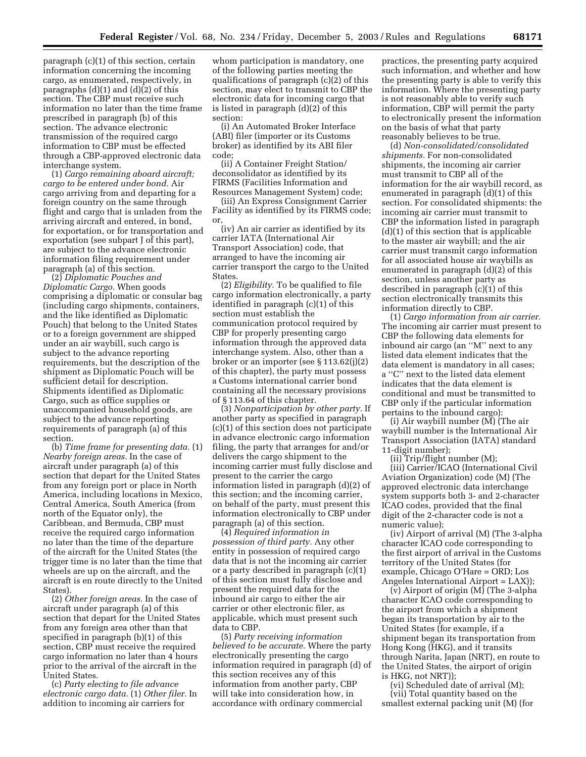paragraph (c)(1) of this section, certain information concerning the incoming cargo, as enumerated, respectively, in paragraphs (d)(1) and (d)(2) of this section. The CBP must receive such information no later than the time frame prescribed in paragraph (b) of this section. The advance electronic transmission of the required cargo information to CBP must be effected through a CBP-approved electronic data interchange system.

(1) *Cargo remaining aboard aircraft; cargo to be entered under bond.* Air cargo arriving from and departing for a foreign country on the same through flight and cargo that is unladen from the arriving aircraft and entered, in bond, for exportation, or for transportation and exportation (see subpart J of this part), are subject to the advance electronic information filing requirement under paragraph (a) of this section.

(2) *Diplomatic Pouches and Diplomatic Cargo.* When goods comprising a diplomatic or consular bag (including cargo shipments, containers, and the like identified as Diplomatic Pouch) that belong to the United States or to a foreign government are shipped under an air waybill, such cargo is subject to the advance reporting requirements, but the description of the shipment as Diplomatic Pouch will be sufficient detail for description. Shipments identified as Diplomatic Cargo, such as office supplies or unaccompanied household goods, are subject to the advance reporting requirements of paragraph (a) of this section.

(b) *Time frame for presenting data.* (1) *Nearby foreign areas.* In the case of aircraft under paragraph (a) of this section that depart for the United States from any foreign port or place in North America, including locations in Mexico, Central America, South America (from north of the Equator only), the Caribbean, and Bermuda, CBP must receive the required cargo information no later than the time of the departure of the aircraft for the United States (the trigger time is no later than the time that wheels are up on the aircraft, and the aircraft is en route directly to the United States).

(2) *Other foreign areas.* In the case of aircraft under paragraph (a) of this section that depart for the United States from any foreign area other than that specified in paragraph (b)(1) of this section, CBP must receive the required cargo information no later than 4 hours prior to the arrival of the aircraft in the United States.

(c) *Party electing to file advance electronic cargo data.* (1) *Other filer.* In addition to incoming air carriers for

whom participation is mandatory, one of the following parties meeting the qualifications of paragraph (c)(2) of this section, may elect to transmit to CBP the electronic data for incoming cargo that is listed in paragraph (d)(2) of this section:

(i) An Automated Broker Interface (ABI) filer (importer or its Customs broker) as identified by its ABI filer code;

(ii) A Container Freight Station/ deconsolidator as identified by its FIRMS (Facilities Information and Resources Management System) code;

(iii) An Express Consignment Carrier Facility as identified by its FIRMS code; or,

(iv) An air carrier as identified by its carrier IATA (International Air Transport Association) code, that arranged to have the incoming air carrier transport the cargo to the United States.

(2) *Eligibility.* To be qualified to file cargo information electronically, a party identified in paragraph (c)(1) of this section must establish the communication protocol required by CBP for properly presenting cargo information through the approved data interchange system. Also, other than a broker or an importer (see § 113.62(j)(2) of this chapter), the party must possess a Customs international carrier bond containing all the necessary provisions of § 113.64 of this chapter.

(3) *Nonparticipation by other party.* If another party as specified in paragraph (c)(1) of this section does not participate in advance electronic cargo information filing, the party that arranges for and/or delivers the cargo shipment to the incoming carrier must fully disclose and present to the carrier the cargo information listed in paragraph (d)(2) of this section; and the incoming carrier, on behalf of the party, must present this information electronically to CBP under paragraph (a) of this section.

(4) *Required information in possession of third party.* Any other entity in possession of required cargo data that is not the incoming air carrier or a party described in paragraph (c)(1) of this section must fully disclose and present the required data for the inbound air cargo to either the air carrier or other electronic filer, as applicable, which must present such data to CBP.

(5) *Party receiving information believed to be accurate.* Where the party electronically presenting the cargo information required in paragraph (d) of this section receives any of this information from another party, CBP will take into consideration how, in accordance with ordinary commercial

practices, the presenting party acquired such information, and whether and how the presenting party is able to verify this information. Where the presenting party is not reasonably able to verify such information, CBP will permit the party to electronically present the information on the basis of what that party reasonably believes to be true.

(d) *Non-consolidated/consolidated shipments.* For non-consolidated shipments, the incoming air carrier must transmit to CBP all of the information for the air waybill record, as enumerated in paragraph (d)(1) of this section. For consolidated shipments: the incoming air carrier must transmit to CBP the information listed in paragraph (d)(1) of this section that is applicable to the master air waybill; and the air carrier must transmit cargo information for all associated house air waybills as enumerated in paragraph (d)(2) of this section, unless another party as described in paragraph (c)(1) of this section electronically transmits this information directly to CBP.

(1) *Cargo information from air carrier.* The incoming air carrier must present to CBP the following data elements for inbound air cargo (an ''M'' next to any listed data element indicates that the data element is mandatory in all cases; a ''C'' next to the listed data element indicates that the data element is conditional and must be transmitted to CBP only if the particular information pertains to the inbound cargo):

(i) Air waybill number (M) (The air waybill number is the International Air Transport Association (IATA) standard 11-digit number);

(ii) Trip/flight number (M);

(iii) Carrier/ICAO (International Civil Aviation Organization) code (M) (The approved electronic data interchange system supports both 3- and 2-character ICAO codes, provided that the final digit of the 2-character code is not a numeric value);

(iv) Airport of arrival (M) (The 3-alpha character ICAO code corresponding to the first airport of arrival in the Customs territory of the United States (for example, Chicago O'Hare = ORD; Los Angeles International Airport = LAX));

(v) Airport of origin (M) (The 3-alpha character ICAO code corresponding to the airport from which a shipment began its transportation by air to the United States (for example, if a shipment began its transportation from Hong Kong (HKG), and it transits through Narita, Japan (NRT), en route to the United States, the airport of origin is HKG, not NRT));

(vi) Scheduled date of arrival (M); (vii) Total quantity based on the smallest external packing unit (M) (for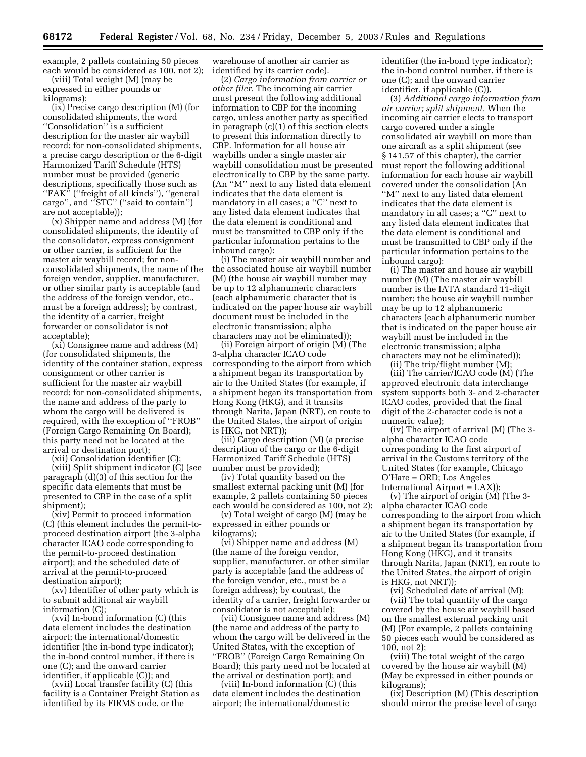example, 2 pallets containing 50 pieces each would be considered as 100, not 2);

(viii) Total weight (M) (may be expressed in either pounds or kilograms);

(ix) Precise cargo description (M) (for consolidated shipments, the word ''Consolidation'' is a sufficient description for the master air waybill record; for non-consolidated shipments, a precise cargo description or the 6-digit Harmonized Tariff Schedule (HTS) number must be provided (generic descriptions, specifically those such as "FAK" ("freight of all kinds"), "general cargo'', and ''STC'' (''said to contain'') are not acceptable));

(x) Shipper name and address (M) (for consolidated shipments, the identity of the consolidator, express consignment or other carrier, is sufficient for the master air waybill record; for nonconsolidated shipments, the name of the foreign vendor, supplier, manufacturer, or other similar party is acceptable (and the address of the foreign vendor, etc., must be a foreign address); by contrast, the identity of a carrier, freight forwarder or consolidator is not acceptable);

(xi) Consignee name and address (M) (for consolidated shipments, the identity of the container station, express consignment or other carrier is sufficient for the master air waybill record; for non-consolidated shipments, the name and address of the party to whom the cargo will be delivered is required, with the exception of ''FROB'' (Foreign Cargo Remaining On Board); this party need not be located at the arrival or destination port);

(xii) Consolidation identifier (C);

(xiii) Split shipment indicator (C) (see paragraph (d)(3) of this section for the specific data elements that must be presented to CBP in the case of a split shipment);

(xiv) Permit to proceed information (C) (this element includes the permit-toproceed destination airport (the 3-alpha character ICAO code corresponding to the permit-to-proceed destination airport); and the scheduled date of arrival at the permit-to-proceed destination airport);

(xv) Identifier of other party which is to submit additional air waybill information (C);

(xvi) In-bond information (C) (this data element includes the destination airport; the international/domestic identifier (the in-bond type indicator); the in-bond control number, if there is one (C); and the onward carrier identifier, if applicable (C)); and

(xvii) Local transfer facility (C) (this facility is a Container Freight Station as identified by its FIRMS code, or the

warehouse of another air carrier as identified by its carrier code).

(2) *Cargo information from carrier or other filer.* The incoming air carrier must present the following additional information to CBP for the incoming cargo, unless another party as specified in paragraph (c)(1) of this section elects to present this information directly to CBP. Information for all house air waybills under a single master air waybill consolidation must be presented electronically to CBP by the same party. (An ''M'' next to any listed data element indicates that the data element is mandatory in all cases; a ''C'' next to any listed data element indicates that the data element is conditional and must be transmitted to CBP only if the particular information pertains to the inbound cargo):

(i) The master air waybill number and the associated house air waybill number (M) (the house air waybill number may be up to 12 alphanumeric characters (each alphanumeric character that is indicated on the paper house air waybill document must be included in the electronic transmission; alpha characters may not be eliminated));

(ii) Foreign airport of origin (M) (The 3-alpha character ICAO code corresponding to the airport from which a shipment began its transportation by air to the United States (for example, if a shipment began its transportation from Hong Kong (HKG), and it transits through Narita, Japan (NRT), en route to the United States, the airport of origin is HKG, not NRT));

(iii) Cargo description (M) (a precise description of the cargo or the 6-digit Harmonized Tariff Schedule (HTS) number must be provided);

(iv) Total quantity based on the smallest external packing unit (M) (for example, 2 pallets containing 50 pieces each would be considered as 100, not 2);

(v) Total weight of cargo (M) (may be expressed in either pounds or kilograms);

(vi) Shipper name and address (M) (the name of the foreign vendor, supplier, manufacturer, or other similar party is acceptable (and the address of the foreign vendor, etc., must be a foreign address); by contrast, the identity of a carrier, freight forwarder or consolidator is not acceptable);

(vii) Consignee name and address (M) (the name and address of the party to whom the cargo will be delivered in the United States, with the exception of ''FROB'' (Foreign Cargo Remaining On Board); this party need not be located at the arrival or destination port); and

(viii) In-bond information (C) (this data element includes the destination airport; the international/domestic

identifier (the in-bond type indicator); the in-bond control number, if there is one (C); and the onward carrier identifier, if applicable (C)).

(3) *Additional cargo information from air carrier; split shipment.* When the incoming air carrier elects to transport cargo covered under a single consolidated air waybill on more than one aircraft as a split shipment (see § 141.57 of this chapter), the carrier must report the following additional information for each house air waybill covered under the consolidation (An ''M'' next to any listed data element indicates that the data element is mandatory in all cases; a ''C'' next to any listed data element indicates that the data element is conditional and must be transmitted to CBP only if the particular information pertains to the inbound cargo):

(i) The master and house air waybill number (M) (The master air waybill number is the IATA standard 11-digit number; the house air waybill number may be up to 12 alphanumeric characters (each alphanumeric number that is indicated on the paper house air waybill must be included in the electronic transmission; alpha characters may not be eliminated));

(ii) The trip/flight number (M);

(iii) The carrier/ICAO code (M) (The approved electronic data interchange system supports both 3- and 2-character ICAO codes, provided that the final digit of the 2-character code is not a numeric value);

(iv) The airport of arrival (M) (The 3 alpha character ICAO code corresponding to the first airport of arrival in the Customs territory of the United States (for example, Chicago O'Hare = ORD; Los Angeles International Airport = LAX));

(v) The airport of origin (M) (The 3 alpha character ICAO code corresponding to the airport from which a shipment began its transportation by air to the United States (for example, if a shipment began its transportation from Hong Kong (HKG), and it transits through Narita, Japan (NRT), en route to the United States, the airport of origin is HKG, not NRT));

(vi) Scheduled date of arrival (M);

(vii) The total quantity of the cargo covered by the house air waybill based on the smallest external packing unit (M) (For example, 2 pallets containing 50 pieces each would be considered as 100, not 2);

(viii) The total weight of the cargo covered by the house air waybill (M) (May be expressed in either pounds or kilograms);

(ix) Description (M) (This description should mirror the precise level of cargo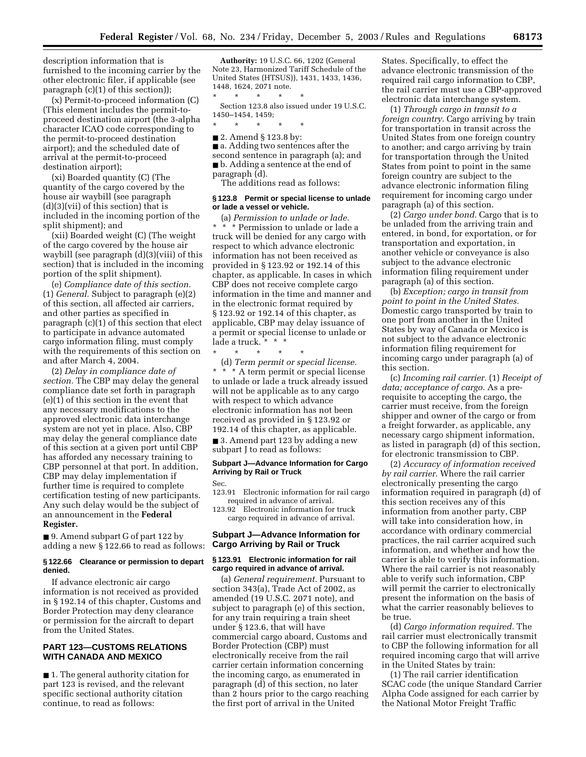description information that is furnished to the incoming carrier by the other electronic filer, if applicable (see paragraph (c)(1) of this section));

(x) Permit-to-proceed information (C) (This element includes the permit-toproceed destination airport (the 3-alpha character ICAO code corresponding to the permit-to-proceed destination airport); and the scheduled date of arrival at the permit-to-proceed destination airport);

(xi) Boarded quantity (C) (The quantity of the cargo covered by the house air waybill (see paragraph (d)(3)(vii) of this section) that is included in the incoming portion of the split shipment); and

(xii) Boarded weight (C) (The weight of the cargo covered by the house air waybill (see paragraph (d)(3)(viii) of this section) that is included in the incoming portion of the split shipment).

(e) *Compliance date of this section.* (1) *General.* Subject to paragraph (e)(2) of this section, all affected air carriers, and other parties as specified in paragraph (c)(1) of this section that elect to participate in advance automated cargo information filing, must comply with the requirements of this section on and after March 4, 2004.

(2) *Delay in compliance date of section.* The CBP may delay the general compliance date set forth in paragraph (e)(1) of this section in the event that any necessary modifications to the approved electronic data interchange system are not yet in place. Also, CBP may delay the general compliance date of this section at a given port until CBP has afforded any necessary training to CBP personnel at that port. In addition, CBP may delay implementation if further time is required to complete certification testing of new participants. Any such delay would be the subject of an announcement in the **Federal Register.**

■ 9. Amend subpart G of part 122 by adding a new § 122.66 to read as follows:

## **§ 122.66 Clearance or permission to depart denied.**

If advance electronic air cargo information is not received as provided in § 192.14 of this chapter, Customs and Border Protection may deny clearance or permission for the aircraft to depart from the United States.

## **PART 123—CUSTOMS RELATIONS WITH CANADA AND MEXICO**

■ 1. The general authority citation for part 123 is revised, and the relevant specific sectional authority citation continue, to read as follows:

**Authority:** 19 U.S.C. 66, 1202 (General Note 23, Harmonized Tariff Schedule of the United States (HTSUS)), 1431, 1433, 1436, 1448, 1624, 2071 note.

\* \* \* \* \* Section 123.8 also issued under 19 U.S.C. 1450–1454, 1459;

\* \* \* \* \*

■ 2. Amend § 123.8 by: ■ a. Adding two sentences after the second sentence in paragraph (a); and ■ b. Adding a sentence at the end of

paragraph (d).

## The additions read as follows:

## **§ 123.8 Permit or special license to unlade or lade a vessel or vehicle.**

(a) *Permission to unlade or lade.* \* \* \* Permission to unlade or lade a truck will be denied for any cargo with respect to which advance electronic information has not been received as provided in § 123.92 or 192.14 of this chapter, as applicable. In cases in which CBP does not receive complete cargo information in the time and manner and in the electronic format required by § 123.92 or 192.14 of this chapter, as applicable, CBP may delay issuance of a permit or special license to unlade or lade a truck. \* \* \*

\* \* \* \* \* (d) *Term permit or special license.* \* \* \* A term permit or special license to unlade or lade a truck already issued will not be applicable as to any cargo with respect to which advance electronic information has not been received as provided in § 123.92 or 192.14 of this chapter, as applicable. ■ 3. Amend part 123 by adding a new

subpart J to read as follows:

## **Subpart J—Advance Information for Cargo Arriving by Rail or Truck**

Sec.

123.91 Electronic information for rail cargo required in advance of arrival.

123.92 Electronic information for truck cargo required in advance of arrival.

## **Subpart J—Advance Information for Cargo Arriving by Rail or Truck**

## **§ 123.91 Electronic information for rail cargo required in advance of arrival.**

(a) *General requirement.* Pursuant to section 343(a), Trade Act of 2002, as amended (19 U.S.C. 2071 note), and subject to paragraph (e) of this section, for any train requiring a train sheet under § 123.6, that will have commercial cargo aboard, Customs and Border Protection (CBP) must electronically receive from the rail carrier certain information concerning the incoming cargo, as enumerated in paragraph (d) of this section, no later than 2 hours prior to the cargo reaching the first port of arrival in the United

States. Specifically, to effect the advance electronic transmission of the required rail cargo information to CBP, the rail carrier must use a CBP-approved electronic data interchange system.

(1) *Through cargo in transit to a foreign country.* Cargo arriving by train for transportation in transit across the United States from one foreign country to another; and cargo arriving by train for transportation through the United States from point to point in the same foreign country are subject to the advance electronic information filing requirement for incoming cargo under paragraph (a) of this section.

(2) *Cargo under bond.* Cargo that is to be unladed from the arriving train and entered, in bond, for exportation, or for transportation and exportation, in another vehicle or conveyance is also subject to the advance electronic information filing requirement under paragraph (a) of this section.

(b) *Exception; cargo in transit from point to point in the United States.* Domestic cargo transported by train to one port from another in the United States by way of Canada or Mexico is not subject to the advance electronic information filing requirement for incoming cargo under paragraph (a) of this section.

(c) *Incoming rail carrier.* (1) *Receipt of data; acceptance of cargo.* As a prerequisite to accepting the cargo, the carrier must receive, from the foreign shipper and owner of the cargo or from a freight forwarder, as applicable, any necessary cargo shipment information, as listed in paragraph (d) of this section, for electronic transmission to CBP.

(2) *Accuracy of information received by rail carrier.* Where the rail carrier electronically presenting the cargo information required in paragraph (d) of this section receives any of this information from another party, CBP will take into consideration how, in accordance with ordinary commercial practices, the rail carrier acquired such information, and whether and how the carrier is able to verify this information. Where the rail carrier is not reasonably able to verify such information, CBP will permit the carrier to electronically present the information on the basis of what the carrier reasonably believes to be true.

(d) *Cargo information required.* The rail carrier must electronically transmit to CBP the following information for all required incoming cargo that will arrive in the United States by train:

(1) The rail carrier identification SCAC code (the unique Standard Carrier Alpha Code assigned for each carrier by the National Motor Freight Traffic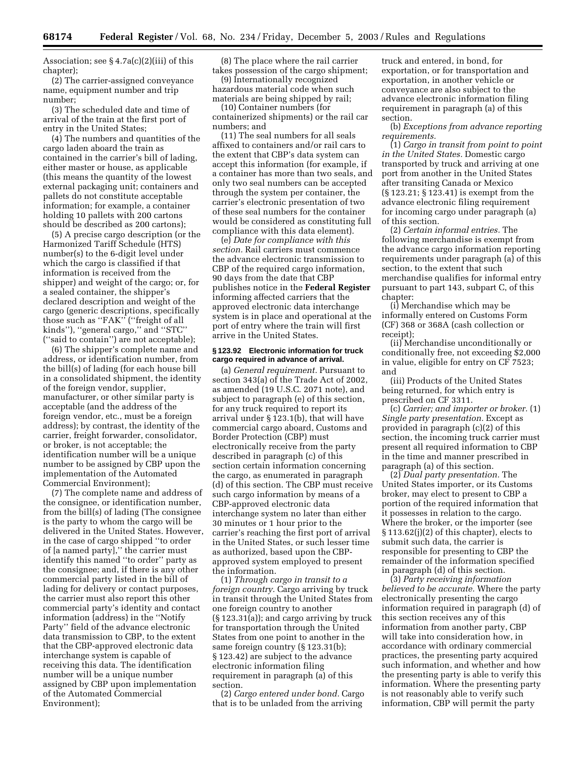Association; see  $\S 4.7a(c)(2)(iii)$  of this chapter);

(2) The carrier-assigned conveyance name, equipment number and trip number;

(3) The scheduled date and time of arrival of the train at the first port of entry in the United States;

(4) The numbers and quantities of the cargo laden aboard the train as contained in the carrier's bill of lading, either master or house, as applicable (this means the quantity of the lowest external packaging unit; containers and pallets do not constitute acceptable information; for example, a container holding 10 pallets with 200 cartons should be described as 200 cartons);

(5) A precise cargo description (or the Harmonized Tariff Schedule (HTS) number(s) to the 6-digit level under which the cargo is classified if that information is received from the shipper) and weight of the cargo; or, for a sealed container, the shipper's declared description and weight of the cargo (generic descriptions, specifically those such as ''FAK'' (''freight of all kinds''), ''general cargo,'' and ''STC'' (''said to contain'') are not acceptable);

(6) The shipper's complete name and address, or identification number, from the bill(s) of lading (for each house bill in a consolidated shipment, the identity of the foreign vendor, supplier, manufacturer, or other similar party is acceptable (and the address of the foreign vendor, etc., must be a foreign address); by contrast, the identity of the carrier, freight forwarder, consolidator, or broker, is not acceptable; the identification number will be a unique number to be assigned by CBP upon the implementation of the Automated Commercial Environment);

(7) The complete name and address of the consignee, or identification number, from the bill(s) of lading (The consignee is the party to whom the cargo will be delivered in the United States. However, in the case of cargo shipped ''to order of [a named party],'' the carrier must identify this named ''to order'' party as the consignee; and, if there is any other commercial party listed in the bill of lading for delivery or contact purposes, the carrier must also report this other commercial party's identity and contact information (address) in the ''Notify Party'' field of the advance electronic data transmission to CBP, to the extent that the CBP-approved electronic data interchange system is capable of receiving this data. The identification number will be a unique number assigned by CBP upon implementation of the Automated Commercial Environment);

(8) The place where the rail carrier takes possession of the cargo shipment;

(9) Internationally recognized hazardous material code when such materials are being shipped by rail;

(10) Container numbers (for containerized shipments) or the rail car numbers; and

(11) The seal numbers for all seals affixed to containers and/or rail cars to the extent that CBP's data system can accept this information (for example, if a container has more than two seals, and only two seal numbers can be accepted through the system per container, the carrier's electronic presentation of two of these seal numbers for the container would be considered as constituting full compliance with this data element).

(e) *Date for compliance with this section.* Rail carriers must commence the advance electronic transmission to CBP of the required cargo information, 90 days from the date that CBP publishes notice in the **Federal Register** informing affected carriers that the approved electronic data interchange system is in place and operational at the port of entry where the train will first arrive in the United States.

## **§ 123.92 Electronic information for truck cargo required in advance of arrival.**

(a) *General requirement.* Pursuant to section 343(a) of the Trade Act of 2002, as amended (19 U.S.C. 2071 note), and subject to paragraph (e) of this section, for any truck required to report its arrival under § 123.1(b), that will have commercial cargo aboard, Customs and Border Protection (CBP) must electronically receive from the party described in paragraph (c) of this section certain information concerning the cargo, as enumerated in paragraph (d) of this section. The CBP must receive such cargo information by means of a CBP-approved electronic data interchange system no later than either 30 minutes or 1 hour prior to the carrier's reaching the first port of arrival in the United States, or such lesser time as authorized, based upon the CBPapproved system employed to present the information.

(1) *Through cargo in transit to a foreign country.* Cargo arriving by truck in transit through the United States from one foreign country to another (§ 123.31(a)); and cargo arriving by truck for transportation through the United States from one point to another in the same foreign country (§ 123.31(b); § 123.42) are subject to the advance electronic information filing requirement in paragraph (a) of this section.

(2) *Cargo entered under bond.* Cargo that is to be unladed from the arriving

truck and entered, in bond, for exportation, or for transportation and exportation, in another vehicle or conveyance are also subject to the advance electronic information filing requirement in paragraph (a) of this section.

(b) *Exceptions from advance reporting requirements.*

(1) *Cargo in transit from point to point in the United States.* Domestic cargo transported by truck and arriving at one port from another in the United States after transiting Canada or Mexico (§ 123.21; § 123.41) is exempt from the advance electronic filing requirement for incoming cargo under paragraph (a) of this section.

(2) *Certain informal entries.* The following merchandise is exempt from the advance cargo information reporting requirements under paragraph (a) of this section, to the extent that such merchandise qualifies for informal entry pursuant to part 143, subpart C, of this chapter:

(i) Merchandise which may be informally entered on Customs Form (CF) 368 or 368A (cash collection or receipt);

(ii) Merchandise unconditionally or conditionally free, not exceeding \$2,000 in value, eligible for entry on CF 7523; and

(iii) Products of the United States being returned, for which entry is prescribed on CF 3311.

(c) *Carrier; and importer or broker.* (1) *Single party presentation.* Except as provided in paragraph (c)(2) of this section, the incoming truck carrier must present all required information to CBP in the time and manner prescribed in paragraph (a) of this section.

(2) *Dual party presentation.* The United States importer, or its Customs broker, may elect to present to CBP a portion of the required information that it possesses in relation to the cargo. Where the broker, or the importer (see § 113.62(j)(2) of this chapter), elects to submit such data, the carrier is responsible for presenting to CBP the remainder of the information specified in paragraph (d) of this section.

(3) *Party receiving information believed to be accurate.* Where the party electronically presenting the cargo information required in paragraph (d) of this section receives any of this information from another party, CBP will take into consideration how, in accordance with ordinary commercial practices, the presenting party acquired such information, and whether and how the presenting party is able to verify this information. Where the presenting party is not reasonably able to verify such information, CBP will permit the party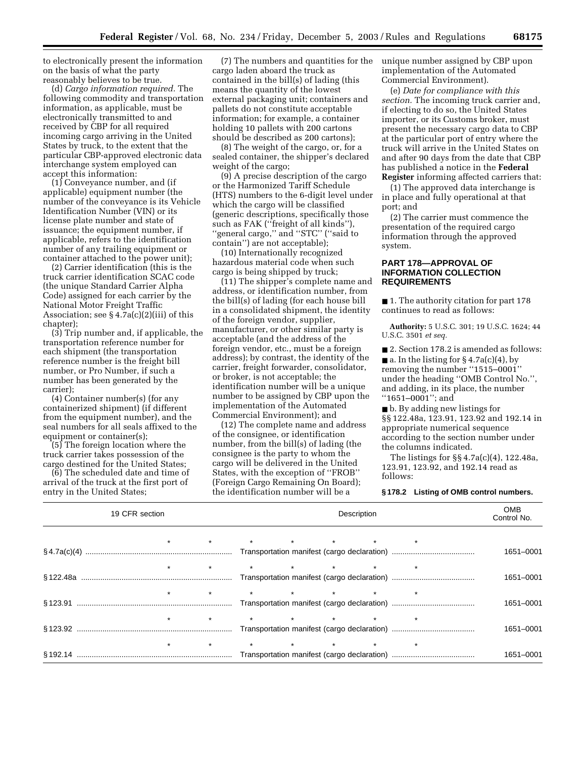to electronically present the information on the basis of what the party reasonably believes to be true.

(d) *Cargo information required.* The following commodity and transportation information, as applicable, must be electronically transmitted to and received by CBP for all required incoming cargo arriving in the United States by truck, to the extent that the particular CBP-approved electronic data interchange system employed can accept this information:

(1) Conveyance number, and (if applicable) equipment number (the number of the conveyance is its Vehicle Identification Number (VIN) or its license plate number and state of issuance; the equipment number, if applicable, refers to the identification number of any trailing equipment or container attached to the power unit);

(2) Carrier identification (this is the truck carrier identification SCAC code (the unique Standard Carrier Alpha Code) assigned for each carrier by the National Motor Freight Traffic Association; see  $\S 4.7a(c)(2)(iii)$  of this chapter);

(3) Trip number and, if applicable, the transportation reference number for each shipment (the transportation reference number is the freight bill number, or Pro Number, if such a number has been generated by the carrier);

(4) Container number(s) (for any containerized shipment) (if different from the equipment number), and the seal numbers for all seals affixed to the equipment or container(s);

(5) The foreign location where the truck carrier takes possession of the cargo destined for the United States;

(6) The scheduled date and time of arrival of the truck at the first port of entry in the United States;

(7) The numbers and quantities for the cargo laden aboard the truck as contained in the bill(s) of lading (this means the quantity of the lowest external packaging unit; containers and pallets do not constitute acceptable information; for example, a container holding 10 pallets with 200 cartons should be described as 200 cartons);

(8) The weight of the cargo, or, for a sealed container, the shipper's declared weight of the cargo;

(9) A precise description of the cargo or the Harmonized Tariff Schedule (HTS) numbers to the 6-digit level under which the cargo will be classified (generic descriptions, specifically those such as FAK (''freight of all kinds''), ''general cargo,'' and ''STC'' (''said to contain'') are not acceptable);

(10) Internationally recognized hazardous material code when such cargo is being shipped by truck;

(11) The shipper's complete name and address, or identification number, from the bill(s) of lading (for each house bill in a consolidated shipment, the identity of the foreign vendor, supplier, manufacturer, or other similar party is acceptable (and the address of the foreign vendor, etc., must be a foreign address); by contrast, the identity of the carrier, freight forwarder, consolidator, or broker, is not acceptable; the identification number will be a unique number to be assigned by CBP upon the implementation of the Automated Commercial Environment); and

(12) The complete name and address of the consignee, or identification number, from the bill(s) of lading (the consignee is the party to whom the cargo will be delivered in the United States, with the exception of ''FROB'' (Foreign Cargo Remaining On Board); the identification number will be a

unique number assigned by CBP upon implementation of the Automated Commercial Environment).

(e) *Date for compliance with this section.* The incoming truck carrier and, if electing to do so, the United States importer, or its Customs broker, must present the necessary cargo data to CBP at the particular port of entry where the truck will arrive in the United States on and after 90 days from the date that CBP has published a notice in the **Federal Register** informing affected carriers that:

(1) The approved data interchange is in place and fully operational at that port; and

(2) The carrier must commence the presentation of the required cargo information through the approved system.

## **PART 178—APPROVAL OF INFORMATION COLLECTION REQUIREMENTS**

■ 1. The authority citation for part 178 continues to read as follows:

**Authority:** 5 U.S.C. 301; 19 U.S.C. 1624; 44 U.S.C. 3501 *et seq.*

■ 2. Section 178.2 is amended as follows:  $\blacksquare$  a. In the listing for § 4.7a(c)(4), by removing the number ''1515–0001'' under the heading ''OMB Control No.'', and adding, in its place, the number ''1651–0001''; and

■ b. By adding new listings for §§ 122.48a, 123.91, 123.92 and 192.14 in appropriate numerical sequence according to the section number under the columns indicated.

The listings for §§ 4.7a(c)(4), 122.48a, 123.91, 123.92, and 192.14 read as follows:

#### **§ 178.2 Listing of OMB control numbers.**

| 19 CFR section |         |                                                                                                                                 | Description |  |  |           | <b>OMB</b><br>Control No. |           |
|----------------|---------|---------------------------------------------------------------------------------------------------------------------------------|-------------|--|--|-----------|---------------------------|-----------|
|                |         | * * * * * * * *                                                                                                                 |             |  |  |           |                           | 1651-0001 |
|                |         |                                                                                                                                 |             |  |  |           |                           |           |
|                |         |                                                                                                                                 |             |  |  |           | 1651-0001                 |           |
|                |         | $\star \qquad \qquad \star \qquad \qquad \star \qquad \qquad \star \qquad \qquad \star \qquad \qquad \star \qquad \qquad \star$ |             |  |  |           |                           | 1651-0001 |
|                | $\star$ | $\star$ $\star$ $\star$ $\star$ $\star$ $\star$ $\star$                                                                         |             |  |  |           |                           |           |
|                |         |                                                                                                                                 |             |  |  |           | 1651-0001                 |           |
|                | $\star$ | $\star$ $\star$ $\star$ $\star$ $\star$ $\star$ $\star$                                                                         |             |  |  |           |                           |           |
|                |         |                                                                                                                                 |             |  |  | 1651-0001 |                           |           |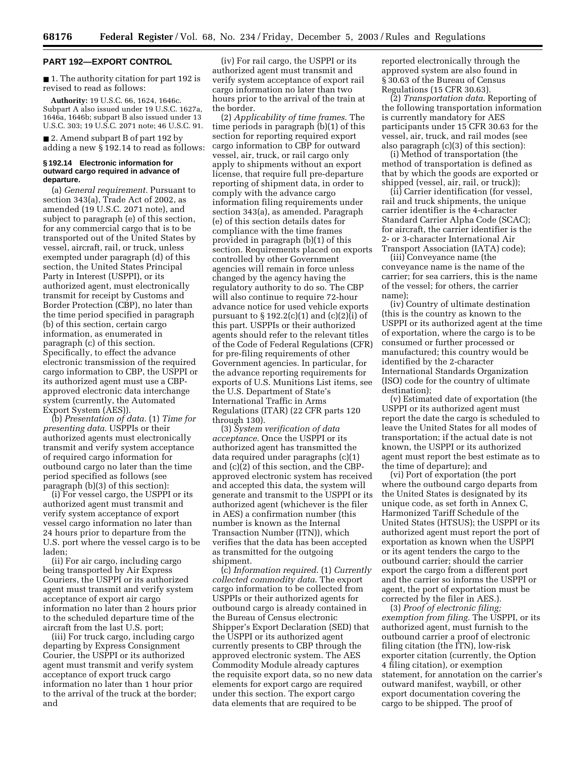#### **PART 192—EXPORT CONTROL**

■ 1. The authority citation for part 192 is revised to read as follows:

**Authority:** 19 U.S.C. 66, 1624, 1646c. Subpart A also issued under 19 U.S.C. 1627a, 1646a, 1646b; subpart B also issued under 13 U.S.C. 303; 19 U.S.C. 2071 note; 46 U.S.C. 91.

■ 2. Amend subpart B of part 192 by adding a new § 192.14 to read as follows:

#### **§ 192.14 Electronic information for outward cargo required in advance of departure.**

(a) *General requirement.* Pursuant to section 343(a), Trade Act of 2002, as amended (19 U.S.C. 2071 note), and subject to paragraph (e) of this section, for any commercial cargo that is to be transported out of the United States by vessel, aircraft, rail, or truck, unless exempted under paragraph (d) of this section, the United States Principal Party in Interest (USPPI), or its authorized agent, must electronically transmit for receipt by Customs and Border Protection (CBP), no later than the time period specified in paragraph (b) of this section, certain cargo information, as enumerated in paragraph (c) of this section. Specifically, to effect the advance electronic transmission of the required cargo information to CBP, the USPPI or its authorized agent must use a CBPapproved electronic data interchange system (currently, the Automated Export System (AES)).

(b) *Presentation of data.* (1) *Time for presenting data.* USPPIs or their authorized agents must electronically transmit and verify system acceptance of required cargo information for outbound cargo no later than the time period specified as follows (see paragraph (b)(3) of this section):

(i) For vessel cargo, the USPPI or its authorized agent must transmit and verify system acceptance of export vessel cargo information no later than 24 hours prior to departure from the U.S. port where the vessel cargo is to be laden;

(ii) For air cargo, including cargo being transported by Air Express Couriers, the USPPI or its authorized agent must transmit and verify system acceptance of export air cargo information no later than 2 hours prior to the scheduled departure time of the aircraft from the last U.S. port;

(iii) For truck cargo, including cargo departing by Express Consignment Courier, the USPPI or its authorized agent must transmit and verify system acceptance of export truck cargo information no later than 1 hour prior to the arrival of the truck at the border; and

(iv) For rail cargo, the USPPI or its authorized agent must transmit and verify system acceptance of export rail cargo information no later than two hours prior to the arrival of the train at the border.

(2) *Applicability of time frames*. The time periods in paragraph (b)(1) of this section for reporting required export cargo information to CBP for outward vessel, air, truck, or rail cargo only apply to shipments without an export license, that require full pre-departure reporting of shipment data, in order to comply with the advance cargo information filing requirements under section 343(a), as amended. Paragraph (e) of this section details dates for compliance with the time frames provided in paragraph (b)(1) of this section. Requirements placed on exports controlled by other Government agencies will remain in force unless changed by the agency having the regulatory authority to do so. The CBP will also continue to require 72-hour advance notice for used vehicle exports pursuant to  $\S 192.2(c)(1)$  and  $(c)(2)(i)$  of this part. USPPIs or their authorized agents should refer to the relevant titles of the Code of Federal Regulations (CFR) for pre-filing requirements of other Government agencies. In particular, for the advance reporting requirements for exports of U.S. Munitions List items, see the U.S. Department of State's International Traffic in Arms Regulations (ITAR) (22 CFR parts 120 through 130).

(3) *System verification of data acceptance*. Once the USPPI or its authorized agent has transmitted the data required under paragraphs (c)(1) and (c)(2) of this section, and the CBPapproved electronic system has received and accepted this data, the system will generate and transmit to the USPPI or its authorized agent (whichever is the filer in AES) a confirmation number (this number is known as the Internal Transaction Number (ITN)), which verifies that the data has been accepted as transmitted for the outgoing shipment.

(c) *Information required*. (1) *Currently collected commodity data*. The export cargo information to be collected from USPPIs or their authorized agents for outbound cargo is already contained in the Bureau of Census electronic Shipper's Export Declaration (SED) that the USPPI or its authorized agent currently presents to CBP through the approved electronic system. The AES Commodity Module already captures the requisite export data, so no new data elements for export cargo are required under this section. The export cargo data elements that are required to be

reported electronically through the approved system are also found in § 30.63 of the Bureau of Census Regulations (15 CFR 30.63).

(2) *Transportation data*. Reporting of the following transportation information is currently mandatory for AES participants under 15 CFR 30.63 for the vessel, air, truck, and rail modes (see also paragraph (c)(3) of this section):

(i) Method of transportation (the method of transportation is defined as that by which the goods are exported or shipped (vessel, air, rail, or truck));

(ii) Carrier identification (for vessel, rail and truck shipments, the unique carrier identifier is the 4-character Standard Carrier Alpha Code (SCAC); for aircraft, the carrier identifier is the 2- or 3-character International Air Transport Association (IATA) code);

(iii) Conveyance name (the conveyance name is the name of the carrier; for sea carriers, this is the name of the vessel; for others, the carrier name);

(iv) Country of ultimate destination (this is the country as known to the USPPI or its authorized agent at the time of exportation, where the cargo is to be consumed or further processed or manufactured; this country would be identified by the 2-character International Standards Organization (ISO) code for the country of ultimate destination);

(v) Estimated date of exportation (the USPPI or its authorized agent must report the date the cargo is scheduled to leave the United States for all modes of transportation; if the actual date is not known, the USPPI or its authorized agent must report the best estimate as to the time of departure); and

(vi) Port of exportation (the port where the outbound cargo departs from the United States is designated by its unique code, as set forth in Annex C, Harmonized Tariff Schedule of the United States (HTSUS); the USPPI or its authorized agent must report the port of exportation as known when the USPPI or its agent tenders the cargo to the outbound carrier; should the carrier export the cargo from a different port and the carrier so informs the USPPI or agent, the port of exportation must be corrected by the filer in AES.).

(3) *Proof of electronic filing; exemption from filing.* The USPPI, or its authorized agent, must furnish to the outbound carrier a proof of electronic filing citation (the ITN), low-risk exporter citation (currently, the Option 4 filing citation), or exemption statement, for annotation on the carrier's outward manifest, waybill, or other export documentation covering the cargo to be shipped. The proof of